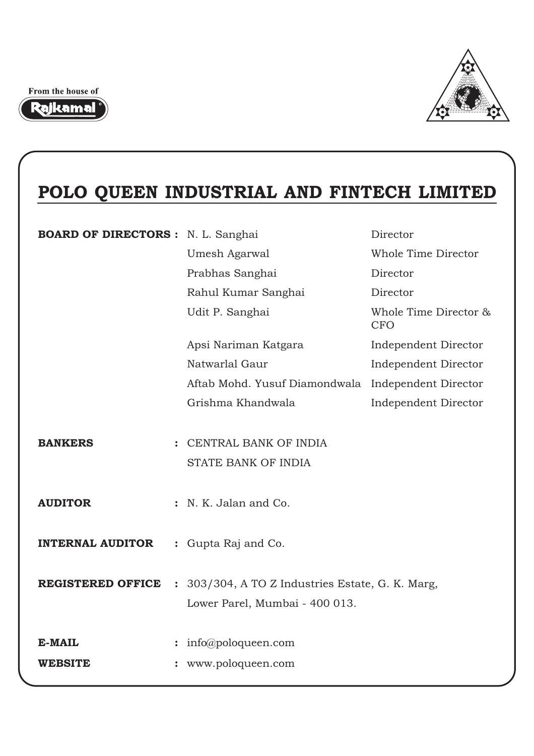

# **POLO QUEEN INDUSTRIAL AND FINTECH LIMITED**

| <b>BOARD OF DIRECTORS :</b> N. L. Sanghai | Director                                                                           |  |
|-------------------------------------------|------------------------------------------------------------------------------------|--|
|                                           | Whole Time Director<br>Umesh Agarwal                                               |  |
|                                           | Prabhas Sanghai<br>Director                                                        |  |
|                                           | Rahul Kumar Sanghai<br>Director                                                    |  |
|                                           | Whole Time Director &<br>Udit P. Sanghai<br><b>CFO</b>                             |  |
|                                           | Apsi Nariman Katgara<br>Independent Director                                       |  |
|                                           | Natwarlal Gaur<br><b>Independent Director</b>                                      |  |
|                                           | Aftab Mohd. Yusuf Diamondwala<br>Independent Director                              |  |
|                                           | Grishma Khandwala<br><b>Independent Director</b>                                   |  |
|                                           |                                                                                    |  |
| <b>BANKERS</b>                            | CENTRAL BANK OF INDIA                                                              |  |
|                                           | STATE BANK OF INDIA                                                                |  |
| <b>AUDITOR</b>                            | : N. K. Jalan and Co.                                                              |  |
| <b>INTERNAL AUDITOR</b>                   | Gupta Raj and Co.                                                                  |  |
| <b>REGISTERED OFFICE</b>                  | : 303/304, A TO Z Industries Estate, G. K. Marg,<br>Lower Parel, Mumbai - 400 013. |  |
| <b>E-MAIL</b>                             | info@poloqueen.com                                                                 |  |
| <b>WEBSITE</b>                            | www.poloqueen.com                                                                  |  |
|                                           |                                                                                    |  |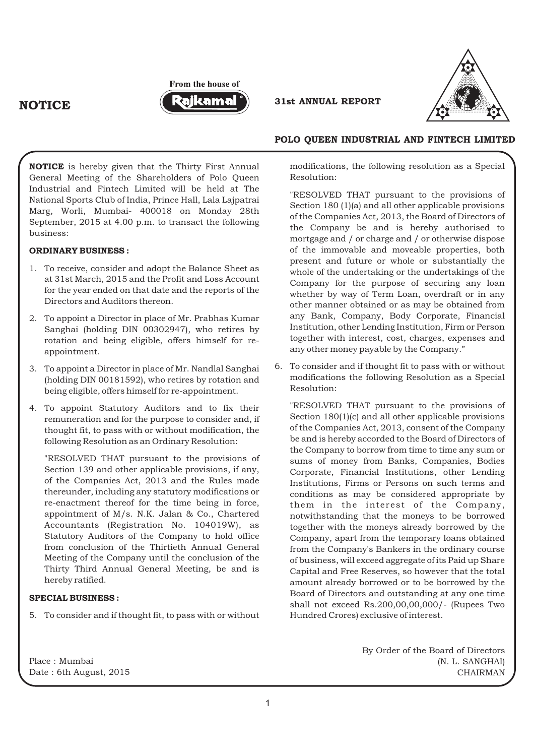

**31st ANNUAL REPORT**



**NOTICE** is hereby given that the Thirty First Annual General Meeting of the Shareholders of Polo Queen Industrial and Fintech Limited will be held at The National Sports Club of India, Prince Hall, Lala Lajpatrai Marg, Worli, Mumbai- 400018 on Monday 28th September, 2015 at 4.00 p.m. to transact the following business:

#### **ORDINARY BUSINESS :**

- 1. To receive, consider and adopt the Balance Sheet as at 31st March, 2015 and the Profit and Loss Account for the year ended on that date and the reports of the Directors and Auditors thereon.
- 2. To appoint a Director in place of Mr. Prabhas Kumar Sanghai (holding DIN 00302947), who retires by rotation and being eligible, offers himself for reappointment.
- 3. To appoint a Director in place of Mr. Nandlal Sanghai (holding DIN 00181592), who retires by rotation and being eligible, offers himself for re-appointment.
- 4. To appoint Statutory Auditors and to fix their remuneration and for the purpose to consider and, if thought fit, to pass with or without modification, the following Resolution as an Ordinary Resolution:

"RESOLVED THAT pursuant to the provisions of Section 139 and other applicable provisions, if any, of the Companies Act, 2013 and the Rules made thereunder, including any statutory modifications or re-enactment thereof for the time being in force, appointment of M/s. N.K. Jalan & Co., Chartered Accountants (Registration No. 104019W), as Statutory Auditors of the Company to hold office from conclusion of the Thirtieth Annual General Meeting of the Company until the conclusion of the Thirty Third Annual General Meeting, be and is hereby ratified.

#### **SPECIAL BUSINESS :**

5. To consider and if thought fit, to pass with or without

#### **POLO QUEEN INDUSTRIAL AND FINTECH LIMITED**

modifications, the following resolution as a Special Resolution:

"RESOLVED THAT pursuant to the provisions of Section 180 (1)(a) and all other applicable provisions of the Companies Act, 2013, the Board of Directors of the Company be and is hereby authorised to mortgage and / or charge and / or otherwise dispose of the immovable and moveable properties, both present and future or whole or substantially the whole of the undertaking or the undertakings of the Company for the purpose of securing any loan whether by way of Term Loan, overdraft or in any other manner obtained or as may be obtained from any Bank, Company, Body Corporate, Financial Institution, other Lending Institution, Firm or Person together with interest, cost, charges, expenses and any other money payable by the Company."

6. To consider and if thought fit to pass with or without modifications the following Resolution as a Special Resolution:

"RESOLVED THAT pursuant to the provisions of Section 180(1)(c) and all other applicable provisions of the Companies Act, 2013, consent of the Company be and is hereby accorded to the Board of Directors of the Company to borrow from time to time any sum or sums of money from Banks, Companies, Bodies Corporate, Financial Institutions, other Lending Institutions, Firms or Persons on such terms and conditions as may be considered appropriate by them in the interest of the Company, notwithstanding that the moneys to be borrowed together with the moneys already borrowed by the Company, apart from the temporary loans obtained from the Company's Bankers in the ordinary course of business, will exceed aggregate of its Paid up Share Capital and Free Reserves, so however that the total amount already borrowed or to be borrowed by the Board of Directors and outstanding at any one time shall not exceed Rs.200,00,00,000/- (Rupees Two Hundred Crores) exclusive of interest.

Place : Mumbai Date : 6th August, 2015 By Order of the Board of Directors (N. L. SANGHAI) CHAIRMAN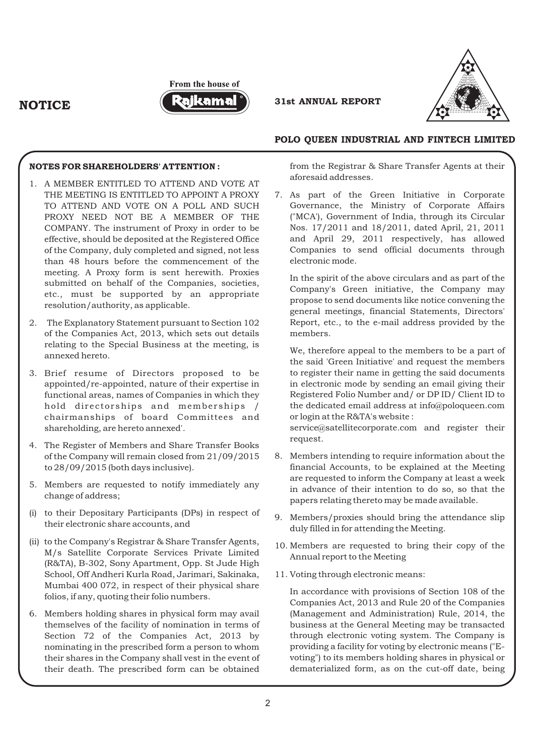



## **31st ANNUAL REPORT**



### **NOTES FOR SHAREHOLDERS' ATTENTION :**

- 1. A MEMBER ENTITLED TO ATTEND AND VOTE AT THE MEETING IS ENTITLED TO APPOINT A PROXY TO ATTEND AND VOTE ON A POLL AND SUCH PROXY NEED NOT BE A MEMBER OF THE COMPANY. The instrument of Proxy in order to be effective, should be deposited at the Registered Office of the Company, duly completed and signed, not less than 48 hours before the commencement of the meeting. A Proxy form is sent herewith. Proxies submitted on behalf of the Companies, societies, etc., must be supported by an appropriate resolution/authority, as applicable.
- 2. The Explanatory Statement pursuant to Section 102 of the Companies Act, 2013, which sets out details relating to the Special Business at the meeting, is annexed hereto.
- 3. Brief resume of Directors proposed to be appointed/re-appointed, nature of their expertise in functional areas, names of Companies in which they hold directorships and memberships / chairmanships of board Committees and shareholding, are hereto annexed'.
- 4. The Register of Members and Share Transfer Books of the Company will remain closed from 21/09/2015 to 28/09/2015 (both days inclusive).
- 5. Members are requested to notify immediately any change of address;
- (i) to their Depositary Participants (DPs) in respect of their electronic share accounts, and
- (ii) to the Company's Registrar & Share Transfer Agents, M/s Satellite Corporate Services Private Limited (R&TA), B-302, Sony Apartment, Opp. St Jude High School, Off Andheri Kurla Road, Jarimari, Sakinaka, Mumbai 400 072, in respect of their physical share folios, if any, quoting their folio numbers.
- 6. Members holding shares in physical form may avail themselves of the facility of nomination in terms of Section 72 of the Companies Act, 2013 by nominating in the prescribed form a person to whom their shares in the Company shall vest in the event of their death. The prescribed form can be obtained

#### **POLO QUEEN INDUSTRIAL AND FINTECH LIMITED**

from the Registrar & Share Transfer Agents at their aforesaid addresses.

7. As part of the Green Initiative in Corporate Governance, the Ministry of Corporate Affairs ("MCA'), Government of India, through its Circular Nos. 17/2011 and 18/2011, dated April, 21, 2011 and April 29, 2011 respectively, has allowed Companies to send official documents through electronic mode.

In the spirit of the above circulars and as part of the Company's Green initiative, the Company may propose to send documents like notice convening the general meetings, financial Statements, Directors' Report, etc., to the e-mail address provided by the members.

We, therefore appeal to the members to be a part of the said 'Green Initiative' and request the members to register their name in getting the said documents in electronic mode by sending an email giving their Registered Folio Number and/ or DP ID/ Client ID to the dedicated email address at info@poloqueen.com or login at the R&TA's website :

service@satellitecorporate.com and register their request.

- 8. Members intending to require information about the financial Accounts, to be explained at the Meeting are requested to inform the Company at least a week in advance of their intention to do so, so that the papers relating thereto may be made available.
- 9. Members/proxies should bring the attendance slip duly filled in for attending the Meeting.
- 10. Members are requested to bring their copy of the Annual report to the Meeting
- 11. Voting through electronic means:

In accordance with provisions of Section 108 of the Companies Act, 2013 and Rule 20 of the Companies (Management and Administration) Rule, 2014, the business at the General Meeting may be transacted through electronic voting system. The Company is providing a facility for voting by electronic means ("Evoting") to its members holding shares in physical or dematerialized form, as on the cut-off date, being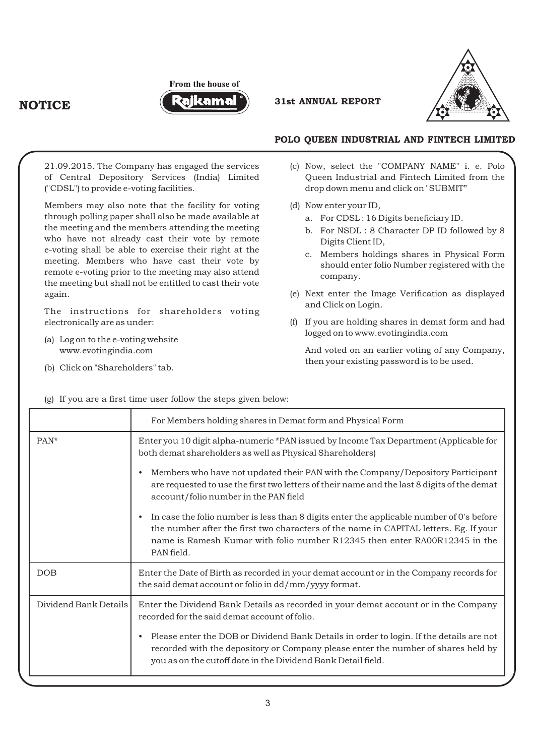

#### **31st ANNUAL REPORT**



#### **POLO QUEEN INDUSTRIAL AND FINTECH LIMITED**

21.09.2015. The Company has engaged the services of Central Depository Services (India) Limited ("CDSL") to provide e-voting facilities.

Members may also note that the facility for voting through polling paper shall also be made available at the meeting and the members attending the meeting who have not already cast their vote by remote e-voting shall be able to exercise their right at the meeting. Members who have cast their vote by remote e-voting prior to the meeting may also attend the meeting but shall not be entitled to cast their vote again.

The instructions for shareholders voting electronically are as under:

- (a) Log on to the e-voting website www.evotingindia.com
- (b) Click on "Shareholders" tab.
- (c) Now, select the "COMPANY NAME" i. e. Polo Queen Industrial and Fintech Limited from the drop down menu and click on "SUBMIT"
- (d) Now enter your ID,
	- a. For CDSL : 16 Digits beneficiary ID.
	- b. For NSDL : 8 Character DP ID followed by 8 Digits Client ID,
	- c. Members holdings shares in Physical Form should enter folio Number registered with the company.
- (e) Next enter the Image Verification as displayed and Click on Login.
- (f) If you are holding shares in demat form and had logged on to www.evotingindia.com

And voted on an earlier voting of any Company, then your existing password is to be used.

(g) If you are a first time user follow the steps given below:

|                       | For Members holding shares in Demat form and Physical Form                                                                                                                                                                                                                    |
|-----------------------|-------------------------------------------------------------------------------------------------------------------------------------------------------------------------------------------------------------------------------------------------------------------------------|
| PAN <sup>*</sup>      | Enter you 10 digit alpha-numeric *PAN issued by Income Tax Department (Applicable for<br>both demat shareholders as well as Physical Shareholders)                                                                                                                            |
|                       | Members who have not updated their PAN with the Company/Depository Participant<br>are requested to use the first two letters of their name and the last 8 digits of the demat<br>account/folio number in the PAN field                                                        |
|                       | In case the folio number is less than 8 digits enter the applicable number of 0's before<br>the number after the first two characters of the name in CAPITAL letters. Eg. If your<br>name is Ramesh Kumar with folio number R12345 then enter RA00R12345 in the<br>PAN field. |
| <b>DOB</b>            | Enter the Date of Birth as recorded in your demat account or in the Company records for<br>the said demat account or folio in dd/mm/yyyy format.                                                                                                                              |
| Dividend Bank Details | Enter the Dividend Bank Details as recorded in your demat account or in the Company<br>recorded for the said demat account of folio.                                                                                                                                          |
|                       | Please enter the DOB or Dividend Bank Details in order to login. If the details are not<br>recorded with the depository or Company please enter the number of shares held by<br>you as on the cutoff date in the Dividend Bank Detail field.                                  |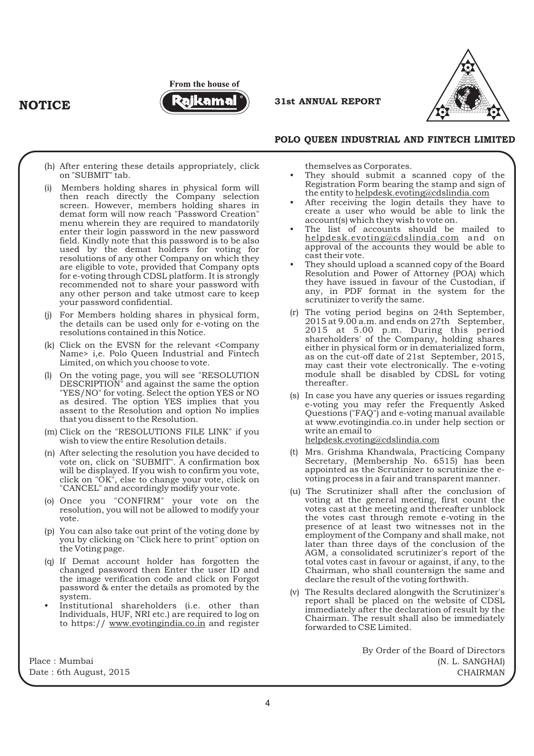

#### **31st ANNUAL REPORT**



#### **POLO QUEEN INDUSTRIAL AND FINTECH LIMITED**

- (h) After entering these details appropriately, click on "SUBMIT" tab.
- (i) Members holding shares in physical form will then reach directly the Company selection screen. However, members holding shares in demat form will now reach "Password Creation" menu wherein they are required to mandatorily enter their login password in the new password field. Kindly note that this password is to be also used by the demat holders for voting for resolutions of any other Company on which they are eligible to vote, provided that Company opts for e-voting through CDSL platform. It is strongly recommended not to share your password with any other person and take utmost care to keep your password confidential.
- (j) For Members holding shares in physical form, the details can be used only for e-voting on the resolutions contained in this Notice.
- (k) Click on the EVSN for the relevant <Company Name> i,e. Polo Queen Industrial and Fintech Limited, on which you choose to vote.
- (l) On the voting page, you will see "RESOLUTION DESCRIPTION" and against the same the option "YES/NO" for voting. Select the option YES or NO as desired. The option YES implies that you assent to the Resolution and option No implies that you dissent to the Resolution.
- (m) Click on the "RESOLUTIONS FILE LINK" if you wish to view the entire Resolution details.
- (n) After selecting the resolution you have decided to vote on, click on "SUBMIT". A confirmation box will be displayed. If you wish to confirm you vote, click on "OK", else to change your vote, click on "CANCEL" and accordingly modify your vote.
- (o) Once you "CONFIRM" your vote on the resolution, you will not be allowed to modify your vote.
- (p) You can also take out print of the voting done by you by clicking on "Click here to print" option on the Voting page.
- (q) If Demat account holder has forgotten the changed password then Enter the user ID and the image verification code and click on Forgot password & enter the details as promoted by the system.
- Institutional shareholders (i.e. other than Individuals, HUF, NRI etc.) are required to log on to https://  $www.evotingindia.co.in$  and register

Place : Mumbai Date : 6th August, 2015 themselves as Corporates.

- They should submit a scanned copy of the Registration Form bearing the stamp and sign of the entity to <u>helpdesk.evoting@cdslindia.com</u>
- After receiving the login details they have to create a user who would be able to link the account(s) which they wish to vote on.
- The list of accounts should be mailed to <u>helpdesk.evoting@cdslindia.com</u> and on approval of the accounts they would be able to cast their vote.
- They should upload a scanned copy of the Board Resolution and Power of Attorney (POA) which they have issued in favour of the Custodian, if any, in PDF format in the system for the scrutinizer to verify the same.
- (r) The voting period begins on 24th September, 2015 at 9.00 a.m. and ends on 27th September, 2015 at 5.00 p.m. During this period shareholders' of the Company, holding shares either in physical form or in dematerialized form, as on the cut-off date of 21st September, 2015, may cast their vote electronically. The e-voting module shall be disabled by CDSL for voting thereafter.
- (s) In case you have any queries or issues regarding e-voting you may refer the Frequently Asked Questions ("FAQ") and e-voting manual available at www.evotingindia.co.in under help section or write an email to helpdesk.evoting@cdslindia.com
- (t) Mrs. Grishma Khandwala, Practicing Company Secretary, (Membership No. 6515) has been appointed as the Scrutinizer to scrutinize the evoting process in a fair and transparent manner.
- (u) The Scrutinizer shall after the conclusion of voting at the general meeting, first count the votes cast at the meeting and thereafter unblock the votes cast through remote e-voting in the presence of at least two witnesses not in the employment of the Company and shall make, not later than three days of the conclusion of the AGM, a consolidated scrutinizer's report of the total votes cast in favour or against, if any, to the Chairman, who shall countersign the same and declare the result of the voting forthwith.
- (v) The Results declared alongwith the Scrutinizer's report shall be placed on the website of CDSL immediately after the declaration of result by the Chairman. The result shall also be immediately forwarded to CSE Limited.

By Order of the Board of Directors (N. L. SANGHAI) CHAIRMAN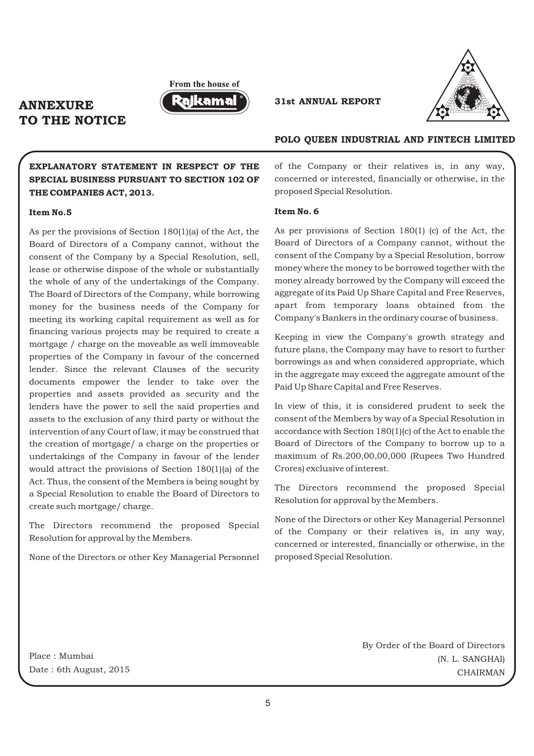

### **ANNEXURE TO THE NOTICE**



#### **31st ANNUAL REPORT**



## **POLO QUEEN INDUSTRIAL AND FINTECH LIMITED**

#### **EXPLANATORY STATEMENT IN RESPECT OF THE SPECIAL BUSINESS PURSUANT TO SECTION 102 OF THE COMPANIES ACT, 2013.**

#### **Item No.5**

As per the provisions of Section 180(1)(a) of the Act, the Board of Directors of a Company cannot, without the consent of the Company by a Special Resolution, sell, lease or otherwise dispose of the whole or substantially the whole of any of the undertakings of the Company. The Board of Directors of the Company, while borrowing money for the business needs of the Company for meeting its working capital requirement as well as for financing various projects may be required to create a mortgage / charge on the moveable as well immoveable properties of the Company in favour of the concerned lender. Since the relevant Clauses of the security documents empower the lender to take over the properties and assets provided as security and the lenders have the power to sell the said properties and assets to the exclusion of any third party or without the intervention of any Court of law, it may be construed that the creation of mortgage/ a charge on the properties or undertakings of the Company in favour of the lender would attract the provisions of Section 180(1)(a) of the Act. Thus, the consent of the Members is being sought by a Special Resolution to enable the Board of Directors to create such mortgage/ charge.

The Directors recommend the proposed Special Resolution for approval by the Members.

None of the Directors or other Key Managerial Personnel

of the Company or their relatives is, in any way, concerned or interested, financially or otherwise, in the proposed Special Resolution.

#### **Item No. 6**

As per provisions of Section 180(1) (c) of the Act, the Board of Directors of a Company cannot, without the consent of the Company by a Special Resolution, borrow money where the money to be borrowed together with the money already borrowed by the Company will exceed the aggregate of its Paid Up Share Capital and Free Reserves, apart from temporary loans obtained from the Company's Bankers in the ordinary course of business.

Keeping in view the Company's growth strategy and future plans, the Company may have to resort to further borrowings as and when considered appropriate, which in the aggregate may exceed the aggregate amount of the Paid Up Share Capital and Free Reserves.

In view of this, it is considered prudent to seek the consent of the Members by way of a Special Resolution in accordance with Section 180(1)(c) of the Act to enable the Board of Directors of the Company to borrow up to a maximum of Rs.200,00,00,000 (Rupees Two Hundred Crores) exclusive of interest.

The Directors recommend the proposed Special Resolution for approval by the Members.

None of the Directors or other Key Managerial Personnel of the Company or their relatives is, in any way, concerned or interested, financially or otherwise, in the proposed Special Resolution.

Place : Mumbai Date : 6th August, 2015 By Order of the Board of Directors (N. L. SANGHAI) CHAIRMAN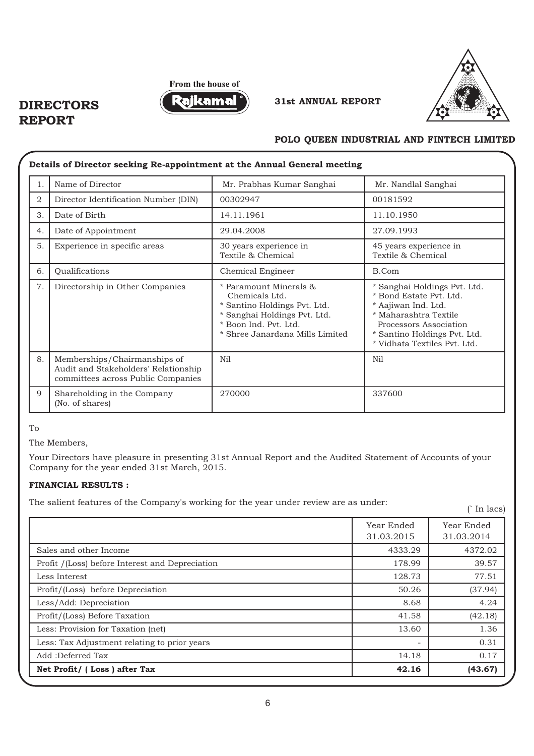



## **DIRECTORS REPORT**



**31st ANNUAL REPORT**

|    | Details of Director seeking Re-appointment at the Annual General meeting                                   |                                                                                                                                                                      |                                                                                                                                                                                                   |  |  |  |  |  |
|----|------------------------------------------------------------------------------------------------------------|----------------------------------------------------------------------------------------------------------------------------------------------------------------------|---------------------------------------------------------------------------------------------------------------------------------------------------------------------------------------------------|--|--|--|--|--|
| 1. | Name of Director                                                                                           | Mr. Prabhas Kumar Sanghai                                                                                                                                            | Mr. Nandlal Sanghai                                                                                                                                                                               |  |  |  |  |  |
| 2  | Director Identification Number (DIN)                                                                       | 00302947                                                                                                                                                             | 00181592                                                                                                                                                                                          |  |  |  |  |  |
| 3. | Date of Birth                                                                                              | 14.11.1961                                                                                                                                                           | 11.10.1950                                                                                                                                                                                        |  |  |  |  |  |
| 4. | Date of Appointment                                                                                        | 29.04.2008                                                                                                                                                           | 27.09.1993                                                                                                                                                                                        |  |  |  |  |  |
| 5. | Experience in specific areas                                                                               | 30 years experience in<br>Textile & Chemical                                                                                                                         | 45 years experience in<br>Textile & Chemical                                                                                                                                                      |  |  |  |  |  |
| 6. | Qualifications                                                                                             | Chemical Engineer                                                                                                                                                    | B.Com                                                                                                                                                                                             |  |  |  |  |  |
| 7. | Directorship in Other Companies                                                                            | * Paramount Minerals &<br>Chemicals Ltd.<br>* Santino Holdings Pvt. Ltd.<br>* Sanghai Holdings Pvt. Ltd.<br>* Boon Ind. Pvt. Ltd.<br>* Shree Janardana Mills Limited | * Sanghai Holdings Pvt. Ltd.<br>* Bond Estate Pvt. Ltd.<br>* Aajiwan Ind. Ltd.<br>* Maharashtra Textile<br>Processors Association<br>* Santino Holdings Pvt. Ltd.<br>* Vidhata Textiles Pvt. Ltd. |  |  |  |  |  |
| 8. | Memberships/Chairmanships of<br>Audit and Stakeholders' Relationship<br>committees across Public Companies | Nil                                                                                                                                                                  | Nil                                                                                                                                                                                               |  |  |  |  |  |
| 9  | Shareholding in the Company<br>(No. of shares)                                                             | 270000                                                                                                                                                               | 337600                                                                                                                                                                                            |  |  |  |  |  |

To

The Members,

Your Directors have pleasure in presenting 31st Annual Report and the Audited Statement of Accounts of your Company for the year ended 31st March, 2015.

#### **FINANCIAL RESULTS :**

The salient features of the Company's working for the year under review are as under:

(` In lacs)

|                                                 | Year Ended<br>31.03.2015 | Year Ended<br>31.03.2014 |
|-------------------------------------------------|--------------------------|--------------------------|
| Sales and other Income                          | 4333.29                  | 4372.02                  |
| Profit /(Loss) before Interest and Depreciation | 178.99                   | 39.57                    |
| Less Interest                                   | 128.73                   | 77.51                    |
| Profit/(Loss) before Depreciation               | 50.26                    | (37.94)                  |
| Less/Add: Depreciation                          | 8.68                     | 4.24                     |
| Profit/(Loss) Before Taxation                   | 41.58                    | (42.18)                  |
| Less: Provision for Taxation (net)              | 13.60                    | 1.36                     |
| Less: Tax Adjustment relating to prior years    | ۰                        | 0.31                     |
| Add: Deferred Tax                               | 14.18                    | 0.17                     |
| Net Profit/ (Loss) after Tax                    | 42.16                    | (43.67)                  |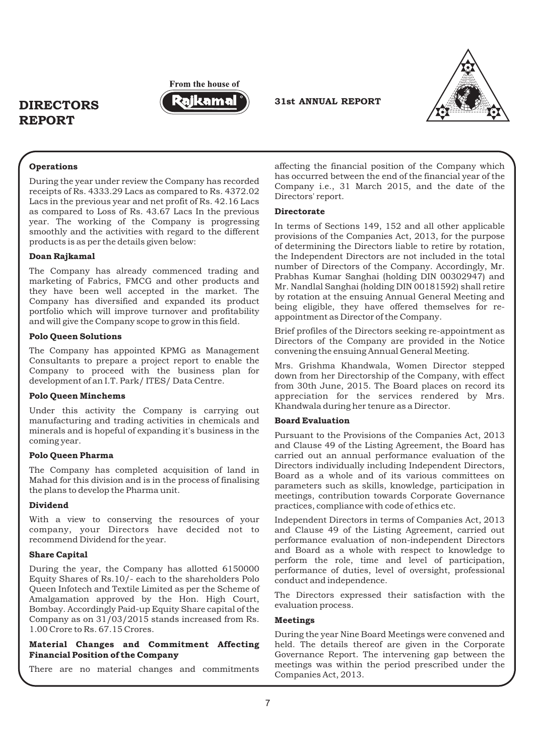

#### **31st ANNUAL REPORT**



**REPORT**

**DIRECTORS**

#### **Operations**

During the year under review the Company has recorded receipts of Rs. 4333.29 Lacs as compared to Rs. 4372.02 Lacs in the previous year and net profit of Rs. 42.16 Lacs as compared to Loss of Rs. 43.67 Lacs In the previous year. The working of the Company is progressing smoothly and the activities with regard to the different products is as per the details given below:

#### **Doan Rajkamal**

The Company has already commenced trading and marketing of Fabrics, FMCG and other products and they have been well accepted in the market. The Company has diversified and expanded its product portfolio which will improve turnover and profitability and will give the Company scope to grow in this field.

#### **Polo Queen Solutions**

The Company has appointed KPMG as Management Consultants to prepare a project report to enable the Company to proceed with the business plan for development of an I.T. Park/ ITES/ Data Centre.

#### **Polo Queen Minchems**

Under this activity the Company is carrying out manufacturing and trading activities in chemicals and minerals and is hopeful of expanding it's business in the coming year.

#### **Polo Queen Pharma**

The Company has completed acquisition of land in Mahad for this division and is in the process of finalising the plans to develop the Pharma unit.

#### **Dividend**

With a view to conserving the resources of your company, your Directors have decided not to recommend Dividend for the year.

#### **Share Capital**

During the year, the Company has allotted 6150000 Equity Shares of Rs.10/- each to the shareholders Polo Queen Infotech and Textile Limited as per the Scheme of Amalgamation approved by the Hon. High Court, Bombay. Accordingly Paid-up Equity Share capital of the Company as on 31/03/2015 stands increased from Rs. 1.00 Crore to Rs. 67.15 Crores.

#### **Material Changes and Commitment Affecting Financial Position of the Company**

There are no material changes and commitments

affecting the financial position of the Company which has occurred between the end of the financial year of the Company i.e., 31 March 2015, and the date of the Directors' report.

#### **Directorate**

In terms of Sections 149, 152 and all other applicable provisions of the Companies Act, 2013, for the purpose of determining the Directors liable to retire by rotation, the Independent Directors are not included in the total number of Directors of the Company. Accordingly, Mr. Prabhas Kumar Sanghai (holding DIN 00302947) and Mr. Nandlal Sanghai (holding DIN 00181592) shall retire by rotation at the ensuing Annual General Meeting and being eligible, they have offered themselves for reappointment as Director of the Company.

Brief profiles of the Directors seeking re-appointment as Directors of the Company are provided in the Notice convening the ensuing Annual General Meeting.

Mrs. Grishma Khandwala, Women Director stepped down from her Directorship of the Company, with effect from 30th June, 2015. The Board places on record its appreciation for the services rendered by Mrs. Khandwala during her tenure as a Director.

#### **Board Evaluation**

Pursuant to the Provisions of the Companies Act, 2013 and Clause 49 of the Listing Agreement, the Board has carried out an annual performance evaluation of the Directors individually including Independent Directors, Board as a whole and of its various committees on parameters such as skills, knowledge, participation in meetings, contribution towards Corporate Governance practices, compliance with code of ethics etc.

Independent Directors in terms of Companies Act, 2013 and Clause 49 of the Listing Agreement, carried out performance evaluation of non-independent Directors and Board as a whole with respect to knowledge to perform the role, time and level of participation, performance of duties, level of oversight, professional conduct and independence.

The Directors expressed their satisfaction with the evaluation process.

#### **Meetings**

During the year Nine Board Meetings were convened and held. The details thereof are given in the Corporate Governance Report. The intervening gap between the meetings was within the period prescribed under the Companies Act, 2013.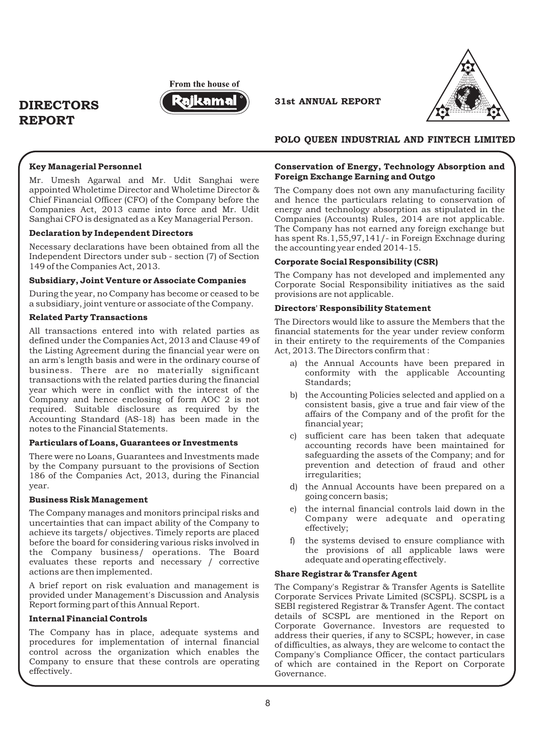## **DIRECTORS REPORT**





**31st ANNUAL REPORT**

#### **POLO QUEEN INDUSTRIAL AND FINTECH LIMITED**

#### **Key Managerial Personnel**

Mr. Umesh Agarwal and Mr. Udit Sanghai were appointed Wholetime Director and Wholetime Director & Chief Financial Officer (CFO) of the Company before the Companies Act, 2013 came into force and Mr. Udit Sanghai CFO is designated as a Key Managerial Person.

#### **Declaration by Independent Directors**

Necessary declarations have been obtained from all the Independent Directors under sub - section (7) of Section 149 of the Companies Act, 2013.

#### **Subsidiary, Joint Venture or Associate Companies**

During the year, no Company has become or ceased to be a subsidiary, joint venture or associate of the Company.

#### **Related Party Transactions**

All transactions entered into with related parties as defined under the Companies Act, 2013 and Clause 49 of the Listing Agreement during the financial year were on an arm's length basis and were in the ordinary course of business. There are no materially significant transactions with the related parties during the financial year which were in conflict with the interest of the Company and hence enclosing of form AOC 2 is not required. Suitable disclosure as required by the Accounting Standard (AS-18) has been made in the notes to the Financial Statements.

#### **Particulars of Loans, Guarantees or Investments**

There were no Loans, Guarantees and Investments made by the Company pursuant to the provisions of Section 186 of the Companies Act, 2013, during the Financial year.

#### **Business Risk Management**

The Company manages and monitors principal risks and uncertainties that can impact ability of the Company to achieve its targets/ objectives. Timely reports are placed before the board for considering various risks involved in the Company business/ operations. The Board evaluates these reports and necessary / corrective actions are then implemented.

A brief report on risk evaluation and management is provided under Management's Discussion and Analysis Report forming part of this Annual Report.

#### **Internal Financial Controls**

The Company has in place, adequate systems and procedures for implementation of internal financial control across the organization which enables the Company to ensure that these controls are operating effectively.

#### **Conservation of Energy, Technology Absorption and Foreign Exchange Earning and Outgo**

The Company does not own any manufacturing facility and hence the particulars relating to conservation of energy and technology absorption as stipulated in the Companies (Accounts) Rules, 2014 are not applicable. The Company has not earned any foreign exchange but has spent Rs.1,55,97,141/- in Foreign Exchnage during the accounting year ended 2014-15.

#### **Corporate Social Responsibility (CSR)**

The Company has not developed and implemented any Corporate Social Responsibility initiatives as the said provisions are not applicable.

#### **Directors' Responsibility Statement**

The Directors would like to assure the Members that the financial statements for the year under review conform in their entirety to the requirements of the Companies Act, 2013. The Directors confirm that :

- a) the Annual Accounts have been prepared in conformity with the applicable Accounting Standards;
- b) the Accounting Policies selected and applied on a consistent basis, give a true and fair view of the affairs of the Company and of the profit for the financial year;
- c) sufficient care has been taken that adequate accounting records have been maintained for safeguarding the assets of the Company; and for prevention and detection of fraud and other irregularities;
- d) the Annual Accounts have been prepared on a going concern basis;
- e) the internal financial controls laid down in the Company were adequate and operating effectively;
- f) the systems devised to ensure compliance with the provisions of all applicable laws were adequate and operating effectively.

#### **Share Registrar & Transfer Agent**

The Company's Registrar & Transfer Agents is Satellite Corporate Services Private Limited (SCSPL). SCSPL is a SEBI registered Registrar & Transfer Agent. The contact details of SCSPL are mentioned in the Report on Corporate Governance. Investors are requested to address their queries, if any to SCSPL; however, in case of difficulties, as always, they are welcome to contact the Company's Compliance Officer, the contact particulars of which are contained in the Report on Corporate Governance.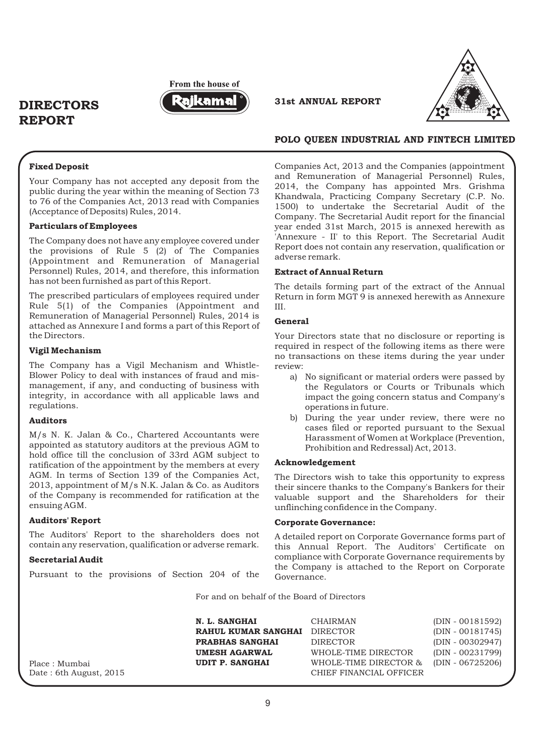## **DIRECTORS REPORT**







#### **Fixed Deposit**

Your Company has not accepted any deposit from the public during the year within the meaning of Section 73 to 76 of the Companies Act, 2013 read with Companies (Acceptance of Deposits) Rules, 2014.

#### **Particulars of Employees**

The Company does not have any employee covered under the provisions of Rule 5 (2) of The Companies (Appointment and Remuneration of Managerial Personnel) Rules, 2014, and therefore, this information has not been furnished as part of this Report.

The prescribed particulars of employees required under Rule 5(1) of the Companies (Appointment and Remuneration of Managerial Personnel) Rules, 2014 is attached as Annexure I and forms a part of this Report of the Directors.

#### **Vigil Mechanism**

The Company has a Vigil Mechanism and Whistle-Blower Policy to deal with instances of fraud and mismanagement, if any, and conducting of business with integrity, in accordance with all applicable laws and regulations.

#### **Auditors**

M/s N. K. Jalan & Co., Chartered Accountants were appointed as statutory auditors at the previous AGM to hold office till the conclusion of 33rd AGM subject to ratification of the appointment by the members at every AGM. In terms of Section 139 of the Companies Act, 2013, appointment of M/s N.K. Jalan & Co. as Auditors of the Company is recommended for ratification at the ensuing AGM.

#### **Auditors' Report**

The Auditors' Report to the shareholders does not contain any reservation, qualification or adverse remark.

#### **Secretarial Audit**

Place Date

Pursuant to the provisions of Section 204 of the

#### **POLO QUEEN INDUSTRIAL AND FINTECH LIMITED**

Companies Act, 2013 and the Companies (appointment and Remuneration of Managerial Personnel) Rules, 2014, the Company has appointed Mrs. Grishma Khandwala, Practicing Company Secretary (C.P. No. 1500) to undertake the Secretarial Audit of the Company. The Secretarial Audit report for the financial year ended 31st March, 2015 is annexed herewith as 'Annexure - II' to this Report. The Secretarial Audit Report does not contain any reservation, qualification or adverse remark.

#### **Extract of Annual Return**

The details forming part of the extract of the Annual Return in form MGT 9 is annexed herewith as Annexure III.

#### **General**

Your Directors state that no disclosure or reporting is required in respect of the following items as there were no transactions on these items during the year under review:

- a) No significant or material orders were passed by the Regulators or Courts or Tribunals which impact the going concern status and Company's operations in future.
- b) During the year under review, there were no cases filed or reported pursuant to the Sexual Harassment of Women at Workplace (Prevention, Prohibition and Redressal) Act, 2013.

#### **Acknowledgement**

The Directors wish to take this opportunity to express their sincere thanks to the Company's Bankers for their valuable support and the Shareholders for their unflinching confidence in the Company.

#### **Corporate Governance:**

A detailed report on Corporate Governance forms part of this Annual Report. The Auditors' Certificate on compliance with Corporate Governance requirements by the Company is attached to the Report on Corporate Governance.

For and on behalf of the Board of Directors

|                                | N. L. SANGHAI                       | <b>CHAIRMAN</b>                                  | $(DIN - 00181592)$ |
|--------------------------------|-------------------------------------|--------------------------------------------------|--------------------|
|                                | <b>RAHUL KUMAR SANGHAI DIRECTOR</b> |                                                  | $(DIN - 00181745)$ |
|                                | PRABHAS SANGHAI                     | <b>DIRECTOR</b>                                  | $(DIN - 00302947)$ |
|                                | <b>UMESH AGARWAL</b>                | WHOLE-TIME DIRECTOR                              | (DIN - 00231799)   |
| : Mumbai<br>: 6th August, 2015 | <b>UDIT P. SANGHAI</b>              | WHOLE-TIME DIRECTOR &<br>CHIEF FINANCIAL OFFICER | (DIN - 06725206)   |
|                                |                                     |                                                  |                    |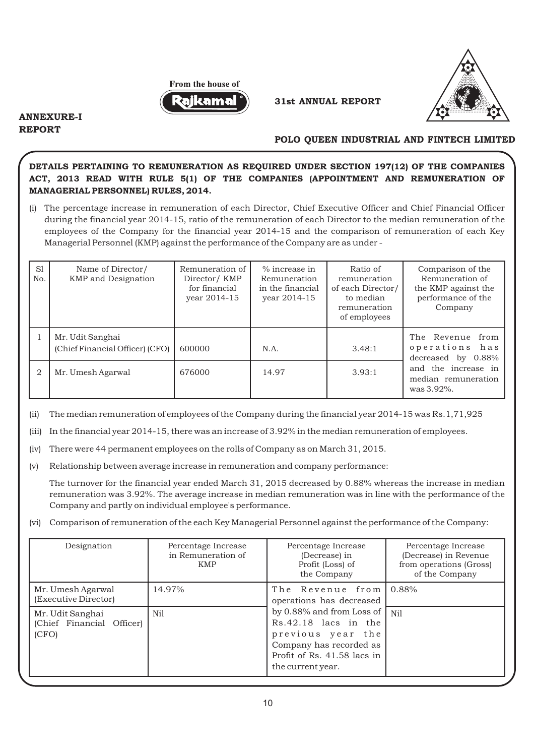

**31st ANNUAL REPORT**



#### **ANNEXURE-I REPORT**

#### **POLO QUEEN INDUSTRIAL AND FINTECH LIMITED**

**DETAILS PERTAINING TO REMUNERATION AS REQUIRED UNDER SECTION 197(12) OF THE COMPANIES ACT, 2013 READ WITH RULE 5(1) OF THE COMPANIES (APPOINTMENT AND REMUNERATION OF MANAGERIAL PERSONNEL) RULES, 2014.**

(i) The percentage increase in remuneration of each Director, Chief Executive Officer and Chief Financial Officer during the financial year 2014-15, ratio of the remuneration of each Director to the median remuneration of the employees of the Company for the financial year 2014-15 and the comparison of remuneration of each Key Managerial Personnel (KMP) against the performance of the Company are as under -

| S1<br>No.      | Name of Director/<br><b>KMP</b> and Designation     | Remuneration of<br>Director/KMP<br>for financial<br>year 2014-15 | % increase in<br>Remuneration<br>in the financial<br>year 2014-15 | Ratio of<br>remuneration<br>of each Director/<br>to median<br>remuneration<br>of employees | Comparison of the<br>Remuneration of<br>the KMP against the<br>performance of the<br>Company |
|----------------|-----------------------------------------------------|------------------------------------------------------------------|-------------------------------------------------------------------|--------------------------------------------------------------------------------------------|----------------------------------------------------------------------------------------------|
|                | Mr. Udit Sanghai<br>(Chief Financial Officer) (CFO) | 600000                                                           | N.A.                                                              | 3.48:1                                                                                     | The Revenue from<br>operations has<br>decreased by 0.88%                                     |
| $\overline{2}$ | Mr. Umesh Agarwal                                   | 676000                                                           | 14.97                                                             | 3.93:1                                                                                     | and the increase in<br>median remuneration<br>was 3.92%.                                     |

(ii) The median remuneration of employees of the Company during the financial year 2014-15 was Rs.1,71,925

(iii) In the financial year 2014-15, there was an increase of 3.92% in the median remuneration of employees.

(iv) There were 44 permanent employees on the rolls of Company as on March 31, 2015.

(v) Relationship between average increase in remuneration and company performance:

The turnover for the financial year ended March 31, 2015 decreased by 0.88% whereas the increase in median remuneration was 3.92%. The average increase in median remuneration was in line with the performance of the Company and partly on individual employee's performance.

(vi) Comparison of remuneration of the each Key Managerial Personnel against the performance of the Company:

| Designation                                            | Percentage Increase<br>in Remuneration of<br><b>KMP</b> | Percentage Increase<br>(Decrease) in<br>Profit (Loss) of<br>the Company                                                                                          | Percentage Increase<br>(Decrease) in Revenue<br>from operations (Gross)<br>of the Company |
|--------------------------------------------------------|---------------------------------------------------------|------------------------------------------------------------------------------------------------------------------------------------------------------------------|-------------------------------------------------------------------------------------------|
| Mr. Umesh Agarwal<br>(Executive Director)              | 14.97%                                                  | The Revenue from<br>operations has decreased                                                                                                                     | 0.88%                                                                                     |
| Mr. Udit Sanghai<br>(Chief Financial Officer)<br>(CFO) | N <sub>i</sub>                                          | by 0.88% and from Loss of $\mid$ Nil<br>Rs.42.18 lacs in the<br>previous year the<br>Company has recorded as<br>Profit of Rs. 41.58 lacs in<br>the current year. |                                                                                           |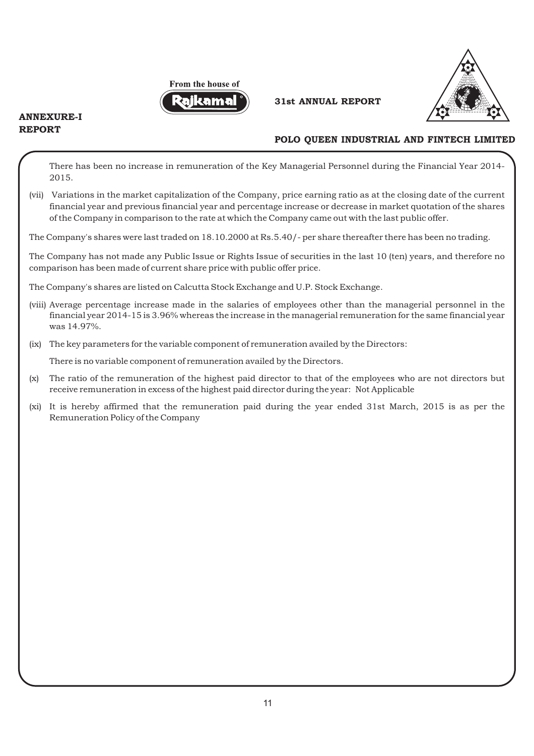

#### **ANNEXURE-I REPORT**

## **POLO QUEEN INDUSTRIAL AND FINTECH LIMITED**

There has been no increase in remuneration of the Key Managerial Personnel during the Financial Year 2014- 2015.

**31st ANNUAL REPORT**

(vii) Variations in the market capitalization of the Company, price earning ratio as at the closing date of the current financial year and previous financial year and percentage increase or decrease in market quotation of the shares of the Company in comparison to the rate at which the Company came out with the last public offer.

The Company's shares were last traded on 18.10.2000 at Rs.5.40/- per share thereafter there has been no trading.

The Company has not made any Public Issue or Rights Issue of securities in the last 10 (ten) years, and therefore no comparison has been made of current share price with public offer price.

The Company's shares are listed on Calcutta Stock Exchange and U.P. Stock Exchange.

- (viii) Average percentage increase made in the salaries of employees other than the managerial personnel in the financial year 2014-15 is 3.96% whereas the increase in the managerial remuneration for the same financial year was 14.97%.
- (ix) The key parameters for the variable component of remuneration availed by the Directors:

There is no variable component of remuneration availed by the Directors.

- (x) The ratio of the remuneration of the highest paid director to that of the employees who are not directors but receive remuneration in excess of the highest paid director during the year: Not Applicable
- (xi) It is hereby affirmed that the remuneration paid during the year ended 31st March, 2015 is as per the Remuneration Policy of the Company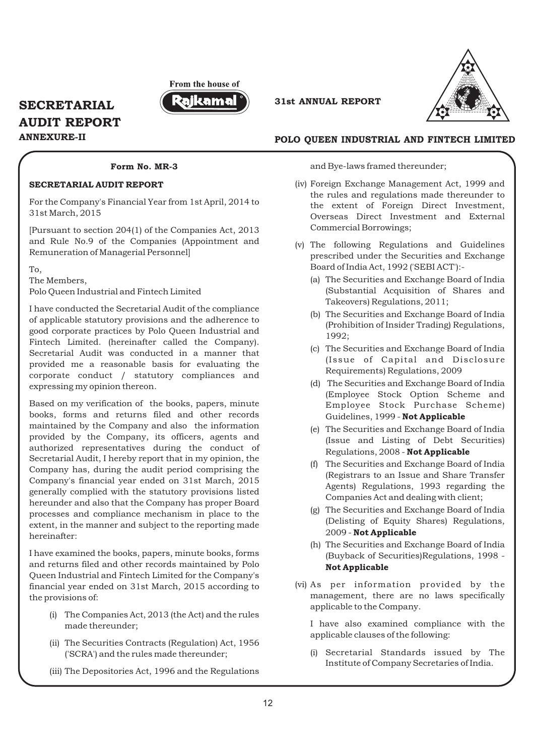

## **SECRETARIAL AUDIT REPORT**



#### **31st ANNUAL REPORT**



### **ANNEXURE-II POLO QUEEN INDUSTRIAL AND FINTECH LIMITED**

**Form No. MR-3**

#### **SECRETARIAL AUDIT REPORT**

For the Company's Financial Year from 1st April, 2014 to 31st March, 2015

[Pursuant to section 204(1) of the Companies Act, 2013 and Rule No.9 of the Companies (Appointment and Remuneration of Managerial Personnel]

To,

The Members,

Polo Queen Industrial and Fintech Limited

I have conducted the Secretarial Audit of the compliance of applicable statutory provisions and the adherence to good corporate practices by Polo Queen Industrial and Fintech Limited. (hereinafter called the Company). Secretarial Audit was conducted in a manner that provided me a reasonable basis for evaluating the corporate conduct / statutory compliances and expressing my opinion thereon.

Based on my verification of the books, papers, minute books, forms and returns filed and other records maintained by the Company and also the information provided by the Company, its officers, agents and authorized representatives during the conduct of Secretarial Audit, I hereby report that in my opinion, the Company has, during the audit period comprising the Company's financial year ended on 31st March, 2015 generally complied with the statutory provisions listed hereunder and also that the Company has proper Board processes and compliance mechanism in place to the extent, in the manner and subject to the reporting made hereinafter:

I have examined the books, papers, minute books, forms and returns filed and other records maintained by Polo Queen Industrial and Fintech Limited for the Company's financial year ended on 31st March, 2015 according to the provisions of:

- (i) The Companies Act, 2013 (the Act) and the rules made thereunder;
- (ii) The Securities Contracts (Regulation) Act, 1956 ('SCRA') and the rules made thereunder;
- (iii) The Depositories Act, 1996 and the Regulations

and Bye-laws framed thereunder;

- (iv) Foreign Exchange Management Act, 1999 and the rules and regulations made thereunder to the extent of Foreign Direct Investment, Overseas Direct Investment and External Commercial Borrowings;
- (v) The following Regulations and Guidelines prescribed under the Securities and Exchange Board of India Act, 1992 ('SEBI ACT'):-
	- (a) The Securities and Exchange Board of India (Substantial Acquisition of Shares and Takeovers) Regulations, 2011;
	- (b) The Securities and Exchange Board of India (Prohibition of Insider Trading) Regulations, 1992;
	- (c) The Securities and Exchange Board of India (Issue of Capital and Disclosure Requirements) Regulations, 2009
	- (d) The Securities and Exchange Board of India (Employee Stock Option Scheme and Employee Stock Purchase Scheme) Guidelines, 1999 - **Not Applicable**
	- (e) The Securities and Exchange Board of India (Issue and Listing of Debt Securities) Regulations, 2008 - **Not Applicable**
	- (f) The Securities and Exchange Board of India (Registrars to an Issue and Share Transfer Agents) Regulations, 1993 regarding the Companies Act and dealing with client;
	- (g) The Securities and Exchange Board of India (Delisting of Equity Shares) Regulations, 2009 - **Not Applicable**
	- (h) The Securities and Exchange Board of India (Buyback of Securities)Regulations, 1998 - **Not Applicable**
- (vi) As per information provided by the management, there are no laws specifically applicable to the Company.

I have also examined compliance with the applicable clauses of the following:

(i) Secretarial Standards issued by The Institute of Company Secretaries of India.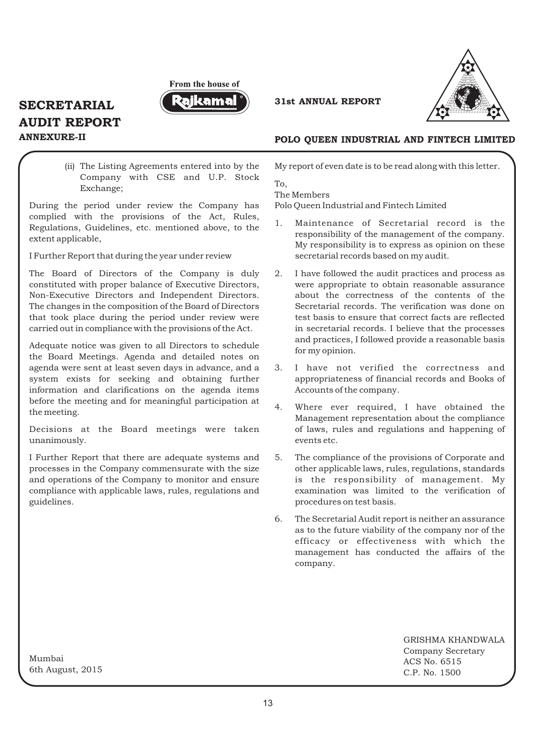

## **SECRETARIAL AUDIT REPORT ANNEXURE-II**

extent applicable,

the meeting.

unanimously.

guidelines.

Exchange;

During the period under review the Company has complied with the provisions of the Act, Rules, Regulations, Guidelines, etc. mentioned above, to the

The Board of Directors of the Company is duly constituted with proper balance of Executive Directors, Non-Executive Directors and Independent Directors. The changes in the composition of the Board of Directors that took place during the period under review were carried out in compliance with the provisions of the Act. Adequate notice was given to all Directors to schedule the Board Meetings. Agenda and detailed notes on agenda were sent at least seven days in advance, and a system exists for seeking and obtaining further information and clarifications on the agenda items before the meeting and for meaningful participation at

Decisions at the Board meetings were taken

I Further Report that there are adequate systems and processes in the Company commensurate with the size and operations of the Company to monitor and ensure compliance with applicable laws, rules, regulations and

I Further Report that during the year under review



#### **31st ANNUAL REPORT**



#### (ii) The Listing Agreements entered into by the Company with CSE and U.P. Stock My report of even date is to be read along with this letter. To,

The Members

Polo Queen Industrial and Fintech Limited

1. Maintenance of Secretarial record is the responsibility of the management of the company. My responsibility is to express as opinion on these secretarial records based on my audit.

**POLO QUEEN INDUSTRIAL AND FINTECH LIMITED**

- 2. I have followed the audit practices and process as were appropriate to obtain reasonable assurance about the correctness of the contents of the Secretarial records. The verification was done on test basis to ensure that correct facts are reflected in secretarial records. I believe that the processes and practices, I followed provide a reasonable basis for my opinion.
- 3. I have not verified the correctness and appropriateness of financial records and Books of Accounts of the company.
- 4. Where ever required, I have obtained the Management representation about the compliance of laws, rules and regulations and happening of events etc.
- 5. The compliance of the provisions of Corporate and other applicable laws, rules, regulations, standards is the responsibility of management. My examination was limited to the verification of procedures on test basis.
- 6. The Secretarial Audit report is neither an assurance as to the future viability of the company nor of the efficacy or effectiveness with which the management has conducted the affairs of the company.

Mumbai 6th August, 2015 GRISHMA KHANDWALA Company Secretary ACS No. 6515 C.P. No. 1500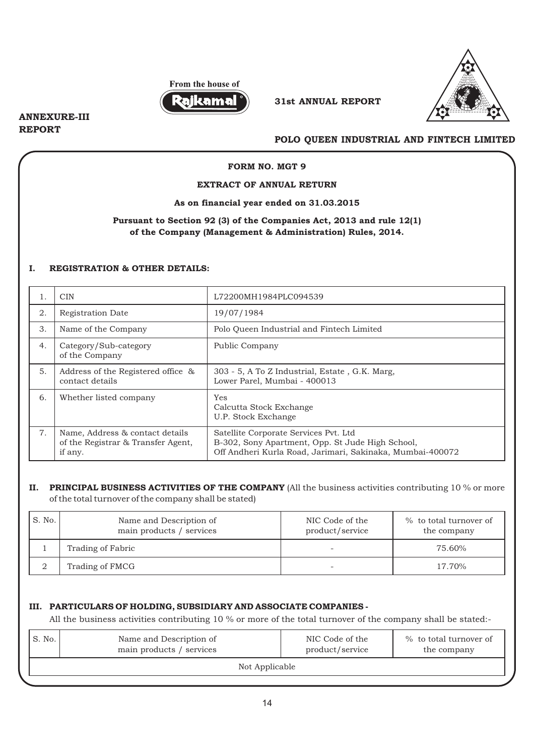

**31st ANNUAL REPORT**



#### **ANNEXURE-III REPORT**

#### **POLO QUEEN INDUSTRIAL AND FINTECH LIMITED**

#### **FORM NO. MGT 9**

#### **EXTRACT OF ANNUAL RETURN**

#### **As on financial year ended on 31.03.2015**

#### **Pursuant to Section 92 (3) of the Companies Act, 2013 and rule 12(1) of the Company (Management & Administration) Rules, 2014.**

#### **I. REGISTRATION & OTHER DETAILS:**

| 1. | <b>CIN</b>                                                                       | L72200MH1984PLC094539                                                                                                                                  |  |  |  |
|----|----------------------------------------------------------------------------------|--------------------------------------------------------------------------------------------------------------------------------------------------------|--|--|--|
| 2. | <b>Registration Date</b>                                                         | 19/07/1984                                                                                                                                             |  |  |  |
| 3. | Name of the Company                                                              | Polo Queen Industrial and Fintech Limited                                                                                                              |  |  |  |
| 4. | Category/Sub-category<br>of the Company                                          | Public Company                                                                                                                                         |  |  |  |
| 5. | Address of the Registered office &<br>contact details                            | 303 - 5, A To Z Industrial, Estate, G.K. Marg,<br>Lower Parel, Mumbai - 400013                                                                         |  |  |  |
| 6. | Whether listed company                                                           | Yes<br>Calcutta Stock Exchange<br>U.P. Stock Exchange                                                                                                  |  |  |  |
| 7. | Name, Address & contact details<br>of the Registrar & Transfer Agent,<br>if any. | Satellite Corporate Services Pvt. Ltd<br>B-302, Sony Apartment, Opp. St Jude High School,<br>Off Andheri Kurla Road, Jarimari, Sakinaka, Mumbai-400072 |  |  |  |

#### **II. PRINCIPAL BUSINESS ACTIVITIES OF THE COMPANY** (All the business activities contributing 10 % or more of the total turnover of the company shall be stated)

| S. No.<br>Name and Description of<br>main products / services |                   | NIC Code of the<br>product/service | % to total turnover of<br>the company |
|---------------------------------------------------------------|-------------------|------------------------------------|---------------------------------------|
|                                                               | Trading of Fabric |                                    | 75.60%                                |
|                                                               | Trading of FMCG   |                                    | 17.70%                                |

#### **III. PARTICULARS OF HOLDING, SUBSIDIARY AND ASSOCIATE COMPANIES -**

All the business activities contributing 10 % or more of the total turnover of the company shall be stated:-

| S. No. | Name and Description of  | NIC Code of the | % to total turnover of |  |
|--------|--------------------------|-----------------|------------------------|--|
|        | main products / services | product/service | the company            |  |
|        | Not Applicable           |                 |                        |  |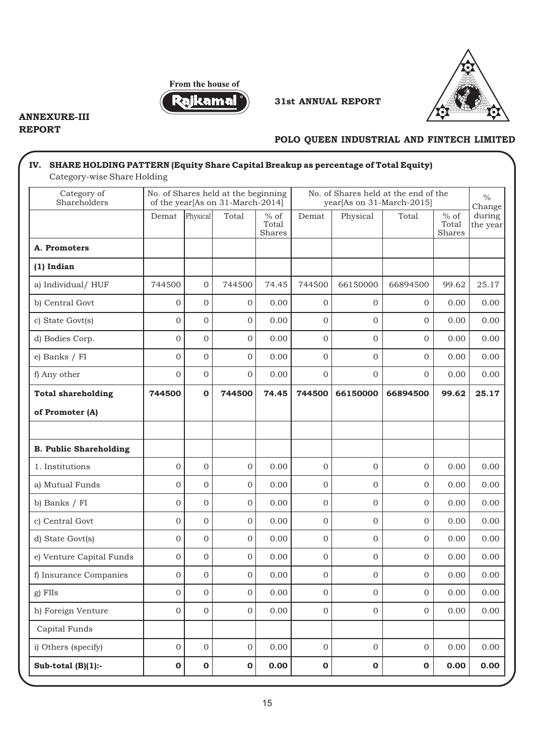

#### **ANNEXURE-III REPORT**

#### **POLO QUEEN INDUSTRIAL AND FINTECH LIMITED**

**31st ANNUAL REPORT**

### **IV. SHARE HOLDING PATTERN (Equity Share Capital Breakup as percentage of Total Equity)** Category-wise Share Holding Category of Shareholders No. of Shares held at the beginning of the year[As on 31-March-2014] No. of Shares held at the end of the of Shares held at the end of the  $\frac{9}{6}$  year[As on 31-March-2015] Change during the year Demat Physical Total \% of Total Shares Demat Physical Total % of Total Shares Total **A. Promoters (1) Indian Total shareholding 744500 0 744500 74.45 744500 66150000 66894500 99.62 25.17 B. Public Shareholding Sub-total (B)(1):- 0 0 0 0.00 0 0 0 0.00 0.00** a) Individual/ HUF 244500 | 0 744500 | 74.45 | 744500 | 66150000 | 66894500 | 99.62 | 25.17 b) Central Govt 0 0 0 0.00 0 0 0 0.00 0.00 c) State Govt(s)  $\begin{array}{ccc} | & 0 & 0 & 0 \\ 0 & 0 & 0 & 0 \end{array}$  0.00 0.00 0.00 0.00 d) Bodies Corp.  $\begin{vmatrix} 0 & 0 & 0 \\ 0 & 0 & 0 \\ 0 & 0 & 0 \end{vmatrix}$  0 0.00 0.00 0.00 0.00 e) Banks / FI 0 0 0 0.00 0 0 0 0.00 0.00 f) Any other 0 0 0 0.00 0 0 0 0.00 0.00 1. Institutions 0 0 0 0.00 0 0 0 0.00 0.00 a) Mutual Funds  $\begin{bmatrix} 0 & 0 & 0 \\ 0 & 0 & 0 \\ 0 & 0 & 0 \end{bmatrix}$   $\begin{bmatrix} 0.00 & 0 \\ 0.00 & 0 \\ 0 & 0 \end{bmatrix}$   $\begin{bmatrix} 0.00 & 0.00 \\ 0.00 & 0.00 \\ 0.00 & 0.00 \\ 0.00 & 0.00 \end{bmatrix}$ b) Banks / FI 0 0 0 0.00 0 0 0 0.00 0.00 c) Central Govt  $\begin{vmatrix} 0 & 0 & 0 & 0 \\ 0 & 0 & 0 & 0 \\ 0 & 0 & 0 & 0 \end{vmatrix}$   $\begin{vmatrix} 0 & 0 & 0 & 0 \\ 0 & 0 & 0 & 0 \\ 0 & 0 & 0 & 0 \end{vmatrix}$ d) State Govt(s) 0 0 0 0.00 0 0 0 0.00 0.00 e) Venture Capital Funds  $\begin{vmatrix} 0 & 0 & 0 \\ 0 & 0 & 0 \\ 0 & 0 & 0 \end{vmatrix}$   $\begin{vmatrix} 0 & 0 & 0 \\ 0 & 0 & 0 \\ 0 & 0 & 0 \end{vmatrix}$   $\begin{vmatrix} 0 & 0 & 0 \\ 0 & 0 & 0 \\ 0 & 0 & 0 \end{vmatrix}$ f) Insurance Companies 0 0 0 0.00 0 0 0 0.00 0.00 g) FIIs | 0 | 0 | 0 0 | 0 | 0 | 0 | 0.00 | 0.00 h) Foreign Venture  $\begin{vmatrix} 0 & 0 & 0 & 0 \\ 0 & 0 & 0 & 0 \\ 0 & 0 & 0 & 0 \end{vmatrix}$  0 0 0.00 0.00 i) Others (specify)  $\begin{vmatrix} 0 & 0 & 0 & 0 \\ 0 & 0 & 0 & 0 \end{vmatrix}$  0 0.00 0 0.00 0.00 **of Promoter (A)** Capital Funds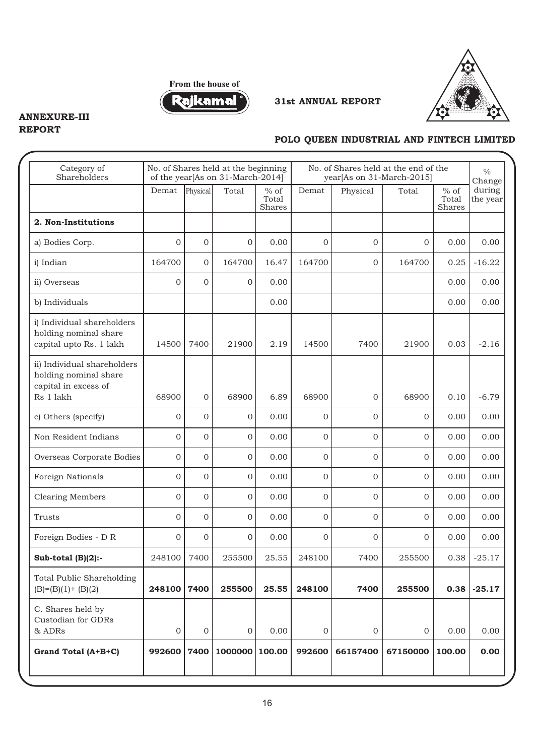

From the house of **Ra** jkama

### **31st ANNUAL REPORT**

### **ANNEXURE-III REPORT**

### **POLO QUEEN INDUSTRIAL AND FINTECH LIMITED**

| Category of<br>Shareholders                                                               | No. of Shares held at the beginning<br>of the year[As on 31-March-2014] |                |                | No. of Shares held at the end of the<br>year[As on 31-March-2015] |                |                |                | $\frac{0}{0}$<br>Change    |                    |
|-------------------------------------------------------------------------------------------|-------------------------------------------------------------------------|----------------|----------------|-------------------------------------------------------------------|----------------|----------------|----------------|----------------------------|--------------------|
|                                                                                           | Demat                                                                   | Physical       | Total          | $\%$ of<br>Total<br>Shares                                        | Demat          | Physical       | Total          | $\%$ of<br>Total<br>Shares | during<br>the year |
| 2. Non-Institutions                                                                       |                                                                         |                |                |                                                                   |                |                |                |                            |                    |
| a) Bodies Corp.                                                                           | $\overline{0}$                                                          | $\overline{0}$ | $\overline{0}$ | 0.00                                                              | $\mathbf{0}$   | $\mathbf{0}$   | $\mathbf{O}$   | 0.00                       | 0.00               |
| i) Indian                                                                                 | 164700                                                                  | $\overline{O}$ | 164700         | 16.47                                                             | 164700         | $\mathbf{0}$   | 164700         | 0.25                       | $-16.22$           |
| ii) Overseas                                                                              | $\mathbf{O}$                                                            | $\overline{0}$ | $\mathbf{0}$   | 0.00                                                              |                |                |                | 0.00                       | 0.00               |
| b) Individuals                                                                            |                                                                         |                |                | 0.00                                                              |                |                |                | 0.00                       | 0.00               |
| i) Individual shareholders<br>holding nominal share<br>capital upto Rs. 1 lakh            | 14500                                                                   | 7400           | 21900          | 2.19                                                              | 14500          | 7400           | 21900          | 0.03                       | $-2.16$            |
| ii) Individual shareholders<br>holding nominal share<br>capital in excess of<br>Rs 1 lakh | 68900                                                                   | $\overline{0}$ | 68900          | 6.89                                                              | 68900          | $\mathbf 0$    | 68900          | 0.10                       | $-6.79$            |
| c) Others (specify)                                                                       | $\mathbf{O}$                                                            | $\mathbf{O}$   | $\overline{0}$ | 0.00                                                              | $\mathbf{0}$   | $\mathbf 0$    | $\mathbf{O}$   | 0.00                       | 0.00               |
| Non Resident Indians                                                                      | $\overline{0}$                                                          | $\overline{0}$ | $\mathbf{0}$   | 0.00                                                              | $\mathbf{0}$   | $\mathbf 0$    | $\overline{0}$ | 0.00                       | 0.00               |
| Overseas Corporate Bodies                                                                 | $\overline{0}$                                                          | $\Omega$       | $\overline{0}$ | 0.00                                                              | $\overline{0}$ | $\mathbf{0}$   | $\overline{0}$ | 0.00                       | 0.00               |
| Foreign Nationals                                                                         | $\Omega$                                                                | $\mathbf{O}$   | $\overline{0}$ | 0.00                                                              | $\overline{0}$ | $\overline{0}$ | $\mathbf{0}$   | 0.00                       | 0.00               |
| <b>Clearing Members</b>                                                                   | $\Omega$                                                                | $\mathbf{O}$   | $\overline{0}$ | 0.00                                                              | $\overline{0}$ | $\mathbf{0}$   | $\overline{0}$ | 0.00                       | 0.00               |
| Trusts                                                                                    | $\overline{0}$                                                          | $\overline{0}$ | $\overline{0}$ | 0.00                                                              | $\mathbf{0}$   | $\mathbf{0}$   | $\overline{0}$ | 0.00                       | 0.00               |
| Foreign Bodies - D R                                                                      | $\overline{0}$                                                          | $\overline{0}$ | $\overline{0}$ | 0.00                                                              | $\overline{0}$ | $\mathbf 0$    | $\mathbf{O}$   | 0.00                       | 0.00               |
| Sub-total $(B)(2)$ :-                                                                     | 248100                                                                  | 7400           | 255500         | 25.55                                                             | 248100         | 7400           | 255500         | 0.38                       | $-25.17$           |
| <b>Total Public Shareholding</b><br>$(B)= (B)(1)+(B)(2)$                                  | 248100                                                                  | 7400           | 255500         | 25.55                                                             | 248100         | 7400           | 255500         | 0.38                       | $-25.17$           |
| C. Shares held by<br>Custodian for GDRs<br>& ADRs                                         | $\mathbf 0$                                                             | $\mathbf{0}$   | $\mathbf 0$    | 0.00                                                              | $\mathbf{0}$   | 0              | $\overline{0}$ | 0.00                       | 0.00               |
| Grand Total (A+B+C)                                                                       | 992600                                                                  | 7400           | 1000000        | 100.00                                                            | 992600         | 66157400       | 67150000       | 100.00                     | 0.00               |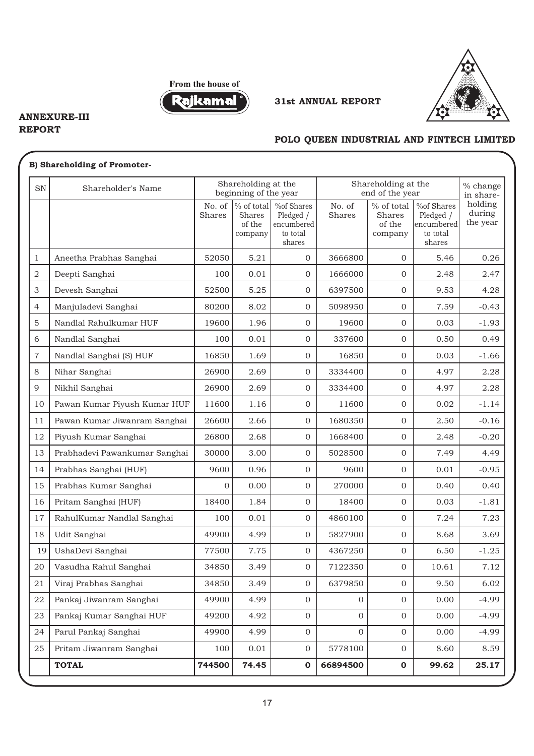From the house of Raikama



#### **ANNEXURE-III REPORT**

### **POLO QUEEN INDUSTRIAL AND FINTECH LIMITED**

**31st ANNUAL REPORT**

| <b>SN</b>      | Shareholder's Name            |                  | Shareholding at the<br>beginning of the year |                                                             |                  | Shareholding at the<br>end of the year           |                                                             | % change<br>in share-         |
|----------------|-------------------------------|------------------|----------------------------------------------|-------------------------------------------------------------|------------------|--------------------------------------------------|-------------------------------------------------------------|-------------------------------|
|                |                               | No. of<br>Shares | % of total<br>Shares<br>of the<br>company    | %of Shares<br>Pledged /<br>encumbered<br>to total<br>shares | No. of<br>Shares | % of total<br><b>Shares</b><br>of the<br>company | %of Shares<br>Pledged /<br>encumbered<br>to total<br>shares | holding<br>during<br>the year |
| $\mathbf{1}$   | Aneetha Prabhas Sanghai       | 52050            | 5.21                                         | $\overline{0}$                                              | 3666800          | $\mathbf{O}$                                     | 5.46                                                        | 0.26                          |
| $\overline{2}$ | Deepti Sanghai                | 100              | 0.01                                         | $\Omega$                                                    | 1666000          | $\mathbf{O}$                                     | 2.48                                                        | 2.47                          |
| $\mathfrak{Z}$ | Devesh Sanghai                | 52500            | 5.25                                         | $\mathbf{O}$                                                | 6397500          | $\mathbf{O}$                                     | 9.53                                                        | 4.28                          |
| $\overline{4}$ | Manjuladevi Sanghai           | 80200            | 8.02                                         | $\mathbf{O}$                                                | 5098950          | $\mathbf{O}$                                     | 7.59                                                        | $-0.43$                       |
| 5              | Nandlal Rahulkumar HUF        | 19600            | 1.96                                         | $\mathbf{O}$                                                | 19600            | $\mathbf{O}$                                     | 0.03                                                        | $-1.93$                       |
| 6              | Nandlal Sanghai               | 100              | 0.01                                         | $\mathbf{O}$                                                | 337600           | $\mathbf{0}$                                     | 0.50                                                        | 0.49                          |
| $\overline{7}$ | Nandlal Sanghai (S) HUF       | 16850            | 1.69                                         | $\overline{0}$                                              | 16850            | $\mathbf{0}$                                     | 0.03                                                        | $-1.66$                       |
| 8              | Nihar Sanghai                 | 26900            | 2.69                                         | $\overline{0}$                                              | 3334400          | $\mathbf{O}$                                     | 4.97                                                        | 2.28                          |
| 9              | Nikhil Sanghai                | 26900            | 2.69                                         | $\mathbf{O}$                                                | 3334400          | $\mathbf{O}$                                     | 4.97                                                        | 2.28                          |
| 10             | Pawan Kumar Piyush Kumar HUF  | 11600            | 1.16                                         | $\overline{0}$                                              | 11600            | $\mathbf{O}$                                     | 0.02                                                        | $-1.14$                       |
| 11             | Pawan Kumar Jiwanram Sanghai  | 26600            | 2.66                                         | $\overline{O}$                                              | 1680350          | $\mathbf{O}$                                     | 2.50                                                        | $-0.16$                       |
| 12             | Piyush Kumar Sanghai          | 26800            | 2.68                                         | $\overline{0}$                                              | 1668400          | $\mathbf{O}$                                     | 2.48                                                        | $-0.20$                       |
| 13             | Prabhadevi Pawankumar Sanghai | 30000            | 3.00                                         | $\overline{0}$                                              | 5028500          | $\mathbf{0}$                                     | 7.49                                                        | 4.49                          |
| 14             | Prabhas Sanghai (HUF)         | 9600             | 0.96                                         | $\mathbf{O}$                                                | 9600             | $\mathbf{O}$                                     | 0.01                                                        | $-0.95$                       |
| 15             | Prabhas Kumar Sanghai         | $\Omega$         | 0.00                                         | $\overline{0}$                                              | 270000           | $\mathbf{0}$                                     | 0.40                                                        | 0.40                          |
| 16             | Pritam Sanghai (HUF)          | 18400            | 1.84                                         | $\mathbf{0}$                                                | 18400            | $\overline{0}$                                   | 0.03                                                        | $-1.81$                       |
| 17             | RahulKumar Nandlal Sanghai    | 100              | 0.01                                         | $\overline{O}$                                              | 4860100          | $\mathbf{0}$                                     | 7.24                                                        | 7.23                          |
| 18             | Udit Sanghai                  | 49900            | 4.99                                         | $\mathbf{0}$                                                | 5827900          | 0                                                | 8.68                                                        | 3.69                          |
| 19             | UshaDevi Sanghai              | 77500            | 7.75                                         | $\overline{0}$                                              | 4367250          | $\overline{0}$                                   | 6.50                                                        | $-1.25$                       |
| 20             | Vasudha Rahul Sanghai         | 34850            | 3.49                                         | $\overline{0}$                                              | 7122350          | 0                                                | 10.61                                                       | 7.12                          |
| 21             | Viraj Prabhas Sanghai         | 34850            | 3.49                                         | $\overline{0}$                                              | 6379850          | $\overline{0}$                                   | 9.50                                                        | 6.02                          |
| 22             | Pankaj Jiwanram Sanghai       | 49900            | 4.99                                         | $\overline{0}$                                              | $\overline{0}$   | $\overline{0}$                                   | 0.00                                                        | $-4.99$                       |
| 23             | Pankaj Kumar Sanghai HUF      | 49200            | 4.92                                         | $\mathbf{O}$                                                | $\overline{0}$   | $\overline{0}$                                   | 0.00                                                        | $-4.99$                       |
| 24             | Parul Pankaj Sanghai          | 49900            | 4.99                                         | $\mathbf{O}$                                                | $\mathbf{0}$     | $\mathbf{0}$                                     | 0.00                                                        | $-4.99$                       |
| 25             | Pritam Jiwanram Sanghai       | 100              | 0.01                                         | 0                                                           | 5778100          | $\overline{0}$                                   | 8.60                                                        | 8.59                          |
|                | <b>TOTAL</b>                  | 744500           | 74.45                                        | O                                                           | 66894500         | $\mathbf 0$                                      | 99.62                                                       | 25.17                         |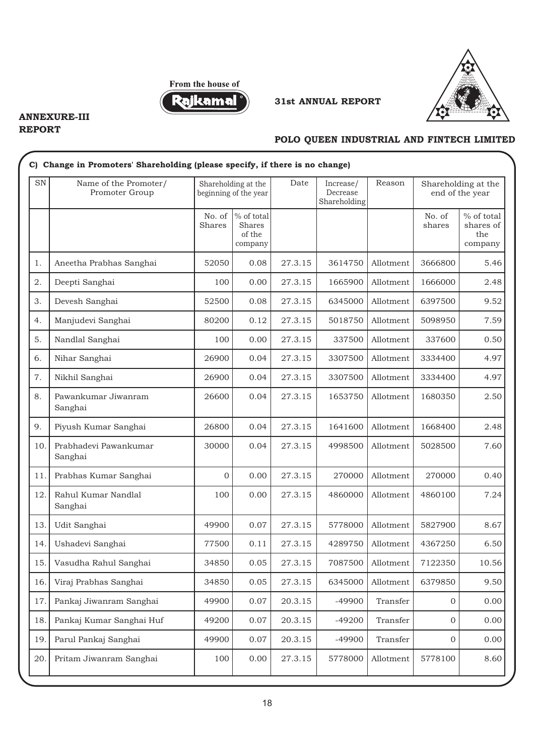



#### **31st ANNUAL REPORT**

### **ANNEXURE-III REPORT**

### **POLO QUEEN INDUSTRIAL AND FINTECH LIMITED**

| SN  | Name of the Promoter/<br>Promoter Group |                  | Shareholding at the<br>beginning of the year | Date    | Increase/<br>Decrease<br>Shareholding | Reason    |                  | Shareholding at the<br>end of the year    |
|-----|-----------------------------------------|------------------|----------------------------------------------|---------|---------------------------------------|-----------|------------------|-------------------------------------------|
|     |                                         | No. of<br>Shares | % of total<br>Shares<br>of the<br>company    |         |                                       |           | No. of<br>shares | % of total<br>shares of<br>the<br>company |
| 1.  | Aneetha Prabhas Sanghai                 | 52050            | 0.08                                         | 27.3.15 | 3614750                               | Allotment | 3666800          | 5.46                                      |
| 2.  | Deepti Sanghai                          | 100              | 0.00                                         | 27.3.15 | 1665900                               | Allotment | 1666000          | 2.48                                      |
| 3.  | Devesh Sanghai                          | 52500            | 0.08                                         | 27.3.15 | 6345000                               | Allotment | 6397500          | 9.52                                      |
| 4.  | Manjudevi Sanghai                       | 80200            | 0.12                                         | 27.3.15 | 5018750                               | Allotment | 5098950          | 7.59                                      |
| 5.  | Nandlal Sanghai                         | 100              | 0.00                                         | 27.3.15 | 337500                                | Allotment | 337600           | 0.50                                      |
| 6.  | Nihar Sanghai                           | 26900            | 0.04                                         | 27.3.15 | 3307500                               | Allotment | 3334400          | 4.97                                      |
| 7.  | Nikhil Sanghai                          | 26900            | 0.04                                         | 27.3.15 | 3307500                               | Allotment | 3334400          | 4.97                                      |
| 8.  | Pawankumar Jiwanram<br>Sanghai          | 26600            | 0.04                                         | 27.3.15 | 1653750                               | Allotment | 1680350          | 2.50                                      |
| 9.  | Piyush Kumar Sanghai                    | 26800            | 0.04                                         | 27.3.15 | 1641600                               | Allotment | 1668400          | 2.48                                      |
| 10. | Prabhadevi Pawankumar<br>Sanghai        | 30000            | 0.04                                         | 27.3.15 | 4998500                               | Allotment | 5028500          | 7.60                                      |
| 11. | Prabhas Kumar Sanghai                   | $\overline{0}$   | 0.00                                         | 27.3.15 | 270000                                | Allotment | 270000           | 0.40                                      |
| 12. | Rahul Kumar Nandlal<br>Sanghai          | 100              | 0.00                                         | 27.3.15 | 4860000                               | Allotment | 4860100          | 7.24                                      |
| 13. | Udit Sanghai                            | 49900            | 0.07                                         | 27.3.15 | 5778000                               | Allotment | 5827900          | 8.67                                      |
| 14. | Ushadevi Sanghai                        | 77500            | 0.11                                         | 27.3.15 | 4289750                               | Allotment | 4367250          | 6.50                                      |
| 15. | Vasudha Rahul Sanghai                   | 34850            | 0.05                                         | 27.3.15 | 7087500                               | Allotment | 7122350          | 10.56                                     |
| 16. | Viraj Prabhas Sanghai                   | 34850            | 0.05                                         | 27.3.15 | 6345000                               | Allotment | 6379850          | 9.50                                      |
| 17. | Pankaj Jiwanram Sanghai                 | 49900            | 0.07                                         | 20.3.15 | -49900                                | Transfer  | $\mathbf 0$      | 0.00                                      |
| 18. | Pankaj Kumar Sanghai Huf                | 49200            | 0.07                                         | 20.3.15 | $-49200$                              | Transfer  | $\mathbf 0$      | 0.00                                      |
| 19. | Parul Pankaj Sanghai                    | 49900            | 0.07                                         | 20.3.15 | -49900                                | Transfer  | 0                | 0.00                                      |
| 20. | Pritam Jiwanram Sanghai                 | 100              | 0.00                                         | 27.3.15 | 5778000                               | Allotment | 5778100          | 8.60                                      |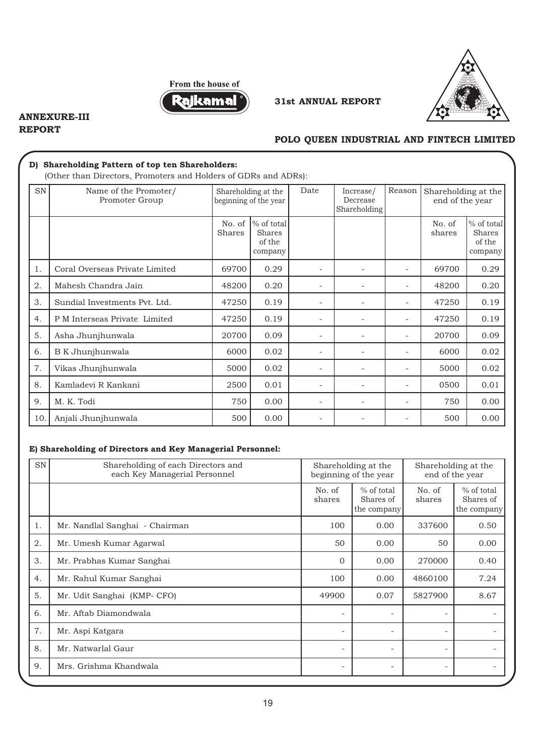

**31st ANNUAL REPORT**



#### **ANNEXURE-III REPORT**

#### **POLO QUEEN INDUSTRIAL AND FINTECH LIMITED**

| D)  | <b>Shareholding Pattern of top ten Shareholders:</b><br>(Other than Directors, Promoters and Holders of GDRs and ADRs): |                                              |                                           |      |                                       |                          |                                        |                                           |  |  |
|-----|-------------------------------------------------------------------------------------------------------------------------|----------------------------------------------|-------------------------------------------|------|---------------------------------------|--------------------------|----------------------------------------|-------------------------------------------|--|--|
| SN  | Name of the Promoter/<br>Promoter Group                                                                                 | Shareholding at the<br>beginning of the year |                                           | Date | Increase/<br>Decrease<br>Shareholding | Reason                   | Shareholding at the<br>end of the year |                                           |  |  |
|     |                                                                                                                         | No. of<br>Shares                             | % of total<br>Shares<br>of the<br>company |      |                                       |                          | No. of<br>shares                       | % of total<br>Shares<br>of the<br>company |  |  |
| 1.  | Coral Overseas Private Limited                                                                                          | 69700                                        | 0.29                                      |      |                                       |                          | 69700                                  | 0.29                                      |  |  |
| 2.  | Mahesh Chandra Jain                                                                                                     | 48200                                        | 0.20                                      | ۰    |                                       |                          | 48200                                  | 0.20                                      |  |  |
| 3.  | Sundial Investments Pvt. Ltd.                                                                                           | 47250                                        | 0.19                                      | ۰    |                                       |                          | 47250                                  | 0.19                                      |  |  |
| 4.  | P M Interseas Private Limited                                                                                           | 47250                                        | 0.19                                      |      |                                       |                          | 47250                                  | 0.19                                      |  |  |
| 5.  | Asha Jhunjhunwala                                                                                                       | 20700                                        | 0.09                                      | ÷    |                                       | $\overline{\phantom{a}}$ | 20700                                  | 0.09                                      |  |  |
| 6.  | B K Jhunjhunwala                                                                                                        | 6000                                         | 0.02                                      |      |                                       | $\overline{\phantom{a}}$ | 6000                                   | 0.02                                      |  |  |
| 7.  | Vikas Jhunjhunwala                                                                                                      | 5000                                         | 0.02                                      |      |                                       |                          | 5000                                   | 0.02                                      |  |  |
| 8.  | Kamladevi R Kankani                                                                                                     | 2500                                         | 0.01                                      | ۰    |                                       | $\overline{\phantom{a}}$ | 0500                                   | 0.01                                      |  |  |
| 9.  | M. K. Todi                                                                                                              | 750                                          | 0.00                                      | ۰    |                                       |                          | 750                                    | 0.00                                      |  |  |
| 10. | Anjali Jhunjhunwala                                                                                                     | 500                                          | 0.00                                      | ۰    |                                       |                          | 500                                    | 0.00                                      |  |  |

#### **E) Shareholding of Directors and Key Managerial Personnel:**

| Shareholding of each Directors and<br>each Key Managerial Personnel |                          | Shareholding at the                      | Shareholding at the<br>end of the year |                                          |  |
|---------------------------------------------------------------------|--------------------------|------------------------------------------|----------------------------------------|------------------------------------------|--|
|                                                                     | No. of<br>shares         | $%$ of total<br>Shares of<br>the company | No. of<br>shares                       | $%$ of total<br>Shares of<br>the company |  |
| Mr. Nandlal Sanghai - Chairman                                      | 100                      | 0.00                                     | 337600                                 | 0.50                                     |  |
| Mr. Umesh Kumar Agarwal                                             | 50                       | 0.00                                     | 50                                     | 0.00                                     |  |
| Mr. Prabhas Kumar Sanghai                                           | $\Omega$                 | 0.00                                     | 270000                                 | 0.40                                     |  |
| Mr. Rahul Kumar Sanghai                                             | 100                      | 0.00                                     | 4860100                                | 7.24                                     |  |
| Mr. Udit Sanghai (KMP- CFO)                                         | 49900                    | 0.07                                     | 5827900                                | 8.67                                     |  |
| Mr. Aftab Diamondwala                                               | ۰                        |                                          | $\overline{\phantom{a}}$               |                                          |  |
| Mr. Aspi Katgara                                                    | ÷                        |                                          | $\sim$                                 |                                          |  |
| Mr. Natwarlal Gaur                                                  | $\overline{\phantom{a}}$ | $\overline{\phantom{a}}$                 | $\overline{\phantom{a}}$               | $\overline{\phantom{a}}$                 |  |
| Mrs. Grishma Khandwala                                              | $\overline{\phantom{a}}$ | $\overline{\phantom{a}}$                 | $\overline{\phantom{a}}$               | $\overline{\phantom{a}}$                 |  |
|                                                                     |                          |                                          | beginning of the year                  |                                          |  |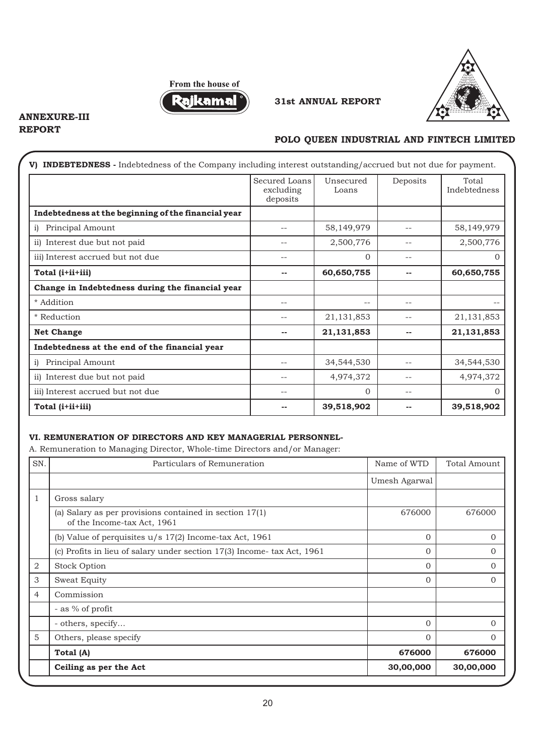



## **31st ANNUAL REPORT**

#### **ANNEXURE-III REPORT**

#### **POLO QUEEN INDUSTRIAL AND FINTECH LIMITED**

| <b>INDEBTEDNESS</b> - Indebtedness of the Company including interest outstanding/accrued but not due for payment.<br>V) |                                        |                    |                   |                       |  |  |
|-------------------------------------------------------------------------------------------------------------------------|----------------------------------------|--------------------|-------------------|-----------------------|--|--|
|                                                                                                                         | Secured Loans<br>excluding<br>deposits | Unsecured<br>Loans | Deposits          | Total<br>Indebtedness |  |  |
| Indebtedness at the beginning of the financial year                                                                     |                                        |                    |                   |                       |  |  |
| <b>Principal Amount</b><br>i)                                                                                           |                                        | 58,149,979         | $- -$             | 58,149,979            |  |  |
| ii) Interest due but not paid                                                                                           | --                                     | 2,500,776          | $- -$             | 2,500,776             |  |  |
| iii) Interest accrued but not due                                                                                       | --                                     | $\Omega$           | $- -$             | $\Omega$              |  |  |
| Total (i+ii+iii)                                                                                                        | --                                     | 60,650,755         | --                | 60,650,755            |  |  |
| Change in Indebtedness during the financial year                                                                        |                                        |                    |                   |                       |  |  |
| * Addition                                                                                                              |                                        | $- -$              | --                |                       |  |  |
| * Reduction                                                                                                             |                                        | 21, 131, 853       |                   | 21, 131, 853          |  |  |
| <b>Net Change</b>                                                                                                       | --                                     | 21, 131, 853       |                   | 21,131,853            |  |  |
| Indebtedness at the end of the financial year                                                                           |                                        |                    |                   |                       |  |  |
| <b>Principal Amount</b><br>i)                                                                                           |                                        | 34,544,530         | $- -$             | 34,544,530            |  |  |
| ii) Interest due but not paid                                                                                           | --                                     | 4,974,372          | --                | 4,974,372             |  |  |
| iii) Interest accrued but not due                                                                                       | --                                     | $\Omega$           | $\qquad \qquad -$ | 0                     |  |  |
| Total (i+ii+iii)                                                                                                        |                                        | 39,518,902         |                   | 39,518,902            |  |  |

#### **VI. REMUNERATION OF DIRECTORS AND KEY MANAGERIAL PERSONNEL-**

A. Remuneration to Managing Director, Whole-time Directors and/or Manager:

| SN.            | Particulars of Remuneration                                                              | Name of WTD   | <b>Total Amount</b> |
|----------------|------------------------------------------------------------------------------------------|---------------|---------------------|
|                |                                                                                          | Umesh Agarwal |                     |
| 1              | Gross salary                                                                             |               |                     |
|                | (a) Salary as per provisions contained in section $17(1)$<br>of the Income-tax Act, 1961 | 676000        | 676000              |
|                | (b) Value of perquisites $u/s$ 17(2) Income-tax Act, 1961                                | $\Omega$      | $\Omega$            |
|                | (c) Profits in lieu of salary under section 17(3) Income- tax Act, 1961                  | $\Omega$      | $\Omega$            |
| 2              | <b>Stock Option</b>                                                                      | $\Omega$      | $\Omega$            |
| 3              | Sweat Equity                                                                             | $\Omega$      | $\Omega$            |
| $\overline{4}$ | Commission                                                                               |               |                     |
|                | - as % of profit                                                                         |               |                     |
|                | - others, specify                                                                        | $\Omega$      | $\Omega$            |
| 5              | Others, please specify                                                                   | $\Omega$      | $\Omega$            |
|                | Total (A)                                                                                | 676000        | 676000              |
|                | Ceiling as per the Act                                                                   | 30,00,000     | 30,00,000           |
|                |                                                                                          |               |                     |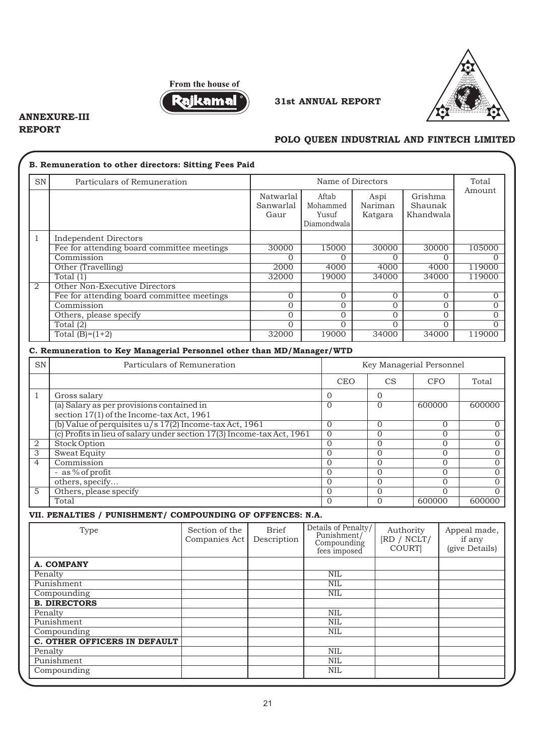

#### **31st ANNUAL REPORT**



#### **ANNEXURE-III REPORT**

#### **POLO QUEEN INDUSTRIAL AND FINTECH LIMITED**

| <b>SN</b>      | Particulars of Remuneration                                           |                                | Name of Directors                         |                            |                                 |          |  |  |
|----------------|-----------------------------------------------------------------------|--------------------------------|-------------------------------------------|----------------------------|---------------------------------|----------|--|--|
|                |                                                                       | Natwarlal<br>Sanwarlal<br>Gaur | Aftab<br>Mohammed<br>Yusuf<br>Diamondwala | Aspi<br>Nariman<br>Katgara | Grishma<br>Shaunak<br>Khandwala | Amount   |  |  |
| $\mathbf{1}$   | <b>Independent Directors</b>                                          |                                |                                           |                            |                                 |          |  |  |
|                | Fee for attending board committee meetings                            | 30000                          | 15000                                     | 30000                      | 30000                           | 105000   |  |  |
|                | Commission                                                            | $\Omega$                       | 0                                         | 0                          | $\Omega$                        | 0        |  |  |
|                | Other (Travelling)                                                    | 2000                           | 4000                                      | 4000                       | 4000                            | 119000   |  |  |
|                | Total $(1)$                                                           | 32000                          | 19000                                     | 34000                      | 34000                           | 119000   |  |  |
| $\overline{2}$ | Other Non-Executive Directors                                         |                                |                                           |                            |                                 |          |  |  |
|                | Fee for attending board committee meetings                            | $\Omega$                       | 0                                         | $\Omega$                   | $\Omega$                        | $\Omega$ |  |  |
|                | Commission                                                            | $\Omega$                       | $\Omega$                                  | $\Omega$                   | $\Omega$                        | $\Omega$ |  |  |
|                | Others, please specify                                                | $\Omega$                       | $\Omega$                                  | $\Omega$                   | $\Omega$                        | $\Omega$ |  |  |
|                | Total $(2)$                                                           | 0                              | 0                                         | 0                          | $\Omega$                        | $\Omega$ |  |  |
|                | Total $(B)=(1+2)$                                                     | 32000                          | 19000                                     | 34000                      | 34000                           | 119000   |  |  |
|                | C. Remuneration to Key Managerial Personnel other than MD/Manager/WTD |                                |                                           |                            |                                 |          |  |  |
| <b>SN</b>      | Particulars of Remuneration                                           |                                |                                           |                            | Key Managerial Personnel        |          |  |  |
|                |                                                                       | <b>CEO</b>                     | CS.                                       | <b>CFO</b>                 | Total                           |          |  |  |
|                | $\sim$                                                                |                                |                                           |                            |                                 |          |  |  |

|  | UP U   | τυιαι  |
|--|--------|--------|
|  |        |        |
|  | 600000 | 600000 |
|  |        |        |
|  |        |        |
|  |        |        |
|  |        |        |
|  |        |        |
|  |        |        |
|  |        |        |
|  |        |        |
|  |        |        |
|  | 600000 | 600000 |
|  |        |        |

#### **VII. PENALTIES / PUNISHMENT/ COMPOUNDING OF OFFENCES: N.A.**

| Type                         | Section of the<br>Companies Act | <b>Brief</b><br>Description | Details of Penalty/<br>Punishment/<br>Compounding<br>fees imposed | Authority<br>[RD / NCLT/<br><b>COURT</b> | Appeal made,<br>if any<br>(give Details) |
|------------------------------|---------------------------------|-----------------------------|-------------------------------------------------------------------|------------------------------------------|------------------------------------------|
| A. COMPANY                   |                                 |                             |                                                                   |                                          |                                          |
| Penalty                      |                                 |                             | <b>NIL</b>                                                        |                                          |                                          |
| Punishment                   |                                 |                             | <b>NIL</b>                                                        |                                          |                                          |
| Compounding                  |                                 |                             | <b>NIL</b>                                                        |                                          |                                          |
| <b>B. DIRECTORS</b>          |                                 |                             |                                                                   |                                          |                                          |
| Penalty                      |                                 |                             | <b>NIL</b>                                                        |                                          |                                          |
| Punishment                   |                                 |                             | <b>NIL</b>                                                        |                                          |                                          |
| Compounding                  |                                 |                             | <b>NIL</b>                                                        |                                          |                                          |
| C. OTHER OFFICERS IN DEFAULT |                                 |                             |                                                                   |                                          |                                          |
| Penalty                      |                                 |                             | <b>NIL</b>                                                        |                                          |                                          |
| Punishment                   |                                 |                             | <b>NIL</b>                                                        |                                          |                                          |
| Compounding                  |                                 |                             | <b>NIL</b>                                                        |                                          |                                          |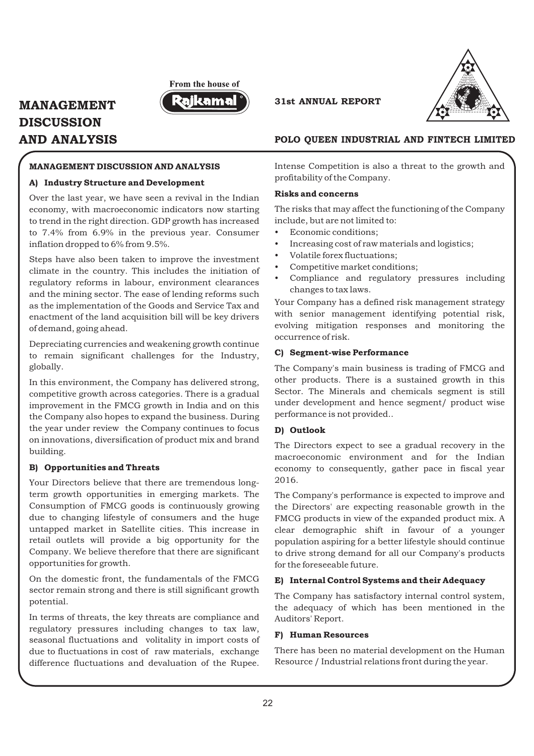

## **MANAGEMENT DISCUSSION**



#### **A) Industry Structure and Development**

Over the last year, we have seen a revival in the Indian economy, with macroeconomic indicators now starting to trend in the right direction. GDP growth has increased to 7.4% from 6.9% in the previous year. Consumer inflation dropped to 6% from 9.5%.

From the house of

Steps have also been taken to improve the investment climate in the country. This includes the initiation of regulatory reforms in labour, environment clearances and the mining sector. The ease of lending reforms such as the implementation of the Goods and Service Tax and enactment of the land acquisition bill will be key drivers of demand, going ahead.

Depreciating currencies and weakening growth continue to remain significant challenges for the Industry, globally.

In this environment, the Company has delivered strong, competitive growth across categories. There is a gradual improvement in the FMCG growth in India and on this the Company also hopes to expand the business. During the year under review the Company continues to focus on innovations, diversification of product mix and brand building.

#### **B) Opportunities and Threats**

Your Directors believe that there are tremendous longterm growth opportunities in emerging markets. The Consumption of FMCG goods is continuously growing due to changing lifestyle of consumers and the huge untapped market in Satellite cities. This increase in retail outlets will provide a big opportunity for the Company. We believe therefore that there are significant opportunities for growth.

On the domestic front, the fundamentals of the FMCG sector remain strong and there is still significant growth potential.

In terms of threats, the key threats are compliance and regulatory pressures including changes to tax law, seasonal fluctuations and volitality in import costs of due to fluctuations in cost of raw materials, exchange difference fluctuations and devaluation of the Rupee.

#### **AND ANALYSIS POLO QUEEN INDUSTRIAL AND FINTECH LIMITED**

Intense Competition is also a threat to the growth and profitability of the Company.

#### **Risks and concerns**

The risks that may affect the functioning of the Company include, but are not limited to:

• Economic conditions;

**31st ANNUAL REPORT**

- Increasing cost of raw materials and logistics; •
- Volatile forex fluctuations; •
- Competitive market conditions; •
- Compliance and regulatory pressures including changes to tax laws. •

Your Company has a defined risk management strategy with senior management identifying potential risk, evolving mitigation responses and monitoring the occurrence of risk.

#### **C) Segment-wise Performance**

The Company's main business is trading of FMCG and other products. There is a sustained growth in this Sector. The Minerals and chemicals segment is still under development and hence segment/ product wise performance is not provided..

#### **D) Outlook**

The Directors expect to see a gradual recovery in the macroeconomic environment and for the Indian economy to consequently, gather pace in fiscal year 2016.

The Company's performance is expected to improve and the Directors' are expecting reasonable growth in the FMCG products in view of the expanded product mix. A clear demographic shift in favour of a younger population aspiring for a better lifestyle should continue to drive strong demand for all our Company's products for the foreseeable future.

#### **E) Internal Control Systems and their Adequacy**

The Company has satisfactory internal control system, the adequacy of which has been mentioned in the Auditors' Report.

#### **F) Human Resources**

There has been no material development on the Human Resource / Industrial relations front during the year.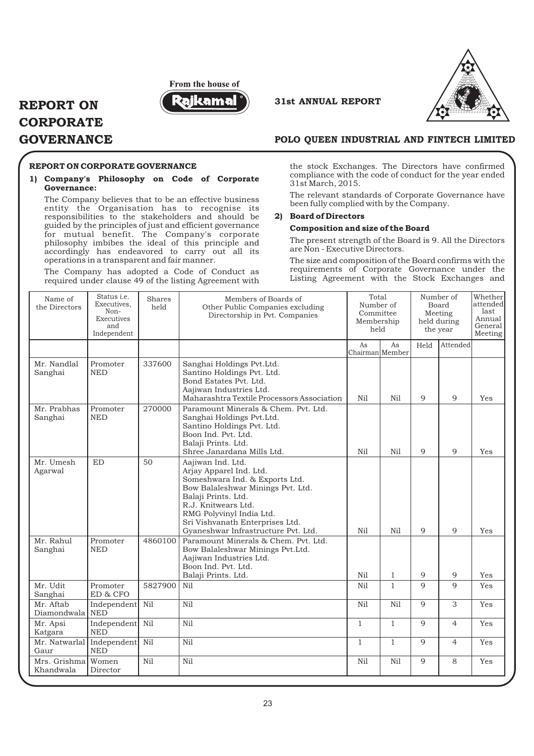## **REPORT ON CORPORATE**



#### **REPORT ON CORPORATE GOVERNANCE**

#### **1) Company's Philosophy on Code of Corporate Governance:**

The Company believes that to be an effective business entity the Organisation has to recognise its responsibilities to the stakeholders and should be guided by the principles of just and efficient governance for mutual benefit. The Company's corporate philosophy imbibes the ideal of this principle and accordingly has endeavored to carry out all its operations in a transparent and fair manner.

The Company has adopted a Code of Conduct as required under clause 49 of the listing Agreement with

#### **31st ANNUAL REPORT**



#### **GOVERNANCE POLO QUEEN INDUSTRIAL AND FINTECH LIMITED**

the stock Exchanges. The Directors have confirmed compliance with the code of conduct for the year ended 31st March, 2015.

The relevant standards of Corporate Governance have been fully complied with by the Company.

#### **2) Board of Directors**

#### **Composition and size of the Board**

The present strength of the Board is 9. All the Directors are Non - Executive Directors.

The size and composition of the Board confirms with the requirements of Corporate Governance under the Listing Agreement with the Stock Exchanges and

| Name of<br>the Directors  | Status <i>i.e.</i><br>Executives.<br>Non-<br>Executives<br>and<br>Independent | <b>Shares</b><br>held | Members of Boards of<br>Other Public Companies excluding<br>Directorship in Pvt. Companies                                                                                                                                                                              | Total<br>Number of<br>Committee<br>Membership<br>held |              | Number of<br>Board<br>Meeting<br>held during<br>the year |                | Whether<br>attended<br>last<br>Annual<br>General<br>Meeting |
|---------------------------|-------------------------------------------------------------------------------|-----------------------|-------------------------------------------------------------------------------------------------------------------------------------------------------------------------------------------------------------------------------------------------------------------------|-------------------------------------------------------|--------------|----------------------------------------------------------|----------------|-------------------------------------------------------------|
|                           |                                                                               |                       |                                                                                                                                                                                                                                                                         | As<br>Chairman Member                                 | As           | Held                                                     | Attended       |                                                             |
| Mr. Nandlal<br>Sanghai    | Promoter<br><b>NED</b>                                                        | 337600                | Sanghai Holdings Pvt.Ltd.<br>Santino Holdings Pvt. Ltd.<br>Bond Estates Pvt. Ltd.<br>Aajiwan Industries Ltd.<br>Maharashtra Textile Processors Association                                                                                                              | Nil                                                   | Nil          | 9                                                        | 9              | Yes                                                         |
| Mr. Prabhas<br>Sanghai    | Promoter<br><b>NED</b>                                                        | 270000                | Paramount Minerals & Chem. Pvt. Ltd.<br>Sanghai Holdings Pvt.Ltd.<br>Santino Holdings Pvt. Ltd.<br>Boon Ind. Pvt. Ltd.<br>Balaji Prints. Ltd.<br>Shree Janardana Mills Ltd.                                                                                             | Nil                                                   | Nil          | 9                                                        | $\mathbf{Q}$   | Yes                                                         |
| Mr. Umesh<br>Agarwal      | <b>ED</b>                                                                     | 50                    | Aajiwan Ind. Ltd.<br>Arjay Apparel Ind. Ltd.<br>Someshwara Ind. & Exports Ltd.<br>Bow Balaleshwar Minings Pvt. Ltd.<br>Balaji Prints. Ltd.<br>R.J. Knitwears Ltd.<br>RMG Polyvinyl India Ltd.<br>Sri Vishvanath Enterprises Ltd.<br>Gyaneshwar Infrastructure Pvt. Ltd. | Ni1                                                   | Nil          | 9                                                        | 9              | Yes                                                         |
| Mr. Rahul<br>Sanghai      | Promoter<br><b>NED</b>                                                        | 4860100               | Paramount Minerals & Chem. Pvt. Ltd.<br>Bow Balaleshwar Minings Pvt.Ltd.<br>Aajiwan Industries Ltd.<br>Boon Ind. Pvt. Ltd.<br>Balaji Prints. Ltd.                                                                                                                       | Nil                                                   | $\mathbf{1}$ | 9                                                        | 9              | <b>Yes</b>                                                  |
| Mr. Udit<br>Sanghai       | Promoter<br>ED & CFO                                                          | 5827900               | N <sub>i</sub> 1                                                                                                                                                                                                                                                        | Ni1                                                   | $\mathbf{1}$ | $\overline{Q}$                                           | $\mathbf Q$    | Yes                                                         |
| Mr. Aftab<br>Diamondwala  | Independent<br><b>NED</b>                                                     | Nil                   | Nil                                                                                                                                                                                                                                                                     | Nil                                                   | Nil          | $\mathbf Q$                                              | 3              | Yes                                                         |
| Mr. Apsi<br>Katgara       | Independent Nil<br><b>NED</b>                                                 |                       | Nil                                                                                                                                                                                                                                                                     | $\mathbf{1}$                                          | $\mathbf{1}$ | $\mathbf Q$                                              | $\overline{4}$ | Yes                                                         |
| Mr. Natwarlal<br>Gaur     | Independent Nil<br><b>NED</b>                                                 |                       | Nil                                                                                                                                                                                                                                                                     | $\mathbf{1}$                                          | $\mathbf{1}$ | $\mathbf Q$                                              | $\overline{4}$ | <b>Yes</b>                                                  |
| Mrs. Grishma<br>Khandwala | Women<br>Director                                                             | Nil                   | Nil                                                                                                                                                                                                                                                                     | Nil                                                   | Nil          | 9                                                        | 8              | Yes                                                         |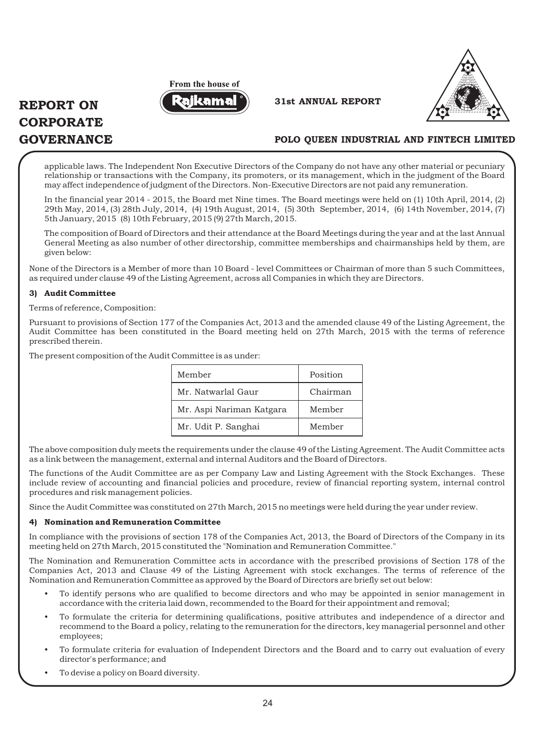

#### **31st ANNUAL REPORT**



## **REPORT ON CORPORATE GOVERNANCE**

#### **POLO QUEEN INDUSTRIAL AND FINTECH LIMITED**

applicable laws. The Independent Non Executive Directors of the Company do not have any other material or pecuniary relationship or transactions with the Company, its promoters, or its management, which in the judgment of the Board may affect independence of judgment of the Directors. Non-Executive Directors are not paid any remuneration.

In the financial year 2014 - 2015, the Board met Nine times. The Board meetings were held on (1) 10th April, 2014, (2) 29th May, 2014, (3) 28th July, 2014, (4) 19th August, 2014, (5) 30th September, 2014, (6) 14th November, 2014, (7) 5th January, 2015 (8) 10th February, 2015 (9) 27th March, 2015.

The composition of Board of Directors and their attendance at the Board Meetings during the year and at the last Annual General Meeting as also number of other directorship, committee memberships and chairmanships held by them, are given below:

None of the Directors is a Member of more than 10 Board - level Committees or Chairman of more than 5 such Committees, as required under clause 49 of the Listing Agreement, across all Companies in which they are Directors.

#### **3) Audit Committee**

Terms of reference, Composition:

Pursuant to provisions of Section 177 of the Companies Act, 2013 and the amended clause 49 of the Listing Agreement, the Audit Committee has been constituted in the Board meeting held on 27th March, 2015 with the terms of reference prescribed therein.

The present composition of the Audit Committee is as under:

| Member                   | Position |
|--------------------------|----------|
| Mr. Natwarlal Gaur       | Chairman |
| Mr. Aspi Nariman Katgara | Member   |
| Mr. Udit P. Sanghai      | Member   |

The above composition duly meets the requirements under the clause 49 of the Listing Agreement. The Audit Committee acts as a link between the management, external and internal Auditors and the Board of Directors.

The functions of the Audit Committee are as per Company Law and Listing Agreement with the Stock Exchanges. These include review of accounting and financial policies and procedure, review of financial reporting system, internal control procedures and risk management policies.

Since the Audit Committee was constituted on 27th March, 2015 no meetings were held during the year under review.

#### **4) Nomination and Remuneration Committee**

In compliance with the provisions of section 178 of the Companies Act, 2013, the Board of Directors of the Company in its meeting held on 27th March, 2015 constituted the "Nomination and Remuneration Committee."

The Nomination and Remuneration Committee acts in accordance with the prescribed provisions of Section 178 of the Companies Act, 2013 and Clause 49 of the Listing Agreement with stock exchanges. The terms of reference of the Nomination and Remuneration Committee as approved by the Board of Directors are briefly set out below:

- To identify persons who are qualified to become directors and who may be appointed in senior management in accordance with the criteria laid down, recommended to the Board for their appointment and removal;
- To formulate the criteria for determining qualifications, positive attributes and independence of a director and recommend to the Board a policy, relating to the remuneration for the directors, key managerial personnel and other employees;
- To formulate criteria for evaluation of Independent Directors and the Board and to carry out evaluation of every director's performance; and
- To devise a policy on Board diversity.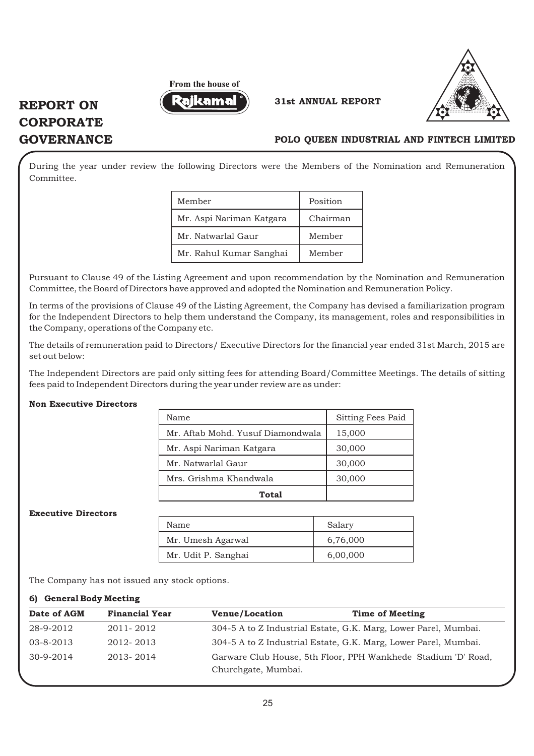

## **REPORT ON CORPORATE GOVERNANCE**



#### **POLO QUEEN INDUSTRIAL AND FINTECH LIMITED**

During the year under review the following Directors were the Members of the Nomination and Remuneration Committee.

| Member                   | Position |
|--------------------------|----------|
| Mr. Aspi Nariman Katgara | Chairman |
| Mr. Natwarlal Gaur       | Member   |
| Mr. Rahul Kumar Sanghai  | Member   |

Pursuant to Clause 49 of the Listing Agreement and upon recommendation by the Nomination and Remuneration Committee, the Board of Directors have approved and adopted the Nomination and Remuneration Policy.

In terms of the provisions of Clause 49 of the Listing Agreement, the Company has devised a familiarization program for the Independent Directors to help them understand the Company, its management, roles and responsibilities in the Company, operations of the Company etc.

The details of remuneration paid to Directors/ Executive Directors for the financial year ended 31st March, 2015 are set out below:

The Independent Directors are paid only sitting fees for attending Board/Committee Meetings. The details of sitting fees paid to Independent Directors during the year under review are as under:

#### **Non Executive Directors**

| Name                              | Sitting Fees Paid |
|-----------------------------------|-------------------|
| Mr. Aftab Mohd. Yusuf Diamondwala | 15,000            |
| Mr. Aspi Nariman Katgara          | 30,000            |
| Mr. Natwarlal Gaur                | 30,000            |
| Mrs. Grishma Khandwala            | 30,000            |
| Total                             |                   |

#### **Executive Directors**

| Name                | Salary   |
|---------------------|----------|
| Mr. Umesh Agarwal   | 6,76,000 |
| Mr. Udit P. Sanghai | 6,00,000 |

The Company has not issued any stock options.

#### **6) General Body Meeting**

| Date of AGM     | <b>Financial Year</b> | Venue/Location      | Time of Meeting                                                 |
|-----------------|-----------------------|---------------------|-----------------------------------------------------------------|
| 28-9-2012       | 2011-2012             |                     | 304-5 A to Z Industrial Estate, G.K. Marg, Lower Parel, Mumbai. |
| $03 - 8 - 2013$ | 2012-2013             |                     | 304-5 A to Z Industrial Estate, G.K. Marg, Lower Parel, Mumbai. |
| $30 - 9 - 2014$ | 2013-2014             |                     | Garware Club House, 5th Floor, PPH Wankhede Stadium 'D' Road,   |
|                 |                       | Churchgate, Mumbai. |                                                                 |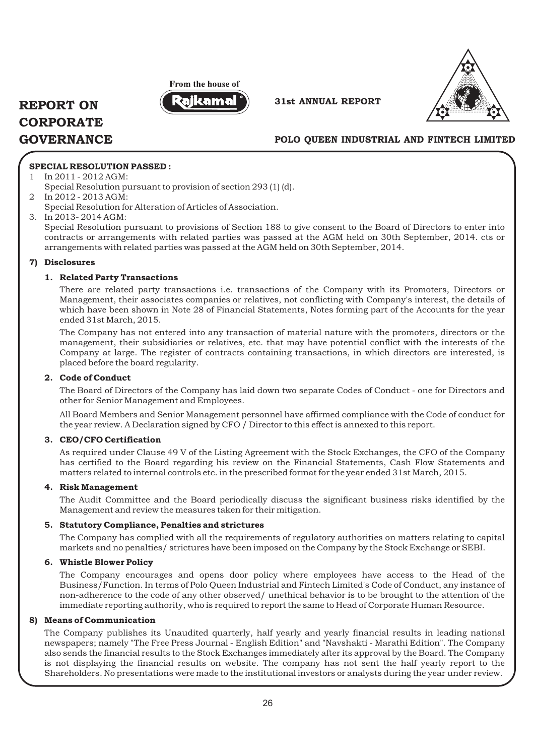## **REPORT ON CORPORATE GOVERNANCE**

**31st ANNUAL REPORT**



#### **POLO QUEEN INDUSTRIAL AND FINTECH LIMITED**

#### **SPECIAL RESOLUTION PASSED :**

- 1 In 2011 2012 AGM:
- Special Resolution pursuant to provision of section 293 (1) (d).
- 2 In 2012 2013 AGM:
- Special Resolution for Alteration of Articles of Association.
- 3. In 2013- 2014 AGM:

Special Resolution pursuant to provisions of Section 188 to give consent to the Board of Directors to enter into contracts or arrangements with related parties was passed at the AGM held on 30th September, 2014. cts or arrangements with related parties was passed at the AGM held on 30th September, 2014.

#### **7) Disclosures**

#### **1. Related Party Transactions**

There are related party transactions i.e. transactions of the Company with its Promoters, Directors or Management, their associates companies or relatives, not conflicting with Company's interest, the details of which have been shown in Note 28 of Financial Statements, Notes forming part of the Accounts for the year ended 31st March, 2015.

The Company has not entered into any transaction of material nature with the promoters, directors or the management, their subsidiaries or relatives, etc. that may have potential conflict with the interests of the Company at large. The register of contracts containing transactions, in which directors are interested, is placed before the board regularity.

#### **2. Code of Conduct**

The Board of Directors of the Company has laid down two separate Codes of Conduct - one for Directors and other for Senior Management and Employees.

All Board Members and Senior Management personnel have affirmed compliance with the Code of conduct for the year review. A Declaration signed by CFO / Director to this effect is annexed to this report.

#### **3. CEO/CFO Certification**

As required under Clause 49 V of the Listing Agreement with the Stock Exchanges, the CFO of the Company has certified to the Board regarding his review on the Financial Statements, Cash Flow Statements and matters related to internal controls etc. in the prescribed format for the year ended 31st March, 2015.

#### **4. Risk Management**

The Audit Committee and the Board periodically discuss the significant business risks identified by the Management and review the measures taken for their mitigation.

#### **5. Statutory Compliance, Penalties and strictures**

The Company has complied with all the requirements of regulatory authorities on matters relating to capital markets and no penalties/ strictures have been imposed on the Company by the Stock Exchange or SEBI.

#### **6. Whistle Blower Policy**

The Company encourages and opens door policy where employees have access to the Head of the Business/Function. In terms of Polo Queen Industrial and Fintech Limited's Code of Conduct, any instance of non-adherence to the code of any other observed/ unethical behavior is to be brought to the attention of the immediate reporting authority, who is required to report the same to Head of Corporate Human Resource.

#### **8) Means of Communication**

The Company publishes its Unaudited quarterly, half yearly and yearly financial results in leading national newspapers; namely "The Free Press Journal - English Edition" and "Navshakti - Marathi Edition". The Company also sends the financial results to the Stock Exchanges immediately after its approval by the Board. The Company is not displaying the financial results on website. The company has not sent the half yearly report to the Shareholders. No presentations were made to the institutional investors or analysts during the year under review.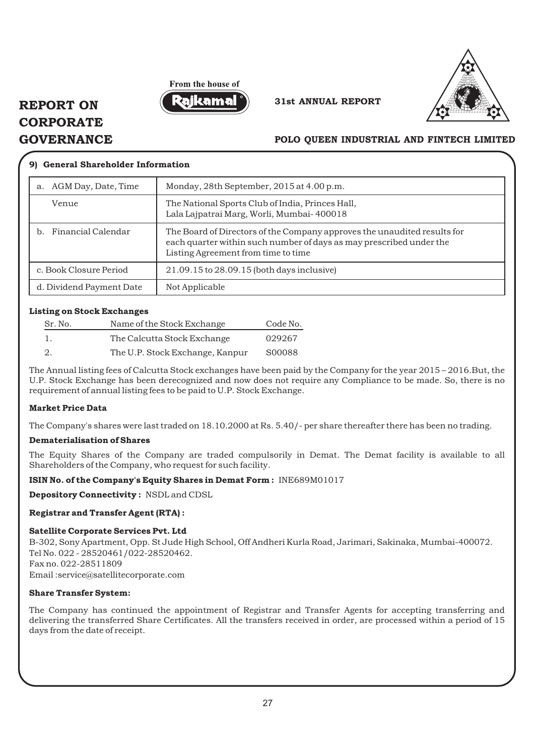

## **REPORT ON CORPORATE GOVERNANCE**





#### **POLO QUEEN INDUSTRIAL AND FINTECH LIMITED**

#### **9) General Shareholder Information**

| AGM Day, Date, Time<br>a. | Monday, 28th September, 2015 at 4.00 p.m.                                                                                                                                              |
|---------------------------|----------------------------------------------------------------------------------------------------------------------------------------------------------------------------------------|
| Venue                     | The National Sports Club of India, Princes Hall,<br>Lala Lajpatrai Marg, Worli, Mumbai-400018                                                                                          |
| Financial Calendar<br>h.  | The Board of Directors of the Company approves the unaudited results for<br>each quarter within such number of days as may prescribed under the<br>Listing Agreement from time to time |
| c. Book Closure Period    | 21.09.15 to 28.09.15 (both days inclusive)                                                                                                                                             |
| d. Dividend Payment Date  | Not Applicable                                                                                                                                                                         |

#### **Listing on Stock Exchanges**

| Sr. No. | Name of the Stock Exchange      | Code No. |
|---------|---------------------------------|----------|
|         | The Calcutta Stock Exchange     | 029267   |
| -2.     | The U.P. Stock Exchange, Kanpur | S00088   |

The Annual listing fees of Calcutta Stock exchanges have been paid by the Company for the year 2015 – 2016.But, the U.P. Stock Exchange has been derecognized and now does not require any Compliance to be made. So, there is no requirement of annual listing fees to be paid to U.P. Stock Exchange.

#### **Market Price Data**

The Company's shares were last traded on 18.10.2000 at Rs. 5.40/- per share thereafter there has been no trading.

#### **Dematerialisation of Shares**

The Equity Shares of the Company are traded compulsorily in Demat. The Demat facility is available to all Shareholders of the Company, who request for such facility.

#### **ISIN No. of the Company's Equity Shares in Demat Form :** INE689M01017

**Depository Connectivity :** NSDL and CDSL

#### **Registrar and Transfer Agent (RTA) :**

#### **Satellite Corporate Services Pvt. Ltd**

B-302, Sony Apartment, Opp. St Jude High School, Off Andheri Kurla Road, Jarimari, Sakinaka, Mumbai-400072. Tel No. 022 - 28520461/022-28520462. Fax no. 022-28511809 Email :service@satellitecorporate.com

#### **Share Transfer System:**

The Company has continued the appointment of Registrar and Transfer Agents for accepting transferring and delivering the transferred Share Certificates. All the transfers received in order, are processed within a period of 15 days from the date of receipt.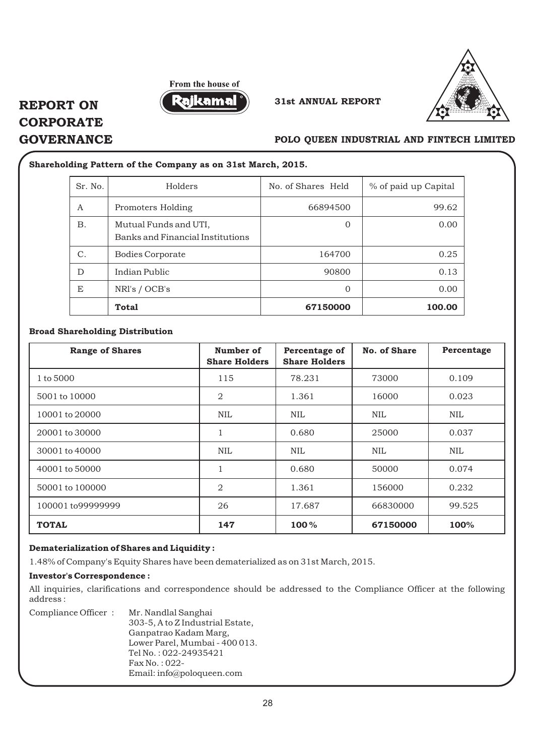

**31st ANNUAL REPORT**



## **REPORT ON CORPORATE GOVERNANCE**

#### **POLO QUEEN INDUSTRIAL AND FINTECH LIMITED**

## Sr. No. | Holders | No. of Shares Held | % of paid up Capital A Promoters Holding 199.62 Banks and Financial Institutions **Shareholding Pattern of the Company as on 31st March, 2015.**

|    | <b>Total</b>                                              | 67150000 | 100.00 |
|----|-----------------------------------------------------------|----------|--------|
| E  | NRI's / OCB's                                             | O        | 0.00   |
| D  | Indian Public                                             | 90800    | 0.13   |
| C. | <b>Bodies Corporate</b>                                   | 164700   | 0.25   |
| В. | Mutual Funds and UTI,<br>Banks and Financial Institutions | O        | 0.00   |

#### **Broad Shareholding Distribution**

| <b>Range of Shares</b> | Number of<br><b>Share Holders</b> | Percentage of<br><b>Share Holders</b> | No. of Share | Percentage |
|------------------------|-----------------------------------|---------------------------------------|--------------|------------|
| 1 to 5000              | 115                               | 78.231                                | 73000        | 0.109      |
| 5001 to 10000          | 2                                 | 1.361                                 | 16000        | 0.023      |
| 10001 to 20000         | <b>NIL</b>                        | <b>NIL</b>                            | <b>NIL</b>   | <b>NIL</b> |
| 20001 to 30000         | 1                                 | 0.680                                 | 25000        | 0.037      |
| 30001 to 40000         | <b>NIL</b>                        | <b>NIL</b>                            | <b>NIL</b>   | <b>NIL</b> |
| 40001 to 50000         |                                   | 0.680                                 | 50000        | 0.074      |
| 50001 to 100000        | $\overline{2}$                    | 1.361                                 | 156000       | 0.232      |
| 100001 to99999999      | 26                                | 17.687                                | 66830000     | 99.525     |
| <b>TOTAL</b>           | 147                               | 100%                                  | 67150000     | 100%       |

#### **Dematerialization of Shares and Liquidity :**

1.48% of Company's Equity Shares have been dematerialized as on 31st March, 2015.

#### **Investor's Correspondence :**

All inquiries, clarifications and correspondence should be addressed to the Compliance Officer at the following address :

| Compliance Officer: | Mr. Nandlal Sanghai              |
|---------------------|----------------------------------|
|                     | 303-5, A to Z Industrial Estate, |
|                     | Ganpatrao Kadam Marg,            |
|                     | Lower Parel, Mumbai - 400 013.   |
|                     | Tel No.: 022-24935421            |
|                     | $Fax No.: 022-$                  |
|                     | Email: $info@pologueen.com$      |
|                     |                                  |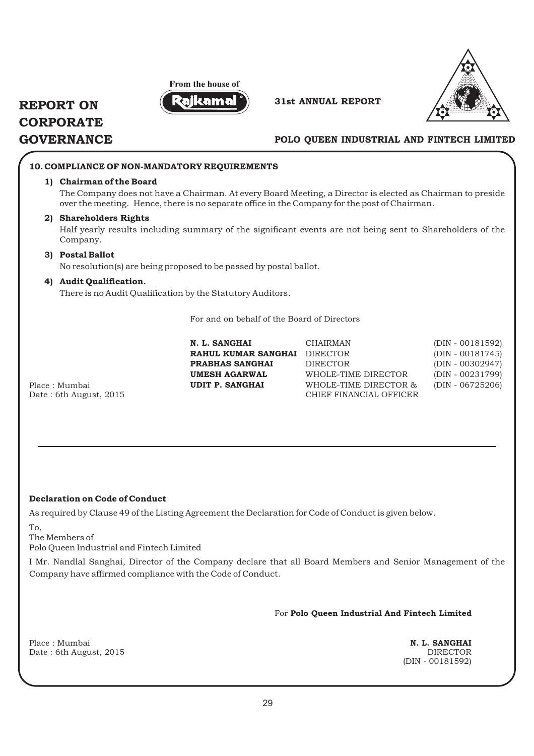## **REPORT ON CORPORATE GOVERNANCE**



**31st ANNUAL REPORT**



#### **POLO QUEEN INDUSTRIAL AND FINTECH LIMITED**

#### **10. COMPLIANCE OF NON-MANDATORY REQUIREMENTS 1) Chairman of the Board** The Company does not have a Chairman. At every Board Meeting, a Director is elected as Chairman to preside over the meeting. Hence, there is no separate office in the Company for the post of Chairman.

#### **2) Shareholders Rights**

Half yearly results including summary of the significant events are not being sent to Shareholders of the Company.

#### **3) Postal Ballot**

No resolution(s) are being proposed to be passed by postal ballot.

#### **4) Audit Qualification.**

There is no Audit Qualification by the Statutory Auditors.

For and on behalf of the Board of Directors

**N. L. SANGHAI RAHUL KUMAR SANGHAI PRABHAS SANGHAI UMESH AGARWAL UDIT P. SANGHAI** CHAIRMAN (DIN - 00181592)  $(DIN - 00181745)$ DIRECTOR (DIN - 00302947) WHOLE-TIME DIRECTOR (DIN - 00231799) WHOLE-TIME DIRECTOR & CHIEF FINANCIAL OFFICER (DIN - 06725206)

Place : Mumbai Date : 6th August, 2015

#### **Declaration on Code of Conduct**

As required by Clause 49 of the Listing Agreement the Declaration for Code of Conduct is given below.

To,

The Members of

Polo Queen Industrial and Fintech Limited

I Mr. Nandlal Sanghai, Director of the Company declare that all Board Members and Senior Management of the Company have affirmed compliance with the Code of Conduct.

For **Polo Queen Industrial And Fintech Limited**

Place : Mumbai Date : 6th August, 2015

**N. L. SANGHAI** DIRECTOR (DIN - 00181592)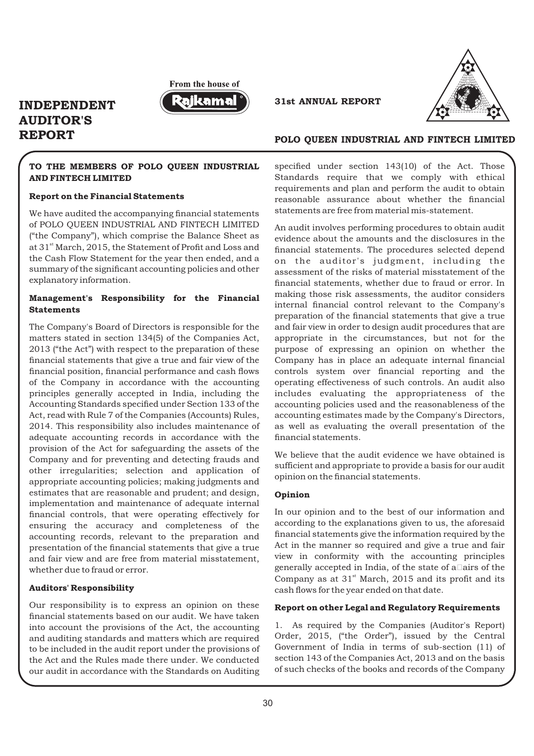

## **INDEPENDENT AUDITOR'S**



#### **31st ANNUAL REPORT**



#### **TO THE MEMBERS OF POLO QUEEN INDUSTRIAL AND FINTECH LIMITED**

#### **Report on the Financial Statements**

We have audited the accompanying financial statements of POLO QUEEN INDUSTRIAL AND FINTECH LIMITED ("the Company"), which comprise the Balance Sheet as at  $31^{st}$  March,  $2015$ , the Statement of Profit and Loss and the Cash Flow Statement for the year then ended, and a summary of the significant accounting policies and other explanatory information.

#### **Management's Responsibility for the Financial Statements**

The Company's Board of Directors is responsible for the matters stated in section 134(5) of the Companies Act, 2013 ("the Act") with respect to the preparation of these financial statements that give a true and fair view of the financial position, financial performance and cash flows of the Company in accordance with the accounting principles generally accepted in India, including the Accounting Standards specified under Section 133 of the Act, read with Rule 7 of the Companies (Accounts) Rules, 2014. This responsibility also includes maintenance of adequate accounting records in accordance with the provision of the Act for safeguarding the assets of the Company and for preventing and detecting frauds and other irregularities; selection and application of appropriate accounting policies; making judgments and estimates that are reasonable and prudent; and design, implementation and maintenance of adequate internal financial controls, that were operating effectively for ensuring the accuracy and completeness of the accounting records, relevant to the preparation and presentation of the financial statements that give a true and fair view and are free from material misstatement, whether due to fraud or error.

#### **Auditors' Responsibility**

Our responsibility is to express an opinion on these financial statements based on our audit. We have taken into account the provisions of the Act, the accounting and auditing standards and matters which are required to be included in the audit report under the provisions of the Act and the Rules made there under. We conducted our audit in accordance with the Standards on Auditing

## **REPORT POLO QUEEN INDUSTRIAL AND FINTECH LIMITED**

specified under section 143(10) of the Act. Those Standards require that we comply with ethical requirements and plan and perform the audit to obtain reasonable assurance about whether the financial statements are free from material mis-statement.

An audit involves performing procedures to obtain audit evidence about the amounts and the disclosures in the financial statements. The procedures selected depend on the auditor's judgment, including the assessment of the risks of material misstatement of the financial statements, whether due to fraud or error. In making those risk assessments, the auditor considers internal financial control relevant to the Company's preparation of the financial statements that give a true and fair view in order to design audit procedures that are appropriate in the circumstances, but not for the purpose of expressing an opinion on whether the Company has in place an adequate internal financial controls system over financial reporting and the operating effectiveness of such controls. An audit also includes evaluating the appropriateness of the accounting policies used and the reasonableness of the accounting estimates made by the Company's Directors, as well as evaluating the overall presentation of the financial statements.

We believe that the audit evidence we have obtained is sufficient and appropriate to provide a basis for our audit opinion on the financial statements.

#### **Opinion**

In our opinion and to the best of our information and according to the explanations given to us, the aforesaid financial statements give the information required by the Act in the manner so required and give a true and fair view in conformity with the accounting principles generally accepted in India, of the state of a $\Box$ airs of the Company as at  $31<sup>st</sup>$  March, 2015 and its profit and its cash flows for the year ended on that date.

#### **Report on other Legal and Regulatory Requirements**

1. As required by the Companies (Auditor's Report) Order, 2015, ("the Order"), issued by the Central Government of India in terms of sub-section (11) of section 143 of the Companies Act, 2013 and on the basis of such checks of the books and records of the Company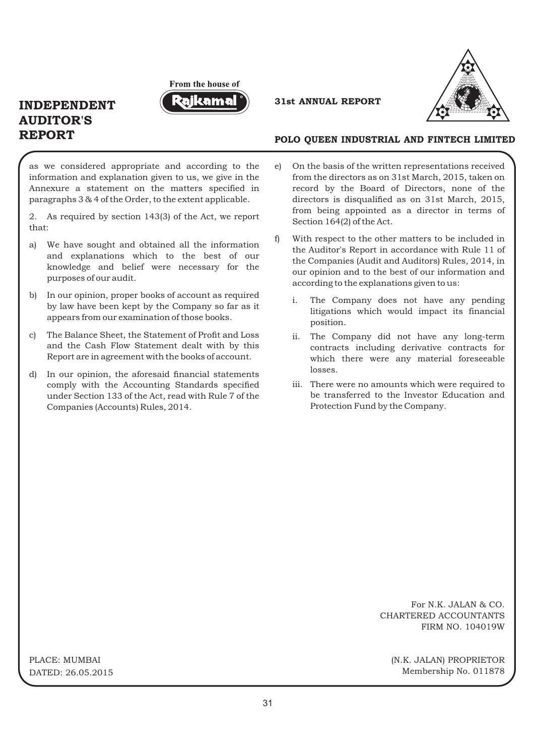

## **INDEPENDENT AUDITOR'S**



#### **31st ANNUAL REPORT**



## **REPORT POLO QUEEN INDUSTRIAL AND FINTECH LIMITED**

as we considered appropriate and according to the information and explanation given to us, we give in the Annexure a statement on the matters specified in paragraphs 3 & 4 of the Order, to the extent applicable.

2. As required by section 143(3) of the Act, we report that:

- a) We have sought and obtained all the information and explanations which to the best of our knowledge and belief were necessary for the purposes of our audit.
- b) In our opinion, proper books of account as required by law have been kept by the Company so far as it appears from our examination of those books.
- c) The Balance Sheet, the Statement of Profit and Loss and the Cash Flow Statement dealt with by this Report are in agreement with the books of account.
- d) In our opinion, the aforesaid financial statements comply with the Accounting Standards specified under Section 133 of the Act, read with Rule 7 of the Companies (Accounts) Rules, 2014.
- e) On the basis of the written representations received from the directors as on 31st March, 2015, taken on record by the Board of Directors, none of the directors is disqualified as on 31st March, 2015, from being appointed as a director in terms of Section 164(2) of the Act.
- f) With respect to the other matters to be included in the Auditor's Report in accordance with Rule 11 of the Companies (Audit and Auditors) Rules, 2014, in our opinion and to the best of our information and according to the explanations given to us:
	- i. The Company does not have any pending litigations which would impact its financial position.
	- ii. The Company did not have any long-term contracts including derivative contracts for which there were any material foreseeable losses.
	- iii. There were no amounts which were required to be transferred to the Investor Education and Protection Fund by the Company.

For N.K. JALAN & CO. CHARTERED ACCOUNTANTS FIRM NO. 104019W

> (N.K. JALAN) PROPRIETOR Membership No. 011878

PLACE: MUMBAI DATED: 26.05.2015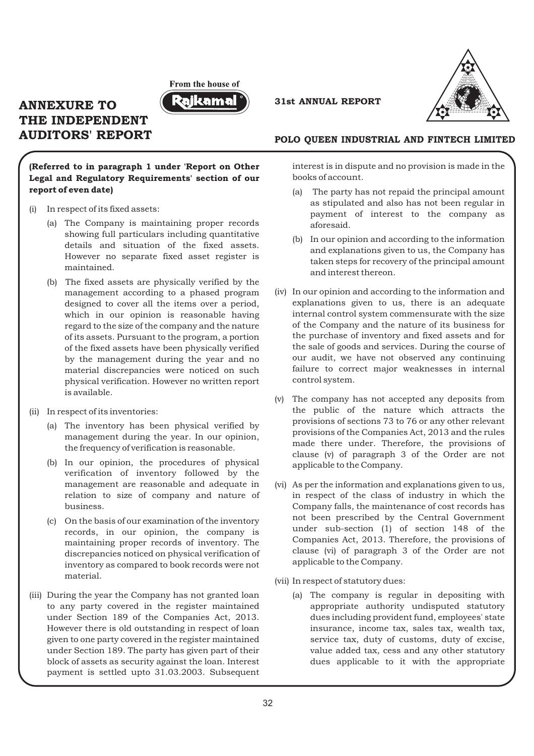## **ANNEXURE TO THE INDEPENDENT**



#### **31st ANNUAL REPORT**



## **AUDITORS' REPORT POLO QUEEN INDUSTRIAL AND FINTECH LIMITED**

#### **(Referred to in paragraph 1 under 'Report on Other Legal and Regulatory Requirements' section of our report of even date)**

- (i) In respect of its fixed assets:
	- (a) The Company is maintaining proper records showing full particulars including quantitative details and situation of the fixed assets. However no separate fixed asset register is maintained.
	- (b) The fixed assets are physically verified by the management according to a phased program designed to cover all the items over a period, which in our opinion is reasonable having regard to the size of the company and the nature of its assets. Pursuant to the program, a portion of the fixed assets have been physically verified by the management during the year and no material discrepancies were noticed on such physical verification. However no written report is available.
- (ii) In respect of its inventories:
	- (a) The inventory has been physical verified by management during the year. In our opinion, the frequency of verification is reasonable.
	- (b) In our opinion, the procedures of physical verification of inventory followed by the management are reasonable and adequate in relation to size of company and nature of business.
	- (c) On the basis of our examination of the inventory records, in our opinion, the company is maintaining proper records of inventory. The discrepancies noticed on physical verification of inventory as compared to book records were not material.
- (iii) During the year the Company has not granted loan to any party covered in the register maintained under Section 189 of the Companies Act, 2013. However there is old outstanding in respect of loan given to one party covered in the register maintained under Section 189. The party has given part of their block of assets as security against the loan. Interest payment is settled upto 31.03.2003. Subsequent

interest is in dispute and no provision is made in the books of account.

- (a) The party has not repaid the principal amount as stipulated and also has not been regular in payment of interest to the company as aforesaid.
- (b) In our opinion and according to the information and explanations given to us, the Company has taken steps for recovery of the principal amount and interest thereon.
- (iv) In our opinion and according to the information and explanations given to us, there is an adequate internal control system commensurate with the size of the Company and the nature of its business for the purchase of inventory and fixed assets and for the sale of goods and services. During the course of our audit, we have not observed any continuing failure to correct major weaknesses in internal control system.
- (v) The company has not accepted any deposits from the public of the nature which attracts the provisions of sections 73 to 76 or any other relevant provisions of the Companies Act, 2013 and the rules made there under. Therefore, the provisions of clause (v) of paragraph 3 of the Order are not applicable to the Company.
- (vi) As per the information and explanations given to us, in respect of the class of industry in which the Company falls, the maintenance of cost records has not been prescribed by the Central Government under sub-section (1) of section 148 of the Companies Act, 2013. Therefore, the provisions of clause (vi) of paragraph 3 of the Order are not applicable to the Company.
- (vii) In respect of statutory dues:
	- (a) The company is regular in depositing with appropriate authority undisputed statutory dues including provident fund, employees' state insurance, income tax, sales tax, wealth tax, service tax, duty of customs, duty of excise, value added tax, cess and any other statutory dues applicable to it with the appropriate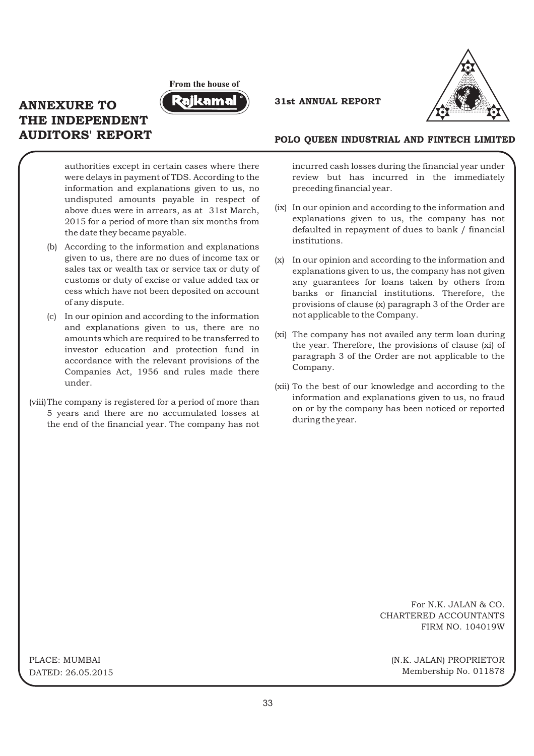

## **ANNEXURE TO THE INDEPENDENT**





## **AUDITORS' REPORT POLO QUEEN INDUSTRIAL AND FINTECH LIMITED**

authorities except in certain cases where there were delays in payment of TDS. According to the information and explanations given to us, no undisputed amounts payable in respect of above dues were in arrears, as at 31st March, 2015 for a period of more than six months from the date they became payable.

- (b) According to the information and explanations given to us, there are no dues of income tax or sales tax or wealth tax or service tax or duty of customs or duty of excise or value added tax or cess which have not been deposited on account of any dispute.
- (c) In our opinion and according to the information and explanations given to us, there are no amounts which are required to be transferred to investor education and protection fund in accordance with the relevant provisions of the Companies Act, 1956 and rules made there under.
- (viii)The company is registered for a period of more than 5 years and there are no accumulated losses at the end of the financial year. The company has not

incurred cash losses during the financial year under review but has incurred in the immediately preceding financial year.

- (ix) In our opinion and according to the information and explanations given to us, the company has not defaulted in repayment of dues to bank / financial institutions.
- (x) In our opinion and according to the information and explanations given to us, the company has not given any guarantees for loans taken by others from banks or financial institutions. Therefore, the provisions of clause (x) paragraph 3 of the Order are not applicable to the Company.
- (xi) The company has not availed any term loan during the year. Therefore, the provisions of clause (xi) of paragraph 3 of the Order are not applicable to the Company.
- (xii) To the best of our knowledge and according to the information and explanations given to us, no fraud on or by the company has been noticed or reported during the year.

For N.K. JALAN & CO. CHARTERED ACCOUNTANTS FIRM NO. 104019W

> (N.K. JALAN) PROPRIETOR Membership No. 011878

PLACE: MUMBAI DATED: 26.05.2015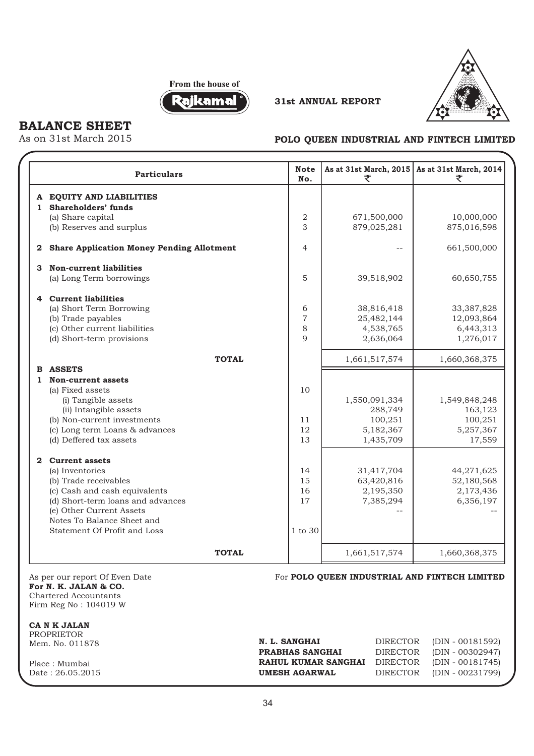From the house of kama





# **BALANCE SHEET**<br>As on 31st March 2015

#### POLO QUEEN INDUSTRIAL AND FINTECH LIMITED

|                 | <b>Particulars</b>                                | <b>Note</b><br>No. | ₹                        | As at 31st March, 2015   As at 31st March, 2014<br>₹ |
|-----------------|---------------------------------------------------|--------------------|--------------------------|------------------------------------------------------|
|                 | A EQUITY AND LIABILITIES<br>1 Shareholders' funds |                    |                          |                                                      |
|                 | (a) Share capital                                 | $\mathbf{2}$       | 671,500,000              | 10,000,000                                           |
|                 | (b) Reserves and surplus                          | 3                  | 879,025,281              | 875,016,598                                          |
| $\mathbf{2}$    | <b>Share Application Money Pending Allotment</b>  | $\overline{4}$     |                          | 661,500,000                                          |
|                 | 3 Non-current liabilities                         |                    |                          |                                                      |
|                 | (a) Long Term borrowings                          | 5                  | 39,518,902               | 60,650,755                                           |
|                 | 4 Current liabilities                             |                    |                          |                                                      |
|                 | (a) Short Term Borrowing                          | 6                  | 38,816,418               | 33,387,828                                           |
|                 | (b) Trade payables                                | $\overline{7}$     | 25,482,144               | 12,093,864                                           |
|                 | (c) Other current liabilities                     | 8                  | 4,538,765                | 6,443,313                                            |
|                 | (d) Short-term provisions                         | $\mathbf Q$        | 2,636,064                | 1,276,017                                            |
|                 | <b>TOTAL</b>                                      |                    | 1,661,517,574            | 1,660,368,375                                        |
| <b>B</b> ASSETS |                                                   |                    |                          |                                                      |
|                 | 1 Non-current assets                              |                    |                          |                                                      |
|                 | (a) Fixed assets                                  | 10                 |                          |                                                      |
|                 | (i) Tangible assets<br>(ii) Intangible assets     |                    | 1,550,091,334<br>288,749 | 1,549,848,248<br>163,123                             |
|                 | (b) Non-current investments                       | 11                 | 100,251                  | 100,251                                              |
|                 | (c) Long term Loans & advances                    | 12                 | 5,182,367                | 5,257,367                                            |
|                 | (d) Deffered tax assets                           | 13                 | 1,435,709                | 17,559                                               |
|                 |                                                   |                    |                          |                                                      |
| $\mathbf{2}$    | <b>Current assets</b>                             |                    |                          |                                                      |
|                 | (a) Inventories<br>(b) Trade receivables          | 14<br>15           | 31,417,704<br>63,420,816 | 44,271,625<br>52,180,568                             |
|                 | (c) Cash and cash equivalents                     | 16                 | 2,195,350                | 2,173,436                                            |
|                 | (d) Short-term loans and advances                 | 17                 | 7,385,294                | 6,356,197                                            |
|                 | (e) Other Current Assets                          |                    |                          |                                                      |
|                 | Notes To Balance Sheet and                        |                    |                          |                                                      |
|                 | Statement Of Profit and Loss                      | 1 to 30            |                          |                                                      |
|                 | <b>TOTAL</b>                                      |                    | 1,661,517,574            | 1,660,368,375                                        |

As per our report Of Even Date Chartered Accountants Firm Reg No : 104019 W **For N. K. JALAN & CO.**

### **CA N K JALAN**

PROPRIETOR Mem. No. 011878

Place : Mumbai Date : 26.05.2015 For **POLO QUEEN INDUSTRIAL AND FINTECH LIMITED**

| DIRECTOR (DIN - 00181592)                            |
|------------------------------------------------------|
| DIRECTOR (DIN - 00302947)                            |
| <b>RAHUL KUMAR SANGHAI</b> DIRECTOR (DIN - 00181745) |
| DIRECTOR (DIN - 00231799)                            |
|                                                      |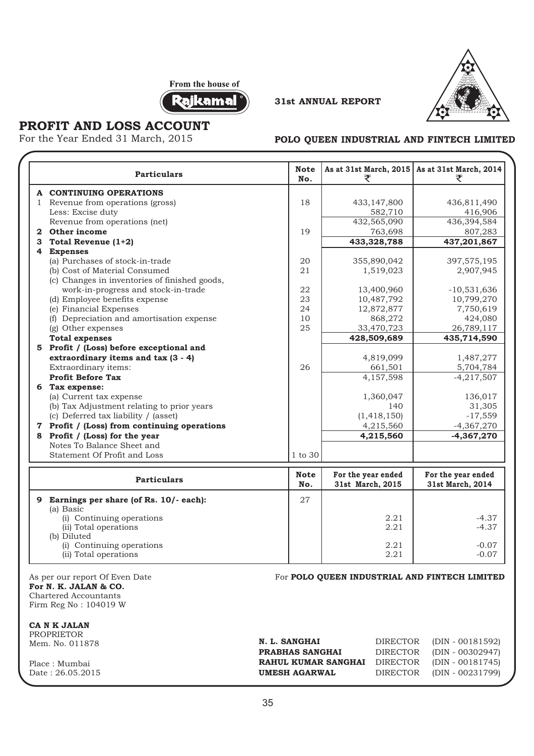ikama

R





# **PROFIT AND LOSS ACCOUNT**<br>For the Year Ended 31 March, 2015

#### POLO QUEEN INDUSTRIAL AND FINTECH LIMITED

| A CONTINUING OPERATIONS<br>1 Revenue from operations (gross)<br>Less: Excise duty<br>Revenue from operations (net)<br>Other income<br>Total Revenue (1+2)<br><b>Expenses</b><br>(a) Purchases of stock-in-trade<br>(b) Cost of Material Consumed<br>(d) Employee benefits expense<br>(e) Financial Expenses<br>(g) Other expenses<br><b>Total expenses</b><br>Extraordinary items:<br><b>Profit Before Tax</b><br>Tax expense:<br>(a) Current tax expense<br>(c) Deferred tax liability / (asset)<br>Notes To Balance Sheet and<br>Statement Of Profit and Loss | (c) Changes in inventories of finished goods,<br>work-in-progress and stock-in-trade<br>(f) Depreciation and amortisation expense<br>5 Profit / (Loss) before exceptional and<br>extraordinary items and tax (3 - 4)<br>(b) Tax Adjustment relating to prior years | 18<br>19<br>20<br>21<br>22<br>23<br>24<br>10<br>25<br>26 | 433,147,800<br>582,710<br>432,565,090<br>763,698<br>433,328,788<br>355,890,042<br>1,519,023<br>13,400,960<br>10,487,792<br>12,872,877<br>868,272<br>33,470,723<br>428,509,689<br>4,819,099<br>661,501<br>4,157,598<br>1,360,047 | 436,811,490<br>416,906<br>436,394,584<br>807,283<br>437,201,867<br>397,575,195<br>2,907,945<br>$-10,531,636$<br>10,799,270<br>7,750,619<br>424,080<br>26,789,117<br>435,714,590<br>1,487,277<br>5,704,784<br>$-4,217,507$ |
|-----------------------------------------------------------------------------------------------------------------------------------------------------------------------------------------------------------------------------------------------------------------------------------------------------------------------------------------------------------------------------------------------------------------------------------------------------------------------------------------------------------------------------------------------------------------|--------------------------------------------------------------------------------------------------------------------------------------------------------------------------------------------------------------------------------------------------------------------|----------------------------------------------------------|---------------------------------------------------------------------------------------------------------------------------------------------------------------------------------------------------------------------------------|---------------------------------------------------------------------------------------------------------------------------------------------------------------------------------------------------------------------------|
|                                                                                                                                                                                                                                                                                                                                                                                                                                                                                                                                                                 |                                                                                                                                                                                                                                                                    |                                                          |                                                                                                                                                                                                                                 |                                                                                                                                                                                                                           |
|                                                                                                                                                                                                                                                                                                                                                                                                                                                                                                                                                                 |                                                                                                                                                                                                                                                                    |                                                          |                                                                                                                                                                                                                                 |                                                                                                                                                                                                                           |
|                                                                                                                                                                                                                                                                                                                                                                                                                                                                                                                                                                 |                                                                                                                                                                                                                                                                    |                                                          |                                                                                                                                                                                                                                 |                                                                                                                                                                                                                           |
| 2<br>3<br>4                                                                                                                                                                                                                                                                                                                                                                                                                                                                                                                                                     |                                                                                                                                                                                                                                                                    |                                                          |                                                                                                                                                                                                                                 |                                                                                                                                                                                                                           |
|                                                                                                                                                                                                                                                                                                                                                                                                                                                                                                                                                                 |                                                                                                                                                                                                                                                                    |                                                          |                                                                                                                                                                                                                                 |                                                                                                                                                                                                                           |
|                                                                                                                                                                                                                                                                                                                                                                                                                                                                                                                                                                 |                                                                                                                                                                                                                                                                    |                                                          |                                                                                                                                                                                                                                 |                                                                                                                                                                                                                           |
| 6                                                                                                                                                                                                                                                                                                                                                                                                                                                                                                                                                               |                                                                                                                                                                                                                                                                    |                                                          |                                                                                                                                                                                                                                 |                                                                                                                                                                                                                           |
|                                                                                                                                                                                                                                                                                                                                                                                                                                                                                                                                                                 |                                                                                                                                                                                                                                                                    |                                                          |                                                                                                                                                                                                                                 |                                                                                                                                                                                                                           |
|                                                                                                                                                                                                                                                                                                                                                                                                                                                                                                                                                                 |                                                                                                                                                                                                                                                                    |                                                          |                                                                                                                                                                                                                                 |                                                                                                                                                                                                                           |
|                                                                                                                                                                                                                                                                                                                                                                                                                                                                                                                                                                 |                                                                                                                                                                                                                                                                    |                                                          |                                                                                                                                                                                                                                 |                                                                                                                                                                                                                           |
|                                                                                                                                                                                                                                                                                                                                                                                                                                                                                                                                                                 |                                                                                                                                                                                                                                                                    |                                                          |                                                                                                                                                                                                                                 |                                                                                                                                                                                                                           |
|                                                                                                                                                                                                                                                                                                                                                                                                                                                                                                                                                                 |                                                                                                                                                                                                                                                                    |                                                          |                                                                                                                                                                                                                                 |                                                                                                                                                                                                                           |
|                                                                                                                                                                                                                                                                                                                                                                                                                                                                                                                                                                 |                                                                                                                                                                                                                                                                    |                                                          |                                                                                                                                                                                                                                 |                                                                                                                                                                                                                           |
|                                                                                                                                                                                                                                                                                                                                                                                                                                                                                                                                                                 |                                                                                                                                                                                                                                                                    |                                                          |                                                                                                                                                                                                                                 |                                                                                                                                                                                                                           |
|                                                                                                                                                                                                                                                                                                                                                                                                                                                                                                                                                                 |                                                                                                                                                                                                                                                                    |                                                          |                                                                                                                                                                                                                                 |                                                                                                                                                                                                                           |
|                                                                                                                                                                                                                                                                                                                                                                                                                                                                                                                                                                 |                                                                                                                                                                                                                                                                    |                                                          |                                                                                                                                                                                                                                 |                                                                                                                                                                                                                           |
|                                                                                                                                                                                                                                                                                                                                                                                                                                                                                                                                                                 |                                                                                                                                                                                                                                                                    |                                                          |                                                                                                                                                                                                                                 |                                                                                                                                                                                                                           |
|                                                                                                                                                                                                                                                                                                                                                                                                                                                                                                                                                                 |                                                                                                                                                                                                                                                                    |                                                          |                                                                                                                                                                                                                                 |                                                                                                                                                                                                                           |
|                                                                                                                                                                                                                                                                                                                                                                                                                                                                                                                                                                 |                                                                                                                                                                                                                                                                    |                                                          |                                                                                                                                                                                                                                 |                                                                                                                                                                                                                           |
|                                                                                                                                                                                                                                                                                                                                                                                                                                                                                                                                                                 |                                                                                                                                                                                                                                                                    |                                                          |                                                                                                                                                                                                                                 |                                                                                                                                                                                                                           |
|                                                                                                                                                                                                                                                                                                                                                                                                                                                                                                                                                                 |                                                                                                                                                                                                                                                                    |                                                          |                                                                                                                                                                                                                                 |                                                                                                                                                                                                                           |
|                                                                                                                                                                                                                                                                                                                                                                                                                                                                                                                                                                 |                                                                                                                                                                                                                                                                    |                                                          |                                                                                                                                                                                                                                 |                                                                                                                                                                                                                           |
| 7 Profit / (Loss) from continuing operations<br>8 Profit / (Loss) for the year                                                                                                                                                                                                                                                                                                                                                                                                                                                                                  |                                                                                                                                                                                                                                                                    |                                                          |                                                                                                                                                                                                                                 | 136,017                                                                                                                                                                                                                   |
|                                                                                                                                                                                                                                                                                                                                                                                                                                                                                                                                                                 |                                                                                                                                                                                                                                                                    |                                                          | 140                                                                                                                                                                                                                             | 31,305                                                                                                                                                                                                                    |
|                                                                                                                                                                                                                                                                                                                                                                                                                                                                                                                                                                 |                                                                                                                                                                                                                                                                    |                                                          | (1, 418, 150)                                                                                                                                                                                                                   | $-17,559$                                                                                                                                                                                                                 |
|                                                                                                                                                                                                                                                                                                                                                                                                                                                                                                                                                                 |                                                                                                                                                                                                                                                                    |                                                          | 4,215,560                                                                                                                                                                                                                       | $-4,367,270$                                                                                                                                                                                                              |
|                                                                                                                                                                                                                                                                                                                                                                                                                                                                                                                                                                 |                                                                                                                                                                                                                                                                    |                                                          | 4,215,560                                                                                                                                                                                                                       | $-4,367,270$                                                                                                                                                                                                              |
|                                                                                                                                                                                                                                                                                                                                                                                                                                                                                                                                                                 |                                                                                                                                                                                                                                                                    |                                                          |                                                                                                                                                                                                                                 |                                                                                                                                                                                                                           |
|                                                                                                                                                                                                                                                                                                                                                                                                                                                                                                                                                                 |                                                                                                                                                                                                                                                                    | 1 to 30                                                  |                                                                                                                                                                                                                                 |                                                                                                                                                                                                                           |
|                                                                                                                                                                                                                                                                                                                                                                                                                                                                                                                                                                 | <b>Particulars</b>                                                                                                                                                                                                                                                 | <b>Note</b><br>No.                                       | For the year ended<br>31st March, 2015                                                                                                                                                                                          | For the year ended<br>31st March, 2014                                                                                                                                                                                    |
|                                                                                                                                                                                                                                                                                                                                                                                                                                                                                                                                                                 | 9 Earnings per share (of Rs. 10/- each):                                                                                                                                                                                                                           | 27                                                       |                                                                                                                                                                                                                                 |                                                                                                                                                                                                                           |
| (a) Basic                                                                                                                                                                                                                                                                                                                                                                                                                                                                                                                                                       |                                                                                                                                                                                                                                                                    |                                                          |                                                                                                                                                                                                                                 |                                                                                                                                                                                                                           |
| (i) Continuing operations                                                                                                                                                                                                                                                                                                                                                                                                                                                                                                                                       |                                                                                                                                                                                                                                                                    |                                                          | 2.21                                                                                                                                                                                                                            | $-4.37$                                                                                                                                                                                                                   |
| (ii) Total operations                                                                                                                                                                                                                                                                                                                                                                                                                                                                                                                                           |                                                                                                                                                                                                                                                                    |                                                          | 2.21                                                                                                                                                                                                                            | $-4.37$                                                                                                                                                                                                                   |
| (b) Diluted                                                                                                                                                                                                                                                                                                                                                                                                                                                                                                                                                     |                                                                                                                                                                                                                                                                    |                                                          |                                                                                                                                                                                                                                 |                                                                                                                                                                                                                           |
| (i) Continuing operations                                                                                                                                                                                                                                                                                                                                                                                                                                                                                                                                       |                                                                                                                                                                                                                                                                    |                                                          | 2.21                                                                                                                                                                                                                            | $-0.07$                                                                                                                                                                                                                   |
| (ii) Total operations                                                                                                                                                                                                                                                                                                                                                                                                                                                                                                                                           |                                                                                                                                                                                                                                                                    |                                                          | 2.21                                                                                                                                                                                                                            | $-0.07$                                                                                                                                                                                                                   |

PROPRIETOR Mem. No. 011878

Place : Mumbai Date : 26.05.2015

**N. L. SANGHAI PRABHAS SANGHAI RAHUL KUMAR SANGHAI** DIRECTOR (DIN - 00181745) **UMESH AGARWAL** DIRECTOR (DIN - 00181592) DIRECTOR (DIN - 00302947) DIRECTOR (DIN - 00231799)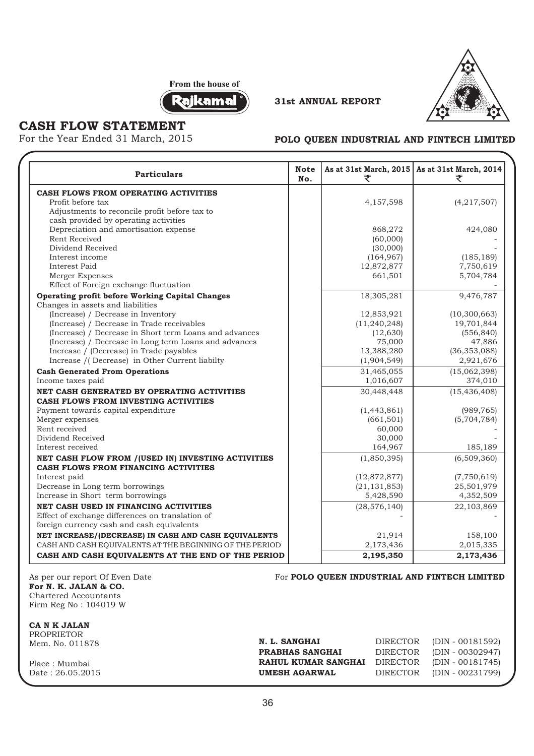

kama

## **CASH FLOW STATEMENT**

#### For the Year Ended 31 March, 2015 **POLO QUEEN INDUSTRIAL AND FINTECH LIMITED**

**31st ANNUAL REPORT**

| <b>Particulars</b>                                       | <b>Note</b><br>No. | As at 31st March, 2015   As at 31st March, 2014<br>₹ | ₹              |
|----------------------------------------------------------|--------------------|------------------------------------------------------|----------------|
| CASH FLOWS FROM OPERATING ACTIVITIES                     |                    |                                                      |                |
| Profit before tax                                        |                    | 4,157,598                                            | (4,217,507)    |
| Adjustments to reconcile profit before tax to            |                    |                                                      |                |
| cash provided by operating activities                    |                    |                                                      |                |
| Depreciation and amortisation expense                    |                    | 868,272                                              | 424,080        |
| <b>Rent Received</b>                                     |                    | (60,000)                                             |                |
| Dividend Received                                        |                    | (30,000)                                             |                |
| Interest income                                          |                    | (164, 967)                                           | (185, 189)     |
| Interest Paid                                            |                    | 12,872,877                                           | 7,750,619      |
| Merger Expenses                                          |                    | 661,501                                              | 5,704,784      |
| Effect of Foreign exchange fluctuation                   |                    |                                                      |                |
| Operating profit before Working Capital Changes          |                    | 18,305,281                                           | 9,476,787      |
| Changes in assets and liabilities                        |                    |                                                      |                |
| (Increase) / Decrease in Inventory                       |                    | 12,853,921                                           | (10,300,663)   |
| (Increase) / Decrease in Trade receivables               |                    | (11, 240, 248)                                       | 19,701,844     |
| (Increase) / Decrease in Short term Loans and advances   |                    | (12, 630)                                            | (556, 840)     |
| (Increase) / Decrease in Long term Loans and advances    |                    | 75,000                                               | 47,886         |
| Increase / (Decrease) in Trade payables                  |                    | 13,388,280                                           | (36, 353, 088) |
| Increase /(Decrease) in Other Current liabilty           |                    | (1,904,549)                                          | 2,921,676      |
| <b>Cash Generated From Operations</b>                    |                    | 31,465,055                                           | (15,062,398)   |
| Income taxes paid                                        |                    | 1,016,607                                            | 374,010        |
| NET CASH GENERATED BY OPERATING ACTIVITIES               |                    | 30,448,448                                           | (15, 436, 408) |
| CASH FLOWS FROM INVESTING ACTIVITIES                     |                    |                                                      |                |
| Payment towards capital expenditure                      |                    | (1,443,861)                                          | (989, 765)     |
| Merger expenses                                          |                    | (661, 501)                                           | (5,704,784)    |
| Rent received                                            |                    | 60,000                                               |                |
| Dividend Received                                        |                    | 30,000                                               |                |
| Interest received                                        |                    | 164,967                                              | 185,189        |
| NET CASH FLOW FROM / (USED IN) INVESTING ACTIVITIES      |                    | (1,850,395)                                          | (6,509,360)    |
| CASH FLOWS FROM FINANCING ACTIVITIES                     |                    |                                                      |                |
| Interest paid                                            |                    | (12, 872, 877)                                       | (7,750,619)    |
| Decrease in Long term borrowings                         |                    | (21, 131, 853)                                       | 25,501,979     |
| Increase in Short term borrowings                        |                    | 5,428,590                                            | 4,352,509      |
| NET CASH USED IN FINANCING ACTIVITIES                    |                    | (28, 576, 140)                                       | 22,103,869     |
| Effect of exchange differences on translation of         |                    |                                                      |                |
| foreign currency cash and cash equivalents               |                    |                                                      |                |
| NET INCREASE/(DECREASE) IN CASH AND CASH EQUIVALENTS     |                    | 21,914                                               | 158,100        |
| CASH AND CASH EQUIVALENTS AT THE BEGINNING OF THE PERIOD |                    | 2,173,436                                            | 2,015,335      |
| CASH AND CASH EQUIVALENTS AT THE END OF THE PERIOD       |                    | 2,195,350                                            | 2,173,436      |
|                                                          |                    |                                                      |                |

As per our report Of Even Date Chartered Accountants Firm Reg No : 104019 W **For N. K. JALAN & CO.**

For **POLO QUEEN INDUSTRIAL AND FINTECH LIMITED**

**CA N K JALAN** PROPRIETOR Mem. No. 011878

Place : Mumbai Date : 26.05.2015

**N. L. SANGHAI PRABHAS SANGHAI RAHUL KUMAR SANGHAI** DIRECTOR (DIN - 00181745) **UMESH AGARWAL** DIRECTOR (DIN - 00181592) DIRECTOR (DIN - 00302947) DIRECTOR (DIN - 00231799)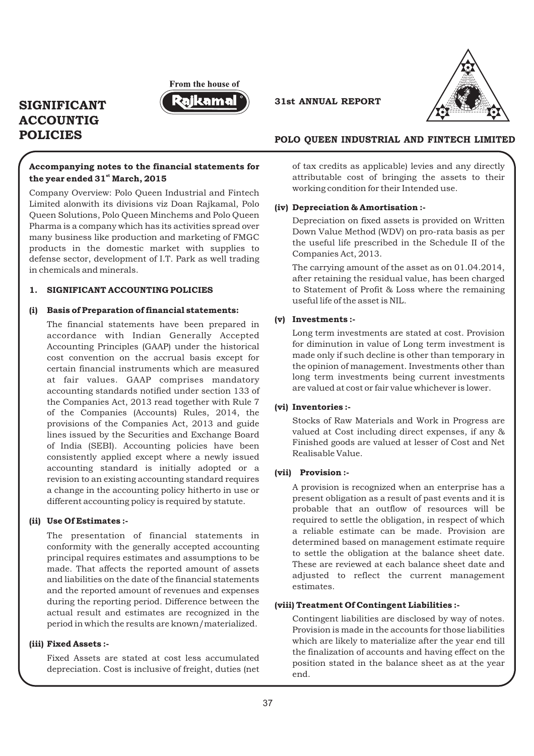

## **SIGNIFICANT ACCOUNTIG POLICIES POLO QUEEN INDUSTRIAL AND FINTECH LIMITED**



#### **31st ANNUAL REPORT**



#### **Accompanying notes to the financial statements for** the year ended 31<sup>st</sup> March, 2015

Company Overview: Polo Queen Industrial and Fintech Limited alonwith its divisions viz Doan Rajkamal, Polo Queen Solutions, Polo Queen Minchems and Polo Queen Pharma is a company which has its activities spread over many business like production and marketing of FMGC products in the domestic market with supplies to defense sector, development of I.T. Park as well trading in chemicals and minerals.

#### **1. SIGNIFICANT ACCOUNTING POLICIES**

#### **(i) Basis of Preparation of financial statements:**

The financial statements have been prepared in accordance with Indian Generally Accepted Accounting Principles (GAAP) under the historical cost convention on the accrual basis except for certain financial instruments which are measured at fair values. GAAP comprises mandatory accounting standards notified under section 133 of the Companies Act, 2013 read together with Rule 7 of the Companies (Accounts) Rules, 2014, the provisions of the Companies Act, 2013 and guide lines issued by the Securities and Exchange Board of India (SEBI). Accounting policies have been consistently applied except where a newly issued accounting standard is initially adopted or a revision to an existing accounting standard requires a change in the accounting policy hitherto in use or different accounting policy is required by statute.

#### **(ii) Use Of Estimates :-**

The presentation of financial statements in conformity with the generally accepted accounting principal requires estimates and assumptions to be made. That affects the reported amount of assets and liabilities on the date of the financial statements and the reported amount of revenues and expenses during the reporting period. Difference between the actual result and estimates are recognized in the period in which the results are known/materialized.

#### **(iii) Fixed Assets :-**

Fixed Assets are stated at cost less accumulated depreciation. Cost is inclusive of freight, duties (net of tax credits as applicable) levies and any directly attributable cost of bringing the assets to their working condition for their Intended use.

#### **(iv) Depreciation & Amortisation :-**

Depreciation on fixed assets is provided on Written Down Value Method (WDV) on pro-rata basis as per the useful life prescribed in the Schedule II of the Companies Act, 2013.

The carrying amount of the asset as on 01.04.2014, after retaining the residual value, has been charged to Statement of Profit & Loss where the remaining useful life of the asset is NIL.

#### **(v) Investments :-**

Long term investments are stated at cost. Provision for diminution in value of Long term investment is made only if such decline is other than temporary in the opinion of management. Investments other than long term investments being current investments are valued at cost or fair value whichever is lower.

#### **(vi) Inventories :-**

Stocks of Raw Materials and Work in Progress are valued at Cost including direct expenses, if any & Finished goods are valued at lesser of Cost and Net Realisable Value.

#### **(vii) Provision :-**

A provision is recognized when an enterprise has a present obligation as a result of past events and it is probable that an outflow of resources will be required to settle the obligation, in respect of which a reliable estimate can be made. Provision are determined based on management estimate require to settle the obligation at the balance sheet date. These are reviewed at each balance sheet date and adjusted to reflect the current management estimates.

#### **(viii) Treatment Of Contingent Liabilities :-**

Contingent liabilities are disclosed by way of notes. Provision is made in the accounts for those liabilities which are likely to materialize after the year end till the finalization of accounts and having effect on the position stated in the balance sheet as at the year end.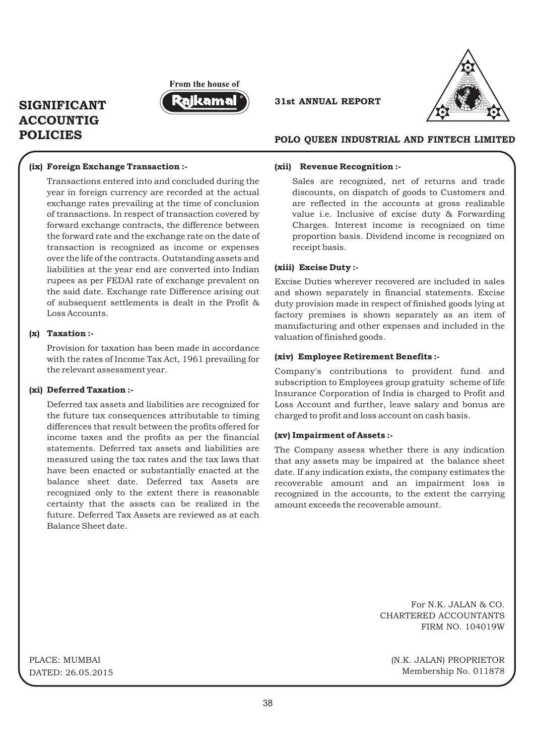

## **SIGNIFICANT ACCOUNTIG**



#### **(ix) Foreign Exchange Transaction :-**

Transactions entered into and concluded during the year in foreign currency are recorded at the actual exchange rates prevailing at the time of conclusion of transactions. In respect of transaction covered by forward exchange contracts, the difference between the forward rate and the exchange rate on the date of transaction is recognized as income or expenses over the life of the contracts. Outstanding assets and liabilities at the year end are converted into Indian rupees as per FEDAI rate of exchange prevalent on the said date. Exchange rate Difference arising out of subsequent settlements is dealt in the Profit & Loss Accounts.

#### **(x) Taxation :-**

Provision for taxation has been made in accordance with the rates of Income Tax Act, 1961 prevailing for the relevant assessment year.

#### **(xi) Deferred Taxation :-**

Deferred tax assets and liabilities are recognized for the future tax consequences attributable to timing differences that result between the profits offered for income taxes and the profits as per the financial statements. Deferred tax assets and liabilities are measured using the tax rates and the tax laws that have been enacted or substantially enacted at the balance sheet date. Deferred tax Assets are recognized only to the extent there is reasonable certainty that the assets can be realized in the future. Deferred Tax Assets are reviewed as at each Balance Sheet date.

## **POLICIES POLO QUEEN INDUSTRIAL AND FINTECH LIMITED**

#### **(xii) Revenue Recognition :-**

**31st ANNUAL REPORT**

Sales are recognized, net of returns and trade discounts, on dispatch of goods to Customers and are reflected in the accounts at gross realizable value i.e. Inclusive of excise duty & Forwarding Charges. Interest income is recognized on time proportion basis. Dividend income is recognized on receipt basis.

#### **(xiii) Excise Duty :-**

Excise Duties wherever recovered are included in sales and shown separately in financial statements. Excise duty provision made in respect of finished goods lying at factory premises is shown separately as an item of manufacturing and other expenses and included in the valuation of finished goods.

#### **(xiv) Employee Retirement Benefits :-**

Company's contributions to provident fund and subscription to Employees group gratuity scheme of life Insurance Corporation of India is charged to Profit and Loss Account and further, leave salary and bonus are charged to profit and loss account on cash basis.

#### **(xv) Impairment of Assets :-**

The Company assess whether there is any indication that any assets may be impaired at the balance sheet date. If any indication exists, the company estimates the recoverable amount and an impairment loss is recognized in the accounts, to the extent the carrying amount exceeds the recoverable amount.

> For N.K. JALAN & CO. CHARTERED ACCOUNTANTS FIRM NO. 104019W

(N.K. JALAN) PROPRIETOR Membership No. 011878

PLACE: MUMBAI DATED: 26.05.2015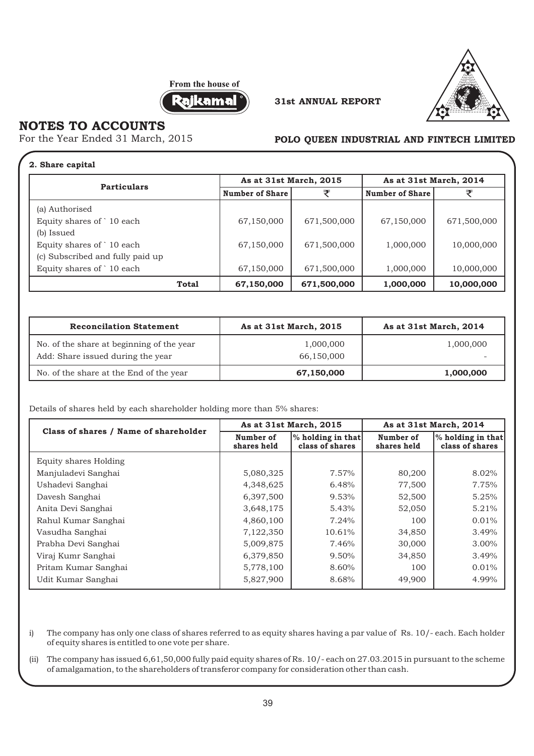

**31st ANNUAL REPORT**



## **NOTES TO ACCOUNTS**

#### For the Year Ended 31 March, 2015 **POLO QUEEN INDUSTRIAL AND FINTECH LIMITED**

|  | 2. Share capital |
|--|------------------|
|  |                  |

| <b>Particulars</b>               |                 | As at 31st March, 2015 |                             | As at 31st March, 2014 |  |  |
|----------------------------------|-----------------|------------------------|-----------------------------|------------------------|--|--|
|                                  | Number of Share | ₹                      | <b>Number of Share</b><br>₹ |                        |  |  |
| (a) Authorised                   |                 |                        |                             |                        |  |  |
| Equity shares of 10 each         | 67,150,000      | 671,500,000            | 67,150,000                  | 671,500,000            |  |  |
| (b) Issued                       |                 |                        |                             |                        |  |  |
| Equity shares of 10 each         | 67,150,000      | 671,500,000            | 1,000,000                   | 10,000,000             |  |  |
| (c) Subscribed and fully paid up |                 |                        |                             |                        |  |  |
| Equity shares of 10 each         | 67,150,000      | 671,500,000            | 1,000,000                   | 10,000,000             |  |  |
| Total                            | 67,150,000      | 671,500,000            | 1,000,000                   | 10,000,000             |  |  |

| <b>Reconcilation Statement</b>                                                 | As at 31st March, 2015  | As at 31st March, 2014 |
|--------------------------------------------------------------------------------|-------------------------|------------------------|
| No. of the share at beginning of the year<br>Add: Share issued during the year | 1,000,000<br>66,150,000 | 1,000,000              |
| No. of the share at the End of the year                                        | 67,150,000              | 1,000,000              |

Details of shares held by each shareholder holding more than 5% shares:

| Class of shares / Name of shareholder |                          | As at 31st March, 2015                 |                          | As at 31st March, 2014               |
|---------------------------------------|--------------------------|----------------------------------------|--------------------------|--------------------------------------|
|                                       | Number of<br>shares held | $%$ holding in that<br>class of shares | Number of<br>shares held | % holding in that<br>class of shares |
| Equity shares Holding                 |                          |                                        |                          |                                      |
| Manjuladevi Sanghai                   | 5,080,325                | 7.57%                                  | 80,200                   | 8.02%                                |
| Ushadevi Sanghai                      | 4,348,625                | 6.48%                                  | 77,500                   | 7.75%                                |
| Davesh Sanghai                        | 6,397,500                | 9.53%                                  | 52,500                   | 5.25%                                |
| Anita Devi Sanghai                    | 3,648,175                | 5.43%                                  | 52,050                   | 5.21%                                |
| Rahul Kumar Sanghai                   | 4,860,100                | 7.24%                                  | 100                      | 0.01%                                |
| Vasudha Sanghai                       | 7,122,350                | 10.61%                                 | 34,850                   | 3.49%                                |
| Prabha Devi Sanghai                   | 5,009,875                | 7.46%                                  | 30,000                   | 3.00%                                |
| Viraj Kumr Sanghai                    | 6,379,850                | 9.50%                                  | 34,850                   | 3.49%                                |
| Pritam Kumar Sanghai                  | 5,778,100                | 8.60%                                  | 100                      | 0.01%                                |
| Udit Kumar Sanghai                    | 5,827,900                | 8.68%                                  | 49,900                   | 4.99%                                |

i) The company has only one class of shares referred to as equity shares having a par value of Rs. 10/- each. Each holder of equity shares is entitled to one vote per share.

(ii) The company has issued 6,61,50,000 fully paid equity shares of Rs. 10/- each on 27.03.2015 in pursuant to the scheme of amalgamation, to the shareholders of transferor company for consideration other than cash.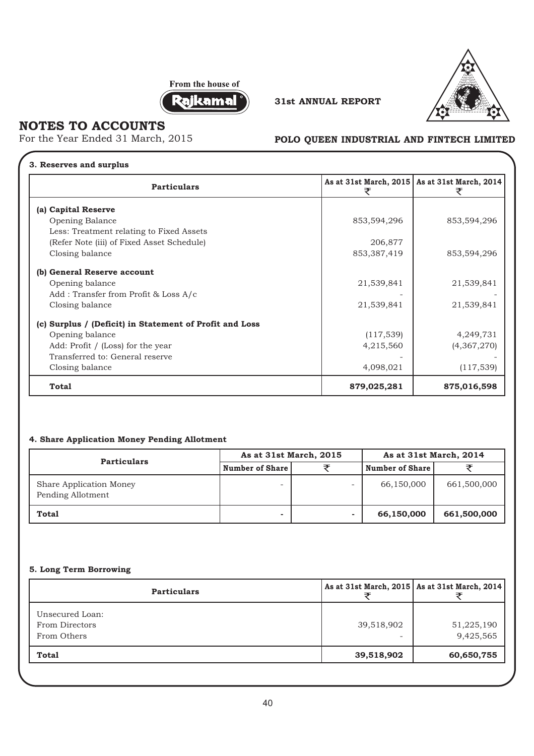

**31st ANNUAL REPORT**



# **NOTES TO ACCOUNTS**<br>For the Year Ended 31 March, 2015

#### POLO QUEEN INDUSTRIAL AND FINTECH LIMITED

| <b>Particulars</b>                                      |             | As at 31st March, 2015   As at 31st March, 2014 |
|---------------------------------------------------------|-------------|-------------------------------------------------|
| (a) Capital Reserve                                     |             |                                                 |
| <b>Opening Balance</b>                                  | 853,594,296 | 853,594,296                                     |
| Less: Treatment relating to Fixed Assets                |             |                                                 |
| (Refer Note (iii) of Fixed Asset Schedule)              | 206,877     |                                                 |
| Closing balance                                         | 853,387,419 | 853,594,296                                     |
| (b) General Reserve account                             |             |                                                 |
| Opening balance                                         | 21,539,841  | 21,539,841                                      |
| Add: Transfer from Profit & Loss A/c                    |             |                                                 |
| Closing balance                                         | 21,539,841  | 21,539,841                                      |
| (c) Surplus / (Deficit) in Statement of Profit and Loss |             |                                                 |
| Opening balance                                         | (117, 539)  | 4,249,731                                       |
| Add: Profit / (Loss) for the year                       | 4,215,560   | (4,367,270)                                     |
| Transferred to: General reserve                         |             |                                                 |
| Closing balance                                         | 4,098,021   | (117, 539)                                      |
| Total                                                   | 879,025,281 | 875,016,598                                     |

#### **4. Share Application Money Pending Allotment**

| <b>Particulars</b>                           |                 | As at 31st March, 2015 |                        | As at 31st March, 2014 |
|----------------------------------------------|-----------------|------------------------|------------------------|------------------------|
|                                              | Number of Share |                        | <b>Number of Share</b> |                        |
| Share Application Money<br>Pending Allotment |                 |                        | 66,150,000             | 661,500,000            |
| Total                                        |                 |                        | 66,150,000             | 661,500,000            |

#### **5. Long Term Borrowing**

| <b>Particulars</b>                               |                                        | As at 31st March, 2015   As at 31st March, 2014 |
|--------------------------------------------------|----------------------------------------|-------------------------------------------------|
| Unsecured Loan:<br>From Directors<br>From Others | 39,518,902<br>$\overline{\phantom{a}}$ | 51,225,190<br>9,425,565                         |
| <b>Total</b>                                     | 39,518,902                             | 60,650,755                                      |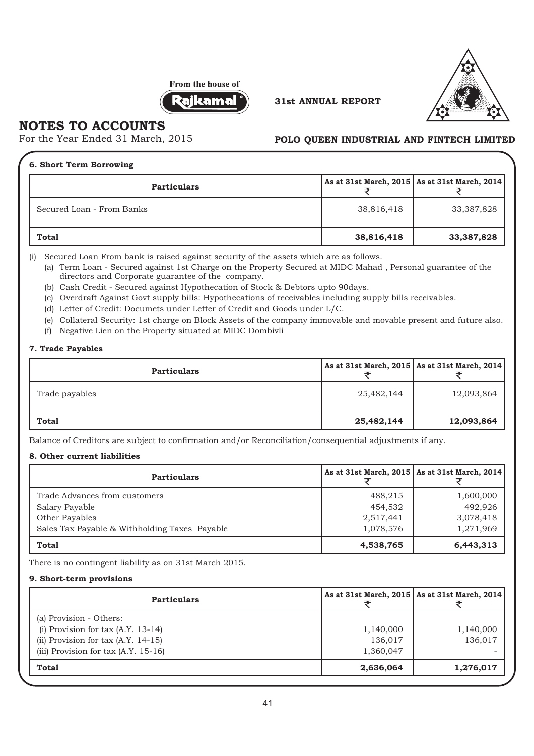

## **NOTES TO ACCOUNTS**

#### For the Year Ended 31 March, 2015 **POLO QUEEN INDUSTRIAL AND FINTECH LIMITED**

**31st ANNUAL REPORT**

#### **6. Short Term Borrowing**

| <b>Particulars</b>        |            | As at 31st March, 2015   As at 31st March, 2014 |
|---------------------------|------------|-------------------------------------------------|
| Secured Loan - From Banks | 38,816,418 | 33,387,828                                      |
| Total                     | 38,816,418 | 33,387,828                                      |

(i) Secured Loan From bank is raised against security of the assets which are as follows.

- (a) Term Loan Secured against 1st Charge on the Property Secured at MIDC Mahad , Personal guarantee of the directors and Corporate guarantee of the company.
- (b) Cash Credit Secured against Hypothecation of Stock & Debtors upto 90days.
- (c) Overdraft Against Govt supply bills: Hypothecations of receivables including supply bills receivables.
- (d) Letter of Credit: Documets under Letter of Credit and Goods under L/C.
- (e) Collateral Security: 1st charge on Block Assets of the company immovable and movable present and future also.
- (f) Negative Lien on the Property situated at MIDC Dombivli

#### **7. Trade Payables**

| <b>Particulars</b> |            | As at 31st March, 2015   As at 31st March, 2014 |
|--------------------|------------|-------------------------------------------------|
| Trade payables     | 25,482,144 | 12,093,864                                      |
| <b>Total</b>       | 25,482,144 | 12,093,864                                      |

Balance of Creditors are subject to confirmation and/or Reconciliation/consequential adjustments if any.

#### **8. Other current liabilities**

| <b>Particulars</b>                            |           | As at 31st March, 2015   As at 31st March, 2014 |
|-----------------------------------------------|-----------|-------------------------------------------------|
| Trade Advances from customers                 | 488,215   | 1,600,000                                       |
| Salary Payable                                | 454,532   | 492.926                                         |
| Other Payables                                | 2,517,441 | 3,078,418                                       |
| Sales Tax Payable & Withholding Taxes Payable | 1,078,576 | 1,271,969                                       |
| <b>Total</b>                                  | 4,538,765 | 6,443,313                                       |

There is no contingent liability as on 31st March 2015.

#### **9. Short-term provisions**

| <b>Particulars</b>                     |           | As at 31st March, 2015   As at 31st March, 2014 |
|----------------------------------------|-----------|-------------------------------------------------|
| (a) Provision - Others:                |           |                                                 |
| (i) Provision for tax $(A.Y. 13-14)$   | 1,140,000 | 1,140,000                                       |
| (ii) Provision for tax $(A.Y. 14-15)$  | 136,017   | 136,017                                         |
| (iii) Provision for tax $(A.Y. 15-16)$ | 1,360,047 |                                                 |
| <b>Total</b>                           | 2,636,064 | 1,276,017                                       |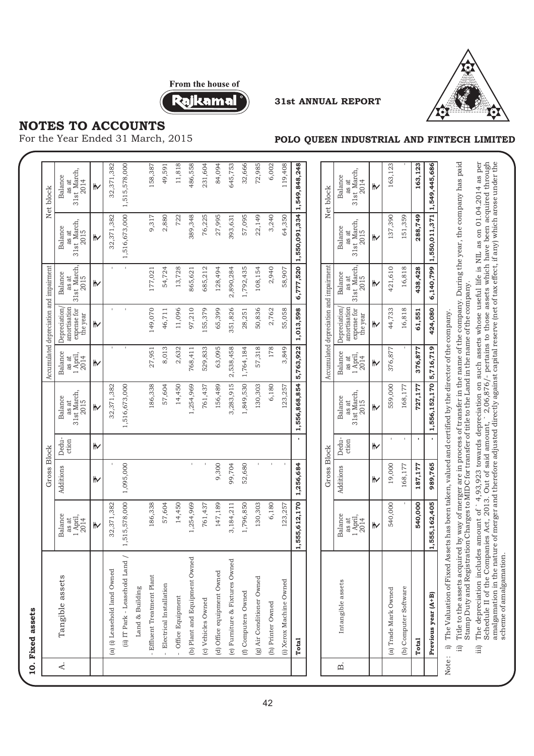

#### **31st ANNUAL REPORT**

**NOTES TO ACCOUNTS**<br>For the Year Ended 31 March, 2015

### POLO QUEEN INDUSTRIAL AND FINTECH LIMITED

|       | 10. Fixed assets                                                                                                                                                                                                                                                                                              |                                                                             |              |                |                                                |                                    |                                                         |                                                |                                                |                                                                              |
|-------|---------------------------------------------------------------------------------------------------------------------------------------------------------------------------------------------------------------------------------------------------------------------------------------------------------------|-----------------------------------------------------------------------------|--------------|----------------|------------------------------------------------|------------------------------------|---------------------------------------------------------|------------------------------------------------|------------------------------------------------|------------------------------------------------------------------------------|
|       |                                                                                                                                                                                                                                                                                                               |                                                                             | Gross Block  |                |                                                |                                    | Accumulated depreciation and impairment                 |                                                |                                                | Net block                                                                    |
| ₹.    | Tangible assets                                                                                                                                                                                                                                                                                               | Balance<br>as at $1$ April, $2014$                                          | Additions    | Dedu-<br>ction | 31st March,<br>Balance<br>2015<br>t<br>as      | Balance<br>as at $1$ April, $2014$ | Depreciation<br>amortisation<br>expense for<br>the year | 31st March,<br>2015<br>Balance<br>as at        | 31st March,<br>Balance<br>2015<br>as at        | $\begin{array}{c} \text{31st March,}\\ 2014 \end{array}$<br>Balance<br>as at |
|       |                                                                                                                                                                                                                                                                                                               | ₩                                                                           | ₩            | $\mathsf{k}$   | Ѩ                                              | $\mathsf{h}\mathsf{v}$             | ₩                                                       | ₩                                              | Ѩ                                              | Ѩ                                                                            |
|       | (a) (i) Leasehold land Owned                                                                                                                                                                                                                                                                                  | 32,371,382                                                                  |              |                | 32,371,382                                     |                                    |                                                         |                                                | 32,371,382                                     | 32,371,382                                                                   |
|       | $\overline{\phantom{0}}$<br>(ii) IT Park - Leasehold Land                                                                                                                                                                                                                                                     | 1,515,578,000                                                               | 1,095,000    |                | 1,516,673,000                                  |                                    |                                                         | $\mathbf{I}$                                   | 1,516,673,000                                  | 1,515,578,000                                                                |
|       | Land & Building                                                                                                                                                                                                                                                                                               |                                                                             |              |                |                                                |                                    |                                                         |                                                |                                                |                                                                              |
|       | - Effluent Treatment Plant                                                                                                                                                                                                                                                                                    | 186,338                                                                     |              |                | 186,338                                        | 27,951                             | 149,070                                                 | 177,021                                        | 9,317                                          | 158,387                                                                      |
|       | - Electrical Installation                                                                                                                                                                                                                                                                                     | 57,604                                                                      |              |                | 57,604                                         | 8,013                              | 46,711                                                  | 54,724                                         | 2,880                                          | 49,591                                                                       |
|       | - Office Equipment                                                                                                                                                                                                                                                                                            | 14,450                                                                      |              |                | 14,450                                         | 2,632                              | 11,096                                                  | 13,728                                         | 722                                            | 11,818                                                                       |
|       | (b) Plant and Equipment Owned                                                                                                                                                                                                                                                                                 | 1,254,969                                                                   | $\mathbf{I}$ |                | 1,254,969                                      | 768,411                            | 97,210                                                  | 865,621                                        | 389,348                                        | 486,558                                                                      |
|       | (c) Vehicles Owned                                                                                                                                                                                                                                                                                            | 761,437                                                                     |              |                | 761,437                                        | 529,833                            | 55,379                                                  | 685,212                                        | 76,225                                         | 231,604                                                                      |
|       | (d) Office equipment Owned                                                                                                                                                                                                                                                                                    | 147,189                                                                     | 9,300        |                | 156,489                                        | 63,095                             | 65,399                                                  | 128,494                                        | 27,995                                         | 84,094                                                                       |
|       | (e) Furniture & Fixtures Owned                                                                                                                                                                                                                                                                                | 3,184,211                                                                   | 99,704       |                | 3,283,915                                      | 2,538,458                          | 351,826                                                 | 2,890,284                                      | 393,631                                        | 645,753                                                                      |
|       | (f) Computers Owned                                                                                                                                                                                                                                                                                           | 1,796,850                                                                   | 52,680       |                | 1,849,530                                      | 1,764,184                          | 28,251                                                  | 1,792,435                                      | 57,095                                         | 32,666                                                                       |
|       | (g) Air Conditioner Owned                                                                                                                                                                                                                                                                                     | 130,303                                                                     | $\mathsf I$  |                | 130,303                                        | 57,318                             | 50,836                                                  | 108,154                                        | 22,149                                         | 72,985                                                                       |
|       | (h) Printer Owned                                                                                                                                                                                                                                                                                             | 6,180                                                                       |              |                | 6,180                                          | 178                                | 2,762                                                   | 2,940                                          | 3,240                                          | 6,002                                                                        |
|       | (i) Xerox Machine Owned                                                                                                                                                                                                                                                                                       | 123,257                                                                     | $\mathbf{I}$ |                | 123,257                                        | 3,849                              | 55,058                                                  | 58,907                                         | 64,350                                         | 119,408                                                                      |
|       | Total                                                                                                                                                                                                                                                                                                         | 1,555,612,170                                                               | 1,256,684    |                | 1,556,868,854                                  | 5,763,922                          | 1,013,598                                               | 6,777,520                                      | 1,550,091,334                                  | 1,549,848,248                                                                |
|       |                                                                                                                                                                                                                                                                                                               |                                                                             |              |                |                                                |                                    |                                                         |                                                |                                                |                                                                              |
|       |                                                                                                                                                                                                                                                                                                               |                                                                             | Gross Block  |                |                                                |                                    | Accumulated depreciation and impairment                 |                                                |                                                | Net block                                                                    |
| ø     | Intangible assets                                                                                                                                                                                                                                                                                             | Balance<br>$1$ April, $2014$<br>as at                                       | Additions    | Dedu-<br>ction | 31st March,<br><b>Balance</b><br>2015<br>as at | Balance<br>as at 1 April, $2014$   | Depreciation<br>amortisation<br>expense for<br>the year | 31st March,<br><b>Balance</b><br>2015<br>as at | 31st March,<br><b>Balance</b><br>2015<br>as at | 31st March,<br><b>Balance</b><br>2014<br>as at                               |
|       |                                                                                                                                                                                                                                                                                                               | ₩                                                                           | ₩            | ₩              | ₩                                              | ₩                                  | ₩                                                       | ₩                                              | ኲ                                              | ₩                                                                            |
|       | (a) Trade Mark Owned                                                                                                                                                                                                                                                                                          | 540,000                                                                     | 19,000       |                | 559,000                                        | 376,87                             | 44,733                                                  | 421,610                                        | 137,390                                        | 163,123                                                                      |
|       | (b) Computer Software                                                                                                                                                                                                                                                                                         |                                                                             | 168,177      | $\mathbf{I}$   | 168,177                                        |                                    | 16,818                                                  | 16,818                                         | 151,359                                        |                                                                              |
|       | Total                                                                                                                                                                                                                                                                                                         | 540,000                                                                     | 187, 177     |                | 727,177                                        | 376,877                            | 61,551                                                  | 438,428                                        | 288,749                                        | 163,123                                                                      |
|       | Previous year (A+B)                                                                                                                                                                                                                                                                                           | 1,555,162,405                                                               | 989,765      |                | 1,556,152,170                                  | 5,716,719                          | 424,080                                                 | 6,140,799                                      | 1,550,011,371                                  | 1,549,445,686                                                                |
| Note: | Title to the assets acquired by way of merger are in process of transfer in the name of the company. During the year, the company has paid<br>The Valuation of Fixed<br>$\widehat{=}$<br>$\ddot{=}$                                                                                                           | Assets has been taken, valued and certified by the director of the company. |              |                |                                                |                                    |                                                         |                                                |                                                |                                                                              |
|       | The depreciation includes amount of 4,93,923 towards depreciation on such assets whose useful life is NIL as on 01.04.2014 as per<br>Stamp Duty and Registration Charges to MIDC for transfer of title to the Land in the name of the company.<br>$\ddot{m}$                                                  |                                                                             |              |                |                                                |                                    |                                                         |                                                |                                                |                                                                              |
|       | Schedule II of the Companies Act, 2013. Out of said amount, 2,06,876/- pertains to those assets which have been acquired through<br>amalgamation in the nature of merger and therefore adjusted directly against capital reserve (net of tax effect, if any) which arose under the<br>scheme of amalgamation. |                                                                             |              |                |                                                |                                    |                                                         |                                                |                                                |                                                                              |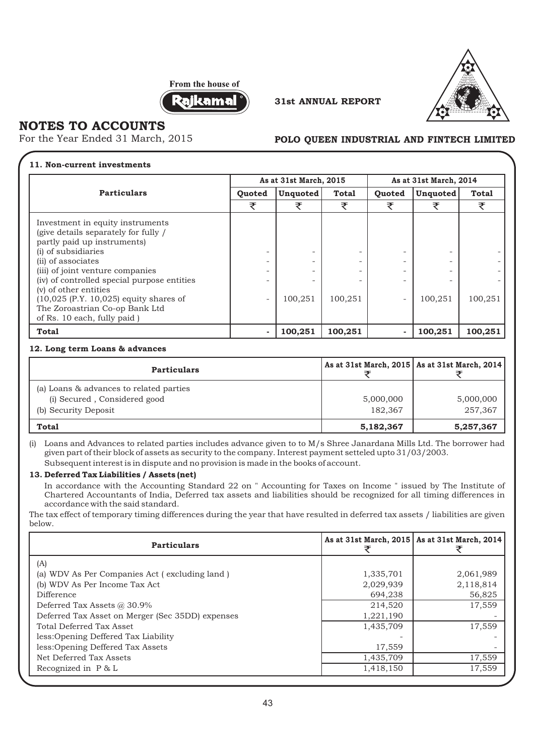

**31st ANNUAL REPORT**



## **NOTES TO ACCOUNTS**

#### For the Year Ended 31 March, 2015 **POLO QUEEN INDUSTRIAL AND FINTECH LIMITED**

#### **11. Non-current investments**

|                                                                                                                                                                                                                                                                                                                                                                                |                             | As at 31st March, 2015 |         |               | As at 31st March, 2014 |         |
|--------------------------------------------------------------------------------------------------------------------------------------------------------------------------------------------------------------------------------------------------------------------------------------------------------------------------------------------------------------------------------|-----------------------------|------------------------|---------|---------------|------------------------|---------|
| <b>Particulars</b>                                                                                                                                                                                                                                                                                                                                                             | <b>Ouoted</b>               | Unquoted               | Total   | <b>Ouoted</b> | Unquoted               | Total   |
|                                                                                                                                                                                                                                                                                                                                                                                | ₹                           | ₹                      | ₹       | ₹             | ₹                      | ₹       |
| Investment in equity instruments<br>(give details separately for fully /<br>partly paid up instruments)<br>(i) of subsidiaries<br>(ii) of associates<br>(iii) of joint venture companies<br>(iv) of controlled special purpose entities<br>(v) of other entities<br>$(10,025)$ (P.Y. 10,025) equity shares of<br>The Zoroastrian Co-op Bank Ltd<br>of Rs. 10 each, fully paid) | $\equiv$<br>$\qquad \qquad$ | 100,251                | 100,251 |               | 100,251                | 100.251 |
| <b>Total</b>                                                                                                                                                                                                                                                                                                                                                                   | ۰                           | 100,251                | 100,251 |               | 100,251                | 100,251 |

#### **12. Long term Loans & advances**

| <b>Particulars</b>                                                                              |                      | As at 31st March, 2015   As at 31st March, 2014 |
|-------------------------------------------------------------------------------------------------|----------------------|-------------------------------------------------|
| (a) Loans & advances to related parties<br>(i) Secured, Considered good<br>(b) Security Deposit | 5,000,000<br>182,367 | 5,000,000<br>257,367                            |
| <b>Total</b>                                                                                    | 5,182,367            | 5,257,367                                       |

(i) Loans and Advances to related parties includes advance given to to M/s Shree Janardana Mills Ltd. The borrower had given part of their block of assets as security to the company. Interest payment setteled upto 31/03/2003. Subsequent interest is in dispute and no provision is made in the books of account.

#### **13. Deferred Tax Liabilities / Assets (net)**

In accordance with the Accounting Standard 22 on " Accounting for Taxes on Income " issued by The Institute of Chartered Accountants of India, Deferred tax assets and liabilities should be recognized for all timing differences in accordance with the said standard.

The tax effect of temporary timing differences during the year that have resulted in deferred tax assets / liabilities are given below.

| <b>Particulars</b>                               |           | As at 31st March, 2015   As at 31st March, 2014 |
|--------------------------------------------------|-----------|-------------------------------------------------|
| (A)                                              |           |                                                 |
| (a) WDV As Per Companies Act (excluding land)    | 1,335,701 | 2,061,989                                       |
| (b) WDV As Per Income Tax Act                    | 2,029,939 | 2,118,814                                       |
| Difference                                       | 694,238   | 56,825                                          |
| Deferred Tax Assets @ 30.9%                      | 214,520   | 17,559                                          |
| Deferred Tax Asset on Merger (Sec 35DD) expenses | 1,221,190 |                                                 |
| Total Deferred Tax Asset                         | 1,435,709 | 17,559                                          |
| less: Opening Deffered Tax Liability             |           |                                                 |
| less: Opening Deffered Tax Assets                | 17,559    |                                                 |
| Net Deferred Tax Assets                          | 1,435,709 | 17,559                                          |
| Recognized in P & L                              | 1,418,150 | 17,559                                          |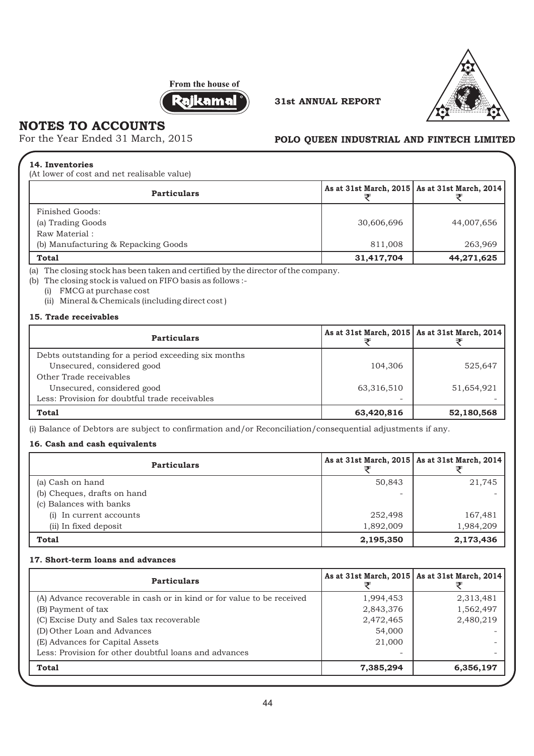

**31st ANNUAL REPORT**



## **NOTES TO ACCOUNTS**

#### For the Year Ended 31 March, 2015 **POLO QUEEN INDUSTRIAL AND FINTECH LIMITED**

#### **14. Inventories**

(At lower of cost and net realisable value)

| <b>Particulars</b>                  |            | As at 31st March, 2015   As at 31st March, 2014 |
|-------------------------------------|------------|-------------------------------------------------|
| Finished Goods:                     |            |                                                 |
| (a) Trading Goods                   | 30,606,696 | 44,007,656                                      |
| Raw Material:                       |            |                                                 |
| (b) Manufacturing & Repacking Goods | 811,008    | 263,969                                         |
| <b>Total</b>                        | 31,417,704 | 44,271,625                                      |

(a) The closing stock has been taken and certified by the director of the company.

(b) The closing stock is valued on FIFO basis as follows :-

(i) FMCG at purchase cost

(ii) Mineral & Chemicals (including direct cost )

#### **15. Trade receivables**

| <b>Particulars</b>                                  |            | As at 31st March, 2015   As at 31st March, 2014 |
|-----------------------------------------------------|------------|-------------------------------------------------|
| Debts outstanding for a period exceeding six months |            |                                                 |
| Unsecured, considered good                          | 104,306    | 525,647                                         |
| Other Trade receivables                             |            |                                                 |
| Unsecured, considered good                          | 63,316,510 | 51,654,921                                      |
| Less: Provision for doubtful trade receivables      | -          |                                                 |
| <b>Total</b>                                        | 63,420,816 | 52,180,568                                      |

(i) Balance of Debtors are subject to confirmation and/or Reconciliation/consequential adjustments if any.

#### **16. Cash and cash equivalents**

| <b>Particulars</b>          |           | As at 31st March, 2015   As at 31st March, 2014 |
|-----------------------------|-----------|-------------------------------------------------|
| (a) Cash on hand            | 50,843    | 21,745                                          |
| (b) Cheques, drafts on hand | -         |                                                 |
| (c) Balances with banks     |           |                                                 |
| In current accounts<br>(1)  | 252,498   | 167,481                                         |
| (ii) In fixed deposit       | 1,892,009 | 1,984,209                                       |
| <b>Total</b>                | 2,195,350 | 2,173,436                                       |

#### **17. Short-term loans and advances**

| <b>Particulars</b>                                                     |                          | As at 31st March, 2015   As at 31st March, 2014 |
|------------------------------------------------------------------------|--------------------------|-------------------------------------------------|
| (A) Advance recoverable in cash or in kind or for value to be received | 1,994,453                | 2,313,481                                       |
| (B) Payment of tax                                                     | 2,843,376                | 1,562,497                                       |
| (C) Excise Duty and Sales tax recoverable                              | 2,472,465                | 2,480,219                                       |
| (D) Other Loan and Advances                                            | 54,000                   |                                                 |
| (E) Advances for Capital Assets                                        | 21,000                   |                                                 |
| Less: Provision for other doubtful loans and advances                  | $\overline{\phantom{a}}$ |                                                 |
| <b>Total</b>                                                           | 7,385,294                | 6,356,197                                       |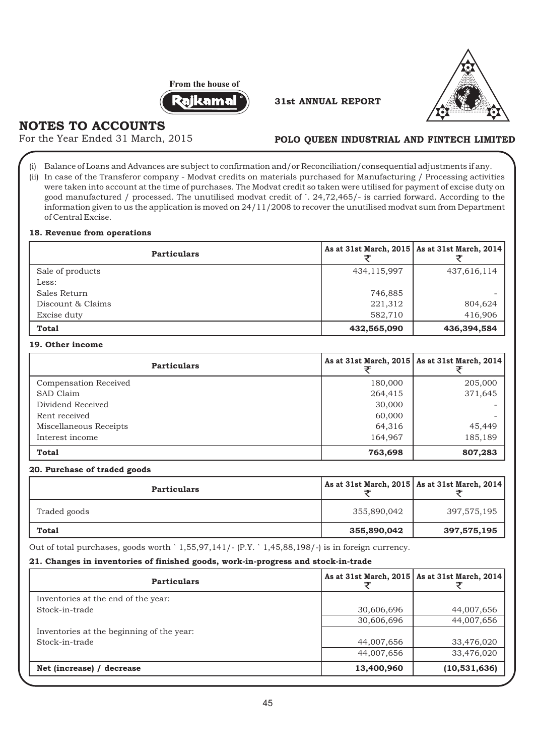

**31st ANNUAL REPORT**

### **NOTES TO ACCOUNTS**

For the Year Ended 31 March, 2015 **POLO QUEEN INDUSTRIAL AND FINTECH LIMITED** 

(i) Balance of Loans and Advances are subject to confirmation and/or Reconciliation/consequential adjustments if any. (ii) In case of the Transferor company - Modvat credits on materials purchased for Manufacturing / Processing activities were taken into account at the time of purchases. The Modvat credit so taken were utilised for payment of excise duty on good manufactured / processed. The unutilised modvat credit of `. 24,72,465/- is carried forward. According to the information given to us the application is moved on 24/11/2008 to recover the unutilised modvat sum from Department of Central Excise.

From the house of

#### **18. Revenue from operations**

| <b>Particulars</b> |             | As at 31st March, 2015   As at 31st March, 2014 |
|--------------------|-------------|-------------------------------------------------|
| Sale of products   | 434,115,997 | 437,616,114                                     |
| Less:              |             |                                                 |
| Sales Return       | 746,885     |                                                 |
| Discount & Claims  | 221,312     | 804,624                                         |
| Excise duty        | 582,710     | 416,906                                         |
| <b>Total</b>       | 432,565,090 | 436,394,584                                     |

#### **19. Other income**

| <b>Particulars</b>           |         | As at 31st March, 2015   As at 31st March, 2014 |
|------------------------------|---------|-------------------------------------------------|
| <b>Compensation Received</b> | 180,000 | 205,000                                         |
| SAD Claim                    | 264,415 | 371,645                                         |
| Dividend Received            | 30,000  |                                                 |
| Rent received                | 60,000  |                                                 |
| Miscellaneous Receipts       | 64,316  | 45,449                                          |
| Interest income              | 164,967 | 185,189                                         |
| <b>Total</b>                 | 763,698 | 807,283                                         |

#### **20. Purchase of traded goods**

| <b>Particulars</b> |             | As at 31st March, 2015   As at 31st March, 2014 |
|--------------------|-------------|-------------------------------------------------|
| Traded goods       | 355,890,042 | 397,575,195                                     |
| <b>Total</b>       | 355,890,042 | 397,575,195                                     |

Out of total purchases, goods worth ` 1,55,97,141/- (P.Y. ` 1,45,88,198/-) is in foreign currency.

**21. Changes in inventories of finished goods, work-in-progress and stock-in-trade**

| <b>Particulars</b>                        |            | As at 31st March, 2015   As at 31st March, 2014 |
|-------------------------------------------|------------|-------------------------------------------------|
| Inventories at the end of the year:       |            |                                                 |
| Stock-in-trade                            | 30,606,696 | 44,007,656                                      |
|                                           | 30,606,696 | 44,007,656                                      |
| Inventories at the beginning of the year: |            |                                                 |
| Stock-in-trade                            | 44,007,656 | 33,476,020                                      |
|                                           | 44,007,656 | 33,476,020                                      |
| Net (increase) / decrease                 | 13,400,960 | (10, 531, 636)                                  |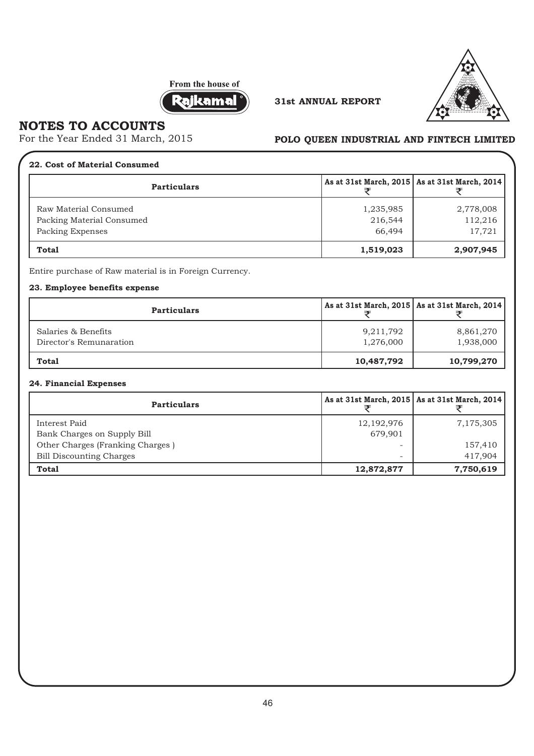

**31st ANNUAL REPORT**



# **NOTES TO ACCOUNTS**<br>For the Year Ended 31 March, 2015

#### POLO QUEEN INDUSTRIAL AND FINTECH LIMITED

## **22. Cost of Material Consumed**

| <b>Particulars</b>                                                     |                                | As at 31st March, 2015   As at 31st March, 2014 |
|------------------------------------------------------------------------|--------------------------------|-------------------------------------------------|
| Raw Material Consumed<br>Packing Material Consumed<br>Packing Expenses | 1,235,985<br>216,544<br>66.494 | 2,778,008<br>112,216<br>17,721                  |
| <b>Total</b>                                                           | 1,519,023                      | 2,907,945                                       |

Entire purchase of Raw material is in Foreign Currency.

#### **23. Employee benefits expense**

| <b>Particulars</b>                             | As at 31st March, 2015   As at 31st March, 2014 |                        |
|------------------------------------------------|-------------------------------------------------|------------------------|
| Salaries & Benefits<br>Director's Remunaration | 9,211,792<br>1,276,000                          | 8,861,270<br>1,938,000 |
| <b>Total</b>                                   | 10,487,792                                      | 10,799,270             |

#### **24. Financial Expenses**

| <b>Particulars</b>               |                          | As at 31st March, 2015   As at 31st March, 2014 |
|----------------------------------|--------------------------|-------------------------------------------------|
| Interest Paid                    | 12,192,976               | 7,175,305                                       |
| Bank Charges on Supply Bill      | 679.901                  |                                                 |
| Other Charges (Franking Charges) | $\overline{\phantom{a}}$ | 157.410                                         |
| <b>Bill Discounting Charges</b>  | $\overline{\phantom{a}}$ | 417.904                                         |
| <b>Total</b>                     | 12,872,877               | 7,750,619                                       |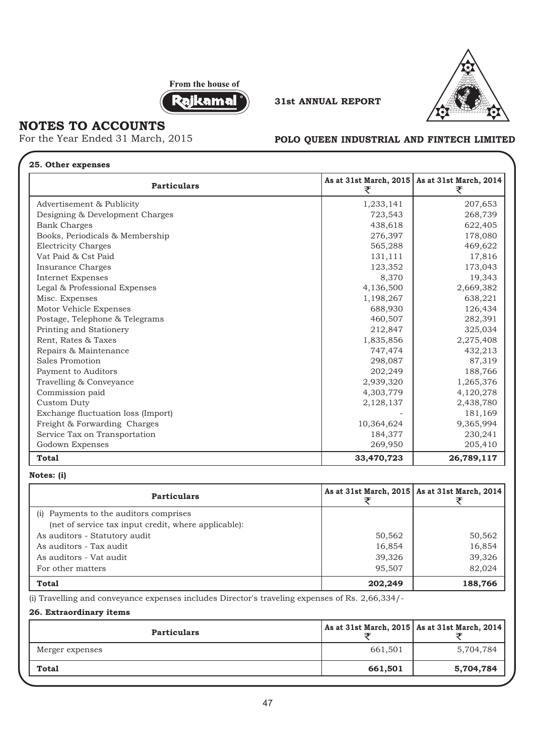

**31st ANNUAL REPORT**



# **NOTES TO ACCOUNTS**<br>For the Year Ended 31 March, 2015

#### POLO QUEEN INDUSTRIAL AND FINTECH LIMITED

| <b>Particulars</b>                 | ₹          | As at 31st March, 2015   As at 31st March, 2014<br>₹ |
|------------------------------------|------------|------------------------------------------------------|
| Advertisement & Publicity          | 1,233,141  | 207,653                                              |
| Designing & Development Charges    | 723,543    | 268,739                                              |
| <b>Bank Charges</b>                | 438,618    | 622,405                                              |
| Books, Periodicals & Membership    | 276,397    | 178,080                                              |
| <b>Electricity Charges</b>         | 565,288    | 469,622                                              |
| Vat Paid & Cst Paid                | 131,111    | 17,816                                               |
| Insurance Charges                  | 123,352    | 173,043                                              |
| <b>Internet Expenses</b>           | 8,370      | 19,343                                               |
| Legal & Professional Expenses      | 4,136,500  | 2,669,382                                            |
| Misc. Expenses                     | 1,198,267  | 638,221                                              |
| Motor Vehicle Expenses             | 688,930    | 126,434                                              |
| Postage, Telephone & Telegrams     | 460,507    | 282,391                                              |
| Printing and Stationery            | 212,847    | 325,034                                              |
| Rent, Rates & Taxes                | 1,835,856  | 2,275,408                                            |
| Repairs & Maintenance              | 747,474    | 432,213                                              |
| Sales Promotion                    | 298,087    | 87,319                                               |
| Payment to Auditors                | 202,249    | 188,766                                              |
| Travelling & Conveyance            | 2,939,320  | 1,265,376                                            |
| Commission paid                    | 4,303,779  | 4,120,278                                            |
| <b>Custom Duty</b>                 | 2,128,137  | 2,438,780                                            |
| Exchange fluctuation loss (Import) |            | 181,169                                              |
| Freight & Forwarding Charges       | 10,364,624 | 9,365,994                                            |
| Service Tax on Transportation      | 184,377    | 230,241                                              |
| Godown Expenses                    | 269,950    | 205,410                                              |
| <b>Total</b>                       | 33,470,723 | 26,789,117                                           |

#### **Notes: (i)**

| <b>Particulars</b>                                   |         | As at 31st March, 2015   As at 31st March, 2014 |
|------------------------------------------------------|---------|-------------------------------------------------|
| (i) Payments to the auditors comprises               |         |                                                 |
| (net of service tax input credit, where applicable): |         |                                                 |
| As auditors - Statutory audit                        | 50,562  | 50,562                                          |
| As auditors - Tax audit                              | 16,854  | 16,854                                          |
| As auditors - Vat audit                              | 39,326  | 39,326                                          |
| For other matters                                    | 95,507  | 82,024                                          |
| <b>Total</b>                                         | 202,249 | 188,766                                         |

(i) Travelling and conveyance expenses includes Director's traveling expenses of Rs. 2,66,334/-

#### **26. Extraordinary items**

| <b>Particulars</b> |         | As at 31st March, 2015 As at 31st March, 2014 |
|--------------------|---------|-----------------------------------------------|
| Merger expenses    | 661,501 | 5,704,784                                     |
| Total              | 661.501 | 5,704,784                                     |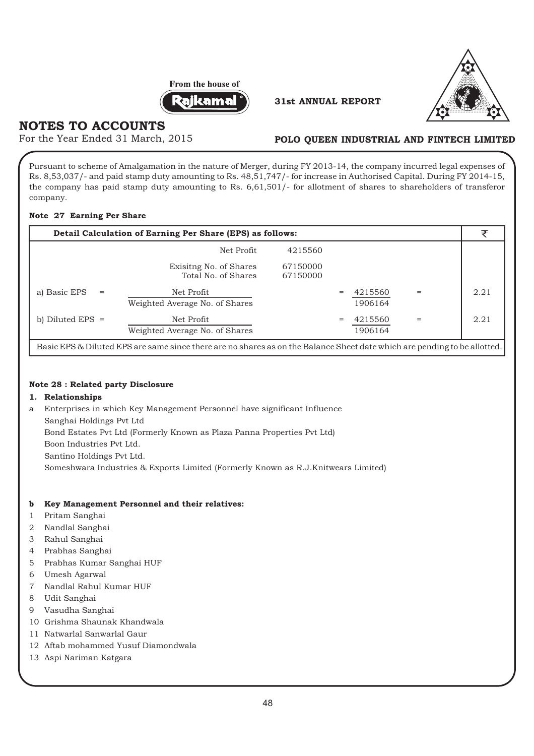

**31st ANNUAL REPORT**



#### For the Year Ended 31 March, 2015 **POLO QUEEN INDUSTRIAL AND FINTECH LIMITED**

Pursuant to scheme of Amalgamation in the nature of Merger, during FY 2013-14, the company incurred legal expenses of Rs. 8,53,037/- and paid stamp duty amounting to Rs. 48,51,747/- for increase in Authorised Capital. During FY 2014-15, the company has paid stamp duty amounting to Rs. 6,61,501/- for allotment of shares to shareholders of transferor

#### **Note 27 Earning Per Share**

company.

| Detail Calculation of Earning Per Share (EPS) as follows:                                                                 |                                               |                      |  |                    |  |      |
|---------------------------------------------------------------------------------------------------------------------------|-----------------------------------------------|----------------------|--|--------------------|--|------|
|                                                                                                                           | Net Profit                                    | 4215560              |  |                    |  |      |
|                                                                                                                           | Exisitng No. of Shares<br>Total No. of Shares | 67150000<br>67150000 |  |                    |  |      |
| a) Basic EPS<br>$=$                                                                                                       | Net Profit<br>Weighted Average No. of Shares  |                      |  | 4215560<br>1906164 |  | 2.21 |
| b) Diluted EPS $=$                                                                                                        | Net Profit<br>Weighted Average No. of Shares  |                      |  | 4215560<br>1906164 |  | 2.21 |
| Basic EPS & Diluted EPS are same since there are no shares as on the Balance Sheet date which are pending to be allotted. |                                               |                      |  |                    |  |      |

#### **Note 28 : Related party Disclosure**

#### **1. Relationships**

a Enterprises in which Key Management Personnel have significant Influence Sanghai Holdings Pvt Ltd Bond Estates Pvt Ltd (Formerly Known as Plaza Panna Properties Pvt Ltd) Boon Industries Pvt Ltd. Santino Holdings Pvt Ltd. Someshwara Industries & Exports Limited (Formerly Known as R.J.Knitwears Limited)

#### **b Key Management Personnel and their relatives:**

- 1 Pritam Sanghai
- 2 Nandlal Sanghai
- 3 Rahul Sanghai
- 4 Prabhas Sanghai
- 5 Prabhas Kumar Sanghai HUF
- 6 Umesh Agarwal
- 7 Nandlal Rahul Kumar HUF
- 8 Udit Sanghai
- 9 Vasudha Sanghai
- 10 Grishma Shaunak Khandwala
- 11 Natwarlal Sanwarlal Gaur
- 12 Aftab mohammed Yusuf Diamondwala
- 13 Aspi Nariman Katgara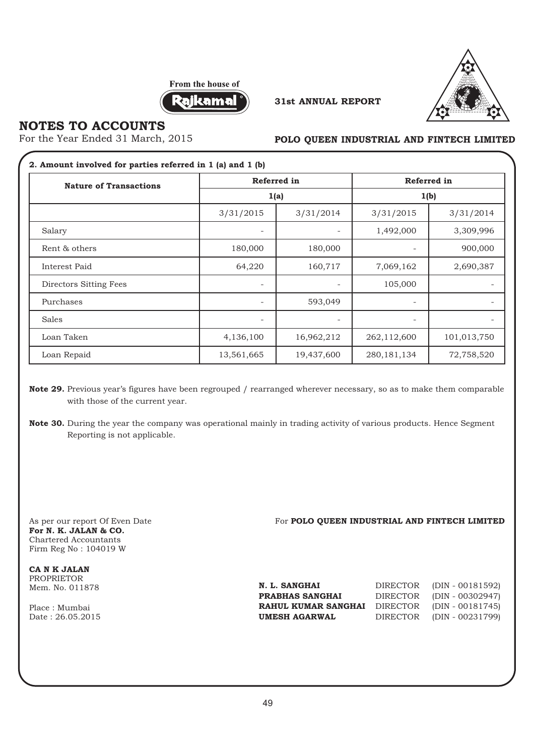

**31st ANNUAL REPORT**



## **NOTES TO ACCOUNTS**

#### For the Year Ended 31 March, 2015 **POLO QUEEN INDUSTRIAL AND FINTECH LIMITED**

| <b>Nature of Transactions</b> |            | Referred in | Referred in              |                          |  |  |
|-------------------------------|------------|-------------|--------------------------|--------------------------|--|--|
|                               |            | 1(a)        |                          | 1(b)                     |  |  |
|                               | 3/31/2015  | 3/31/2014   | 3/31/2015                | 3/31/2014                |  |  |
| Salary                        |            |             | 1,492,000                | 3,309,996                |  |  |
| Rent & others                 | 180,000    | 180,000     | $\overline{\phantom{a}}$ | 900,000                  |  |  |
| Interest Paid                 | 64,220     | 160,717     | 7,069,162                | 2,690,387                |  |  |
| Directors Sitting Fees        |            | ۰           | 105,000                  |                          |  |  |
| Purchases                     | -          | 593,049     | $\overline{\phantom{a}}$ | $\overline{\phantom{a}}$ |  |  |
| Sales                         | -          | -           | ۰.                       | $\overline{\phantom{a}}$ |  |  |
| Loan Taken                    | 4,136,100  | 16,962,212  | 262,112,600              | 101,013,750              |  |  |
| Loan Repaid                   | 13,561,665 | 19,437,600  | 280, 181, 134            | 72,758,520               |  |  |

**Note 29.** Previous year's figures have been regrouped / rearranged wherever necessary, so as to make them comparable with those of the current year.

**Note 30.** During the year the company was operational mainly in trading activity of various products. Hence Segment Reporting is not applicable.

As per our report Of Even Date Chartered Accountants Firm Reg No : 104019 W **For N. K. JALAN & CO.**

**CA N K JALAN** PROPRIETOR Mem. No. 011878

Place : Mumbai Date : 26.05.2015 For **POLO QUEEN INDUSTRIAL AND FINTECH LIMITED**

**N. L. SANGHAI PRABHAS SANGHAI RAHUL KUMAR SANGHAI** DIRECTOR (DIN - 00181745) **UMESH AGARWAL**

DIRECTOR (DIN - 00181592) DIRECTOR (DIN - 00302947) DIRECTOR (DIN - 00231799)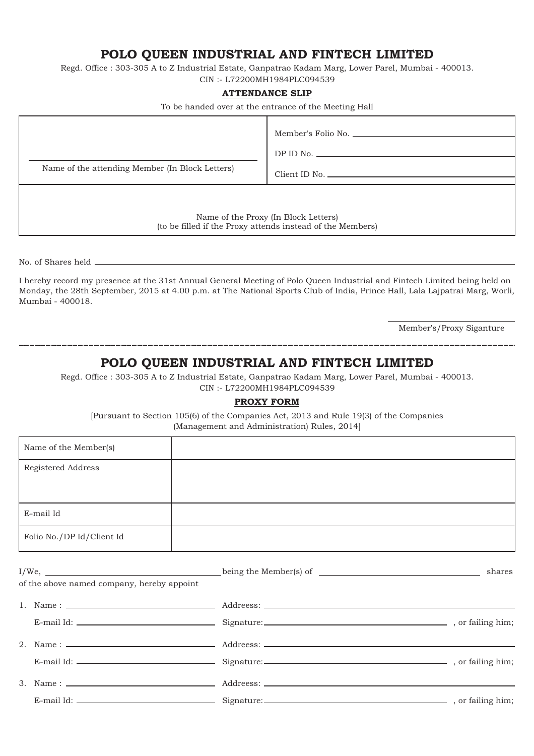### **POLO QUEEN INDUSTRIAL AND FINTECH LIMITED**

Regd. Office : 303-305 A to Z Industrial Estate, Ganpatrao Kadam Marg, Lower Parel, Mumbai - 400013.

### CIN :- L72200MH1984PLC094539

#### **ATTENDANCE SLIP**

To be handed over at the entrance of the Meeting Hall

|                                                                                                    | Member's Folio No.<br>$DP$ ID No. $\_\_$ |  |  |
|----------------------------------------------------------------------------------------------------|------------------------------------------|--|--|
| Name of the attending Member (In Block Letters)                                                    | Client ID No.                            |  |  |
| Name of the Proxy (In Block Letters)<br>(to be filled if the Proxy attends instead of the Members) |                                          |  |  |

No. of Shares held

I hereby record my presence at the 31st Annual General Meeting of Polo Queen Industrial and Fintech Limited being held on Monday, the 28th September, 2015 at 4.00 p.m. at The National Sports Club of India, Prince Hall, Lala Lajpatrai Marg, Worli, Mumbai - 400018.

Member's/Proxy Siganture

### **POLO QUEEN INDUSTRIAL AND FINTECH LIMITED**

Regd. Office : 303-305 A to Z Industrial Estate, Ganpatrao Kadam Marg, Lower Parel, Mumbai - 400013. CIN :- L72200MH1984PLC094539

#### **PROXY FORM**

[Pursuant to Section 105(6) of the Companies Act, 2013 and Rule 19(3) of the Companies (Management and Administration) Rules, 2014]

| Name of the Member(s)     |  |
|---------------------------|--|
| Registered Address        |  |
|                           |  |
| E-mail Id                 |  |
| Folio No./DP Id/Client Id |  |

|         |                                            | shares |
|---------|--------------------------------------------|--------|
|         | of the above named company, hereby appoint |        |
|         |                                            |        |
|         |                                            |        |
| $2^{1}$ |                                            |        |
|         |                                            |        |
| 3.      |                                            |        |
|         |                                            |        |